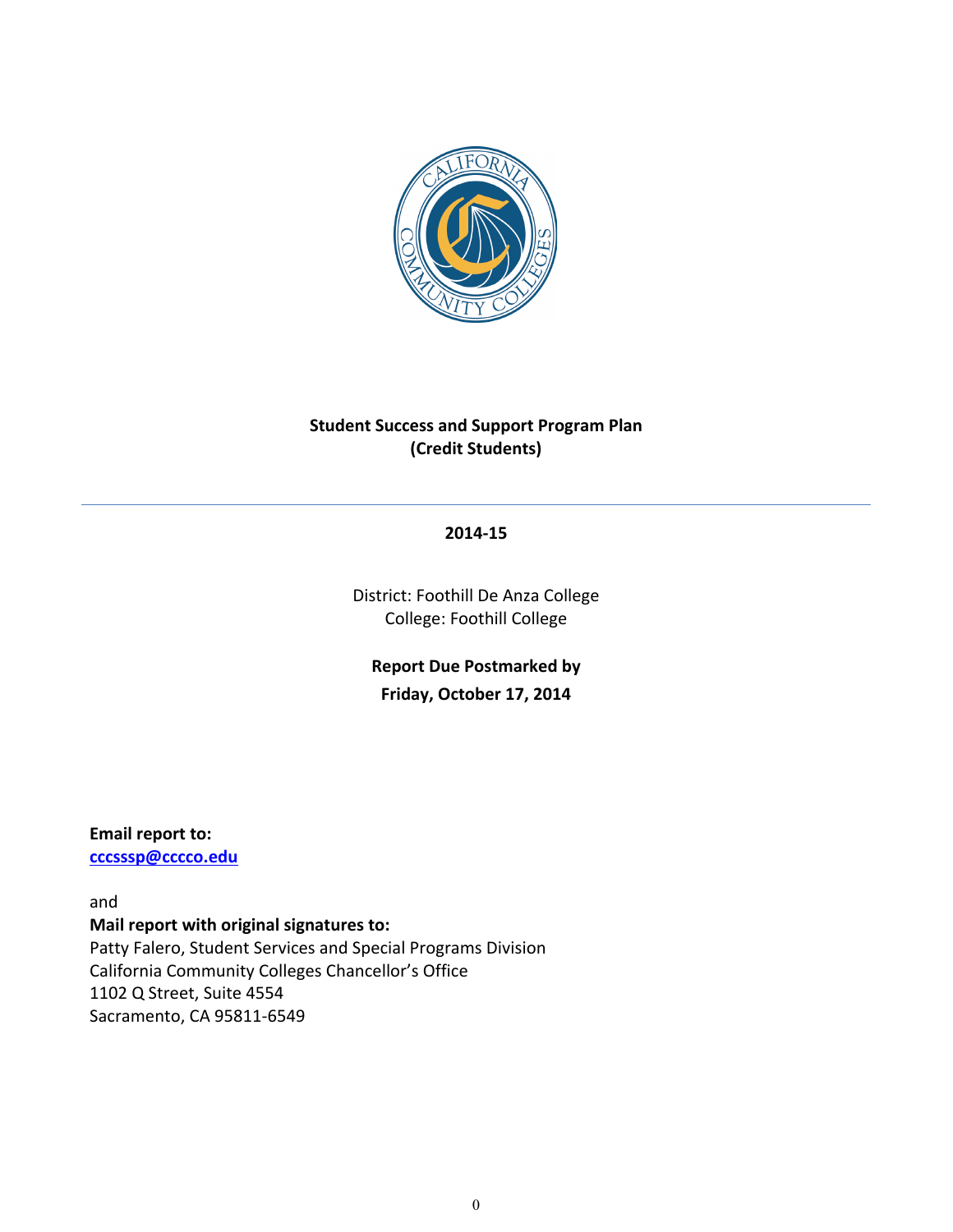

# **Student Success and Support Program Plan (Credit!Students)**

#### **2014:15**

District: Foothill De Anza College College: Foothill College

**Report Due Postmarked by** Friday, October 17, 2014

#### **Email report to:**

**cccsssp@cccco.edu**

and **Mail report with original signatures to:** Patty Falero, Student Services and Special Programs Division California Community Colleges Chancellor's Office 1102 Q Street, Suite 4554 Sacramento, CA 95811-6549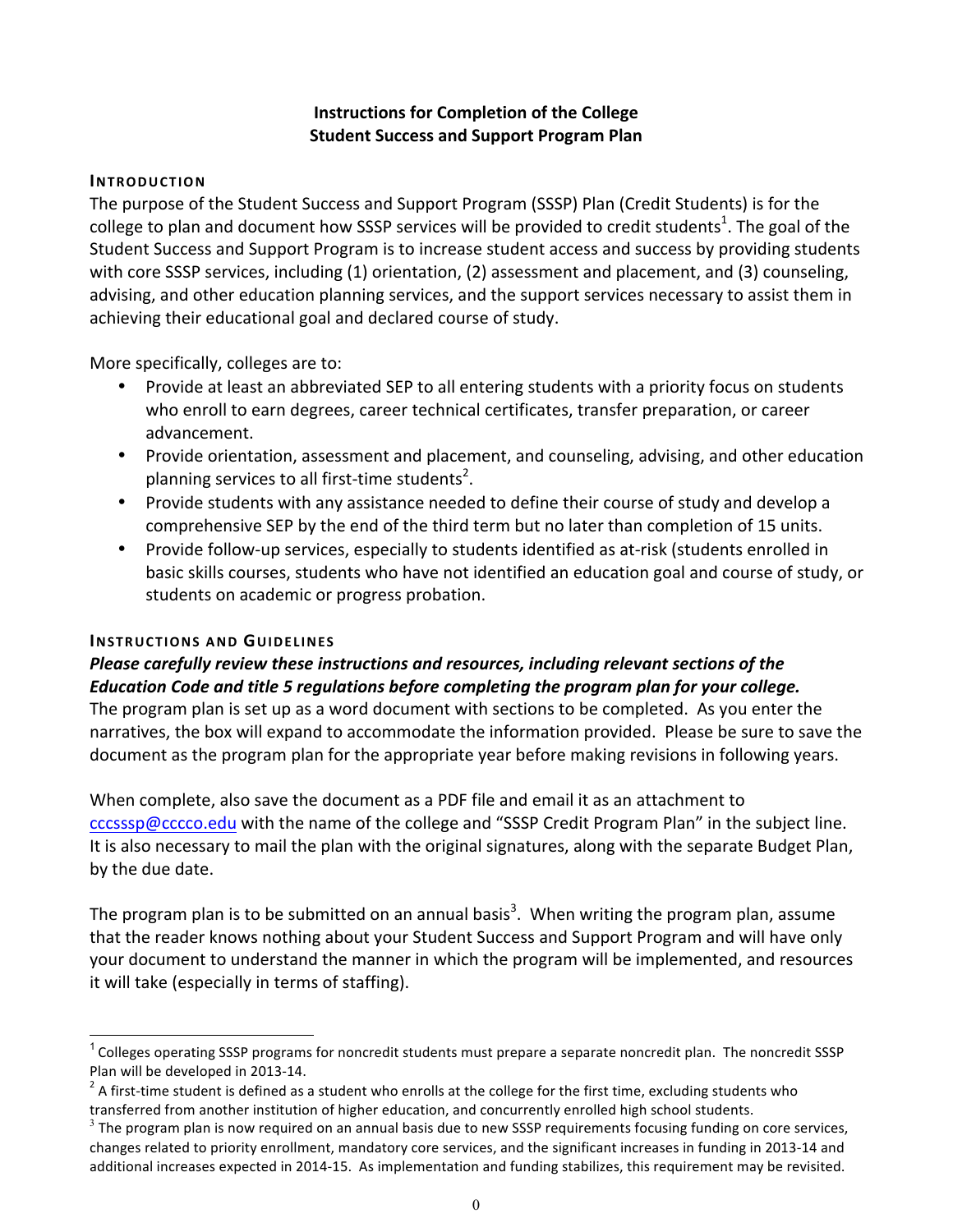### **Instructions for Completion of the College Student Success and Support Program Plan**

### **INTRODUCTION**

The purpose of the Student Success and Support Program (SSSP) Plan (Credit Students) is for the college to plan and document how SSSP services will be provided to credit students<sup>1</sup>. The goal of the Student Success and Support Program is to increase student access and success by providing students with core SSSP services, including (1) orientation, (2) assessment and placement, and (3) counseling, advising, and other education planning services, and the support services necessary to assist them in achieving their educational goal and declared course of study.

More specifically, colleges are to:

- Provide at least an abbreviated SEP to all entering students with a priority focus on students who enroll to earn degrees, career technical certificates, transfer preparation, or career advancement.
- Provide orientation, assessment and placement, and counseling, advising, and other education planning services to all first-time students<sup>2</sup>.
- Provide students with any assistance needed to define their course of study and develop a comprehensive SEP by the end of the third term but no later than completion of 15 units.
- Provide follow-up services, especially to students identified as at-risk (students enrolled in basic skills courses, students who have not identified an education goal and course of study, or students on academic or progress probation.

### **INSTRUCTIONS AND GUIDELINES**

### *Please carefully review these instructions and resources, including relevant sections of the Education Code and title 5 regulations before completing the program plan for your college.*

The program plan is set up as a word document with sections to be completed. As you enter the narratives, the box will expand to accommodate the information provided. Please be sure to save the document as the program plan for the appropriate year before making revisions in following years.

When complete, also save the document as a PDF file and email it as an attachment to cccsssp@cccco.edu with the name of the college and "SSSP Credit Program Plan" in the subject line. It is also necessary to mail the plan with the original signatures, along with the separate Budget Plan, by the due date.

The program plan is to be submitted on an annual basis<sup>3</sup>. When writing the program plan, assume that the reader knows nothing about your Student Success and Support Program and will have only your document to understand the manner in which the program will be implemented, and resources it will take (especially in terms of staffing).

 $1$  Colleges operating SSSP programs for noncredit students must prepare a separate noncredit plan. The noncredit SSSP

Plan will be developed in 2013-14. 2 A student who enrolls at the college for the first time, excluding students who transferred from another institution of higher education, and concurrently enrolled high school students.

 $3$  The program plan is now required on an annual basis due to new SSSP requirements focusing funding on core services, changes related to priority enrollment, mandatory core services, and the significant increases in funding in 2013-14 and additional increases expected in 2014-15. As implementation and funding stabilizes, this requirement may be revisited.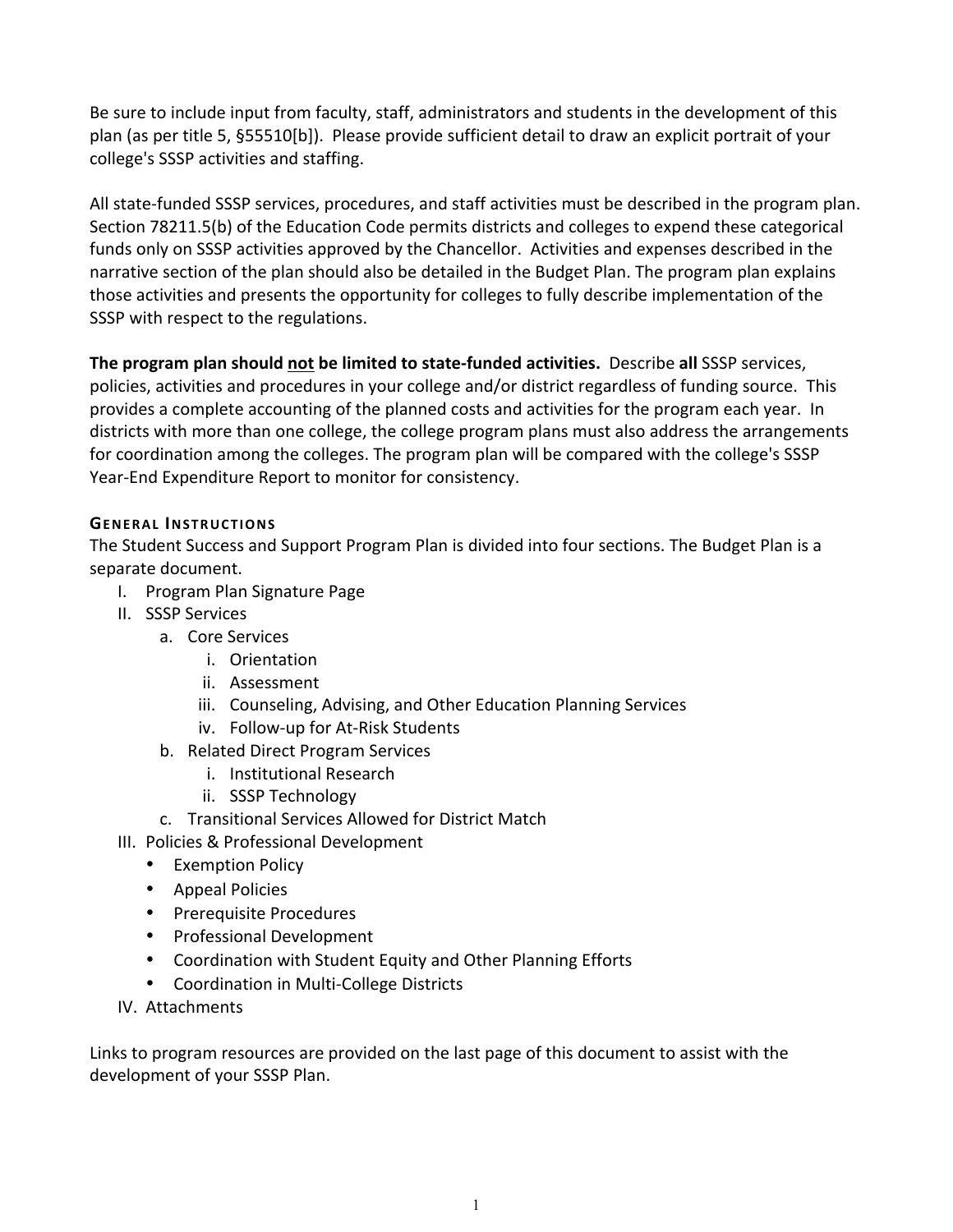Be sure to include input from faculty, staff, administrators and students in the development of this plan (as per title 5, §55510[b]). Please provide sufficient detail to draw an explicit portrait of your college's SSSP activities and staffing.

All state-funded SSSP services, procedures, and staff activities must be described in the program plan. Section 78211.5(b) of the Education Code permits districts and colleges to expend these categorical funds only on SSSP activities approved by the Chancellor. Activities and expenses described in the narrative section of the plan should also be detailed in the Budget Plan. The program plan explains those activities and presents the opportunity for colleges to fully describe implementation of the SSSP with respect to the regulations.

**The program plan should not be limited to state-funded activities. Describe all SSSP services,** policies, activities and procedures in your college and/or district regardless of funding source. This provides a complete accounting of the planned costs and activities for the program each year. In districts with more than one college, the college program plans must also address the arrangements for coordination among the colleges. The program plan will be compared with the college's SSSP Year-End Expenditure Report to monitor for consistency.

### **GENERAL INSTRUCTIONS**

The Student Success and Support Program Plan is divided into four sections. The Budget Plan is a separate document.

- I. Program Plan Signature Page
- II. SSSP Services
	- a. Core Services
		- i. Orientation
		- ii. Assessment
		- iii. Counseling, Advising, and Other Education Planning Services
		- iv. Follow-up for At-Risk Students
	- b. Related Direct Program Services
		- i. Institutional Research
		- ii. SSSP Technology
	- c. Transitional Services Allowed for District Match
- III. Policies & Professional Development
	- Exemption Policy
	- Appeal Policies
	- Prerequisite Procedures
	- Professional Development
	- Coordination with Student Equity and Other Planning Efforts
	- Coordination in Multi-College Districts
- IV. Attachments

Links to program resources are provided on the last page of this document to assist with the development of your SSSP Plan.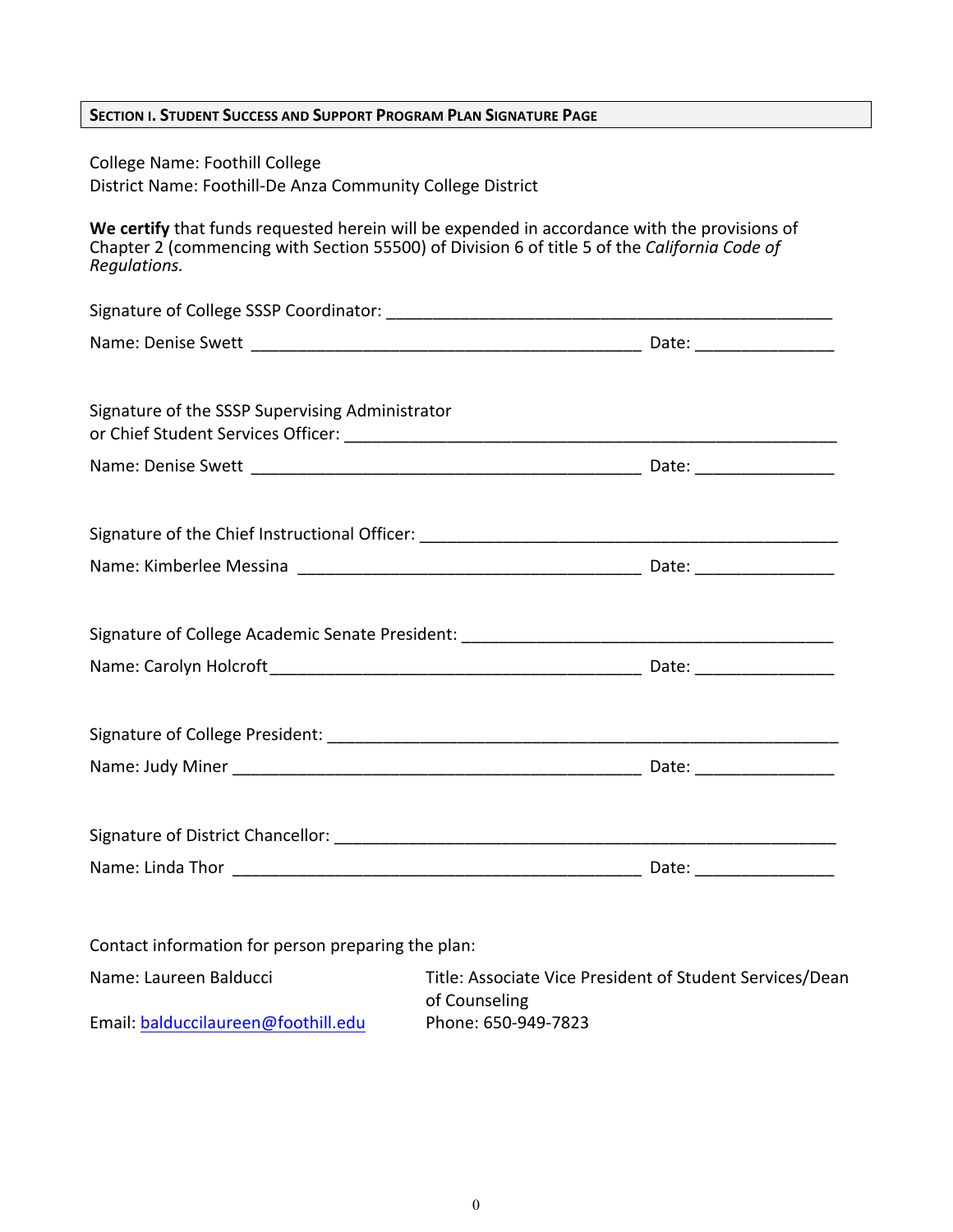| SECTION I. STUDENT SUCCESS AND SUPPORT PROGRAM PLAN SIGNATURE PAGE                                  |                                                                                                                                                                                              |  |
|-----------------------------------------------------------------------------------------------------|----------------------------------------------------------------------------------------------------------------------------------------------------------------------------------------------|--|
| <b>College Name: Foothill College</b><br>District Name: Foothill-De Anza Community College District |                                                                                                                                                                                              |  |
| Regulations.                                                                                        | We certify that funds requested herein will be expended in accordance with the provisions of<br>Chapter 2 (commencing with Section 55500) of Division 6 of title 5 of the California Code of |  |
|                                                                                                     |                                                                                                                                                                                              |  |
|                                                                                                     |                                                                                                                                                                                              |  |
| Signature of the SSSP Supervising Administrator                                                     |                                                                                                                                                                                              |  |
|                                                                                                     |                                                                                                                                                                                              |  |
|                                                                                                     |                                                                                                                                                                                              |  |
|                                                                                                     |                                                                                                                                                                                              |  |
|                                                                                                     |                                                                                                                                                                                              |  |
|                                                                                                     |                                                                                                                                                                                              |  |
|                                                                                                     |                                                                                                                                                                                              |  |
|                                                                                                     |                                                                                                                                                                                              |  |
|                                                                                                     |                                                                                                                                                                                              |  |
|                                                                                                     |                                                                                                                                                                                              |  |
|                                                                                                     |                                                                                                                                                                                              |  |
|                                                                                                     |                                                                                                                                                                                              |  |
| Contact information for person preparing the plan:                                                  |                                                                                                                                                                                              |  |
| Name: Laureen Balducci                                                                              | Title: Associate Vice President of Student Services/Dean<br>of Counseling                                                                                                                    |  |
| Email: balduccilaureen@foothill.edu                                                                 | Phone: 650-949-7823                                                                                                                                                                          |  |

 $\boldsymbol{0}$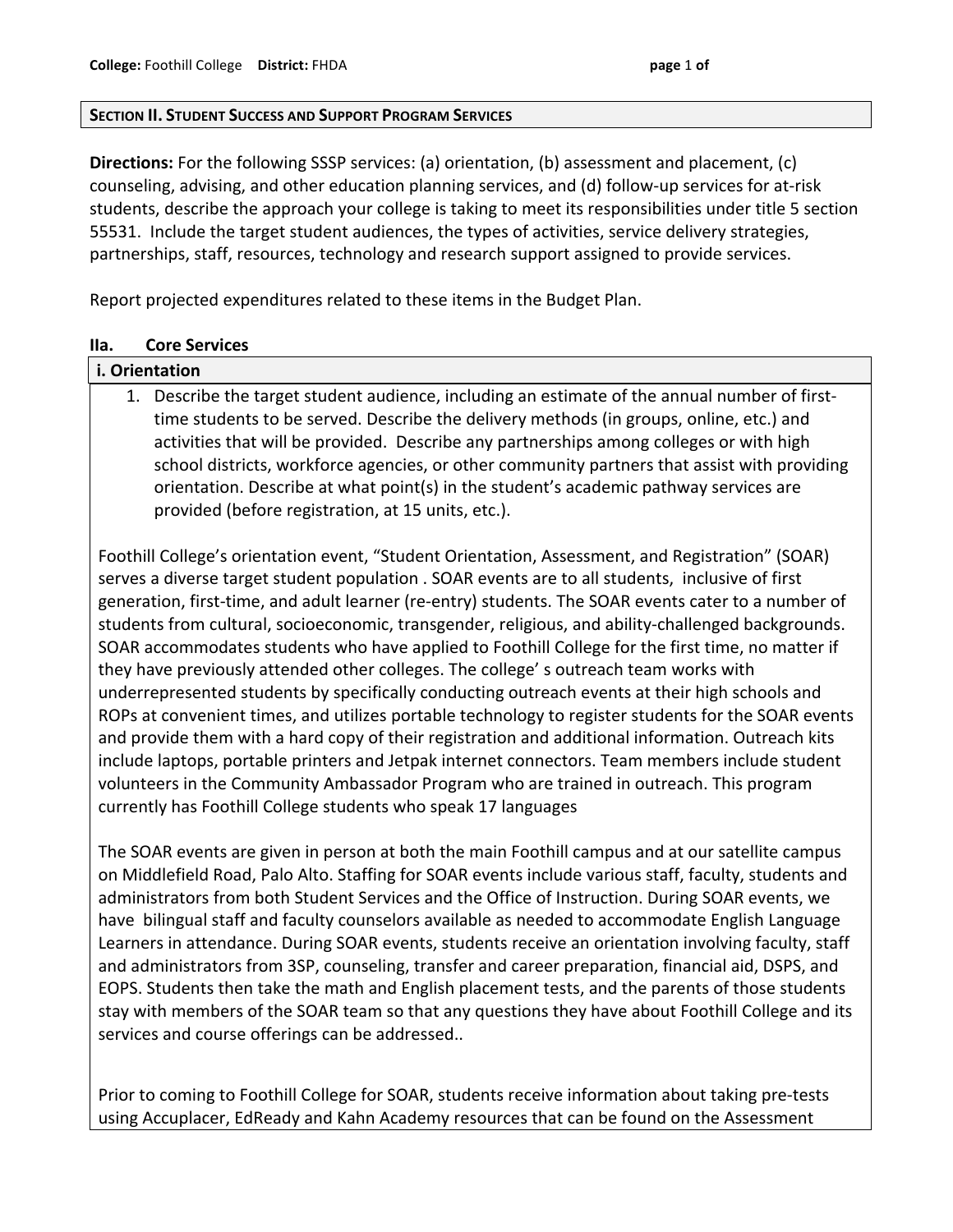#### **SECTION II. STUDENT SUCCESS AND SUPPORT PROGRAM SERVICES**

**Directions:** For the following SSSP services: (a) orientation, (b) assessment and placement, (c) counseling, advising, and other education planning services, and (d) follow-up services for at-risk students, describe the approach your college is taking to meet its responsibilities under title 5 section 55531. Include the target student audiences, the types of activities, service delivery strategies, partnerships, staff, resources, technology and research support assigned to provide services.

Report projected expenditures related to these items in the Budget Plan.

#### **IIa. Core!Services**

# **i.** Orientation

1. Describe the target student audience, including an estimate of the annual number of firsttime students to be served. Describe the delivery methods (in groups, online, etc.) and activities that will be provided. Describe any partnerships among colleges or with high school districts, workforce agencies, or other community partners that assist with providing orientation. Describe at what point(s) in the student's academic pathway services are provided (before registration, at 15 units, etc.).

Foothill College's orientation event, "Student Orientation, Assessment, and Registration" (SOAR) serves a diverse target student population . SOAR events are to all students, inclusive of first generation, first-time, and adult learner (re-entry) students. The SOAR events cater to a number of students from cultural, socioeconomic, transgender, religious, and ability-challenged backgrounds. SOAR accommodates students who have applied to Foothill College for the first time, no matter if they have previously attended other colleges. The college' s outreach team works with underrepresented students by specifically conducting outreach events at their high schools and ROPs at convenient times, and utilizes portable technology to register students for the SOAR events and provide them with a hard copy of their registration and additional information. Outreach kits include laptops, portable printers and Jetpak internet connectors. Team members include student volunteers in the Community Ambassador Program who are trained in outreach. This program currently has Foothill College students who speak 17 languages

The SOAR events are given in person at both the main Foothill campus and at our satellite campus on Middlefield Road, Palo Alto. Staffing for SOAR events include various staff, faculty, students and administrators from both Student Services and the Office of Instruction. During SOAR events, we have bilingual staff and faculty counselors available as needed to accommodate English Language Learners in attendance. During SOAR events, students receive an orientation involving faculty, staff and administrators from 3SP, counseling, transfer and career preparation, financial aid, DSPS, and EOPS. Students then take the math and English placement tests, and the parents of those students stay with members of the SOAR team so that any questions they have about Foothill College and its services and course offerings can be addressed..

Prior to coming to Foothill College for SOAR, students receive information about taking pre-tests using Accuplacer, EdReady and Kahn Academy resources that can be found on the Assessment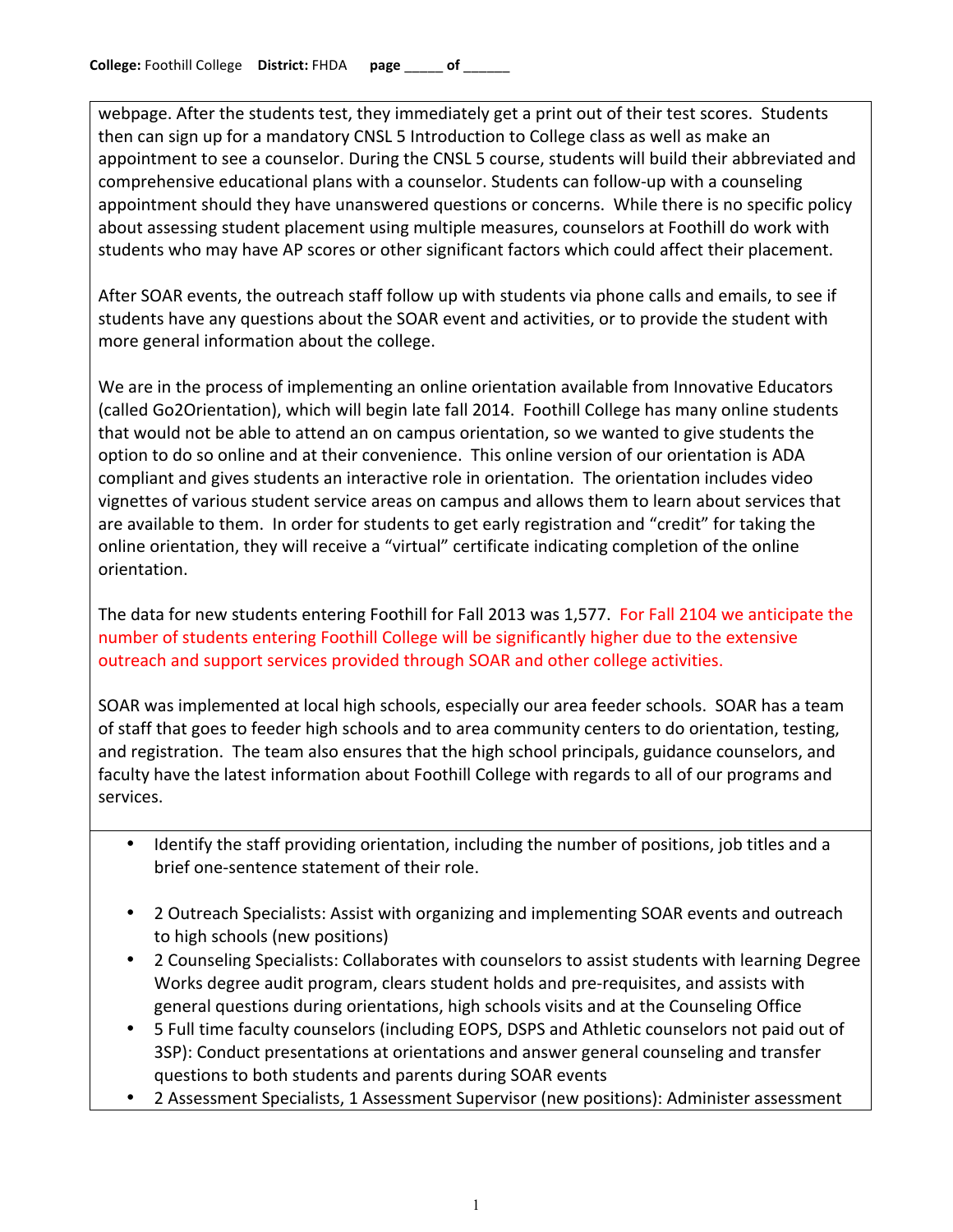webpage. After the students test, they immediately get a print out of their test scores. Students then can sign up for a mandatory CNSL 5 Introduction to College class as well as make an appointment to see a counselor. During the CNSL 5 course, students will build their abbreviated and comprehensive educational plans with a counselor. Students can follow-up with a counseling appointment should they have unanswered questions or concerns. While there is no specific policy about assessing student placement using multiple measures, counselors at Foothill do work with students who may have AP scores or other significant factors which could affect their placement.

After SOAR events, the outreach staff follow up with students via phone calls and emails, to see if students have any questions about the SOAR event and activities, or to provide the student with more general information about the college.

We are in the process of implementing an online orientation available from Innovative Educators (called Go2Orientation), which will begin late fall 2014. Foothill College has many online students that would not be able to attend an on campus orientation, so we wanted to give students the option to do so online and at their convenience. This online version of our orientation is ADA compliant and gives students an interactive role in orientation. The orientation includes video vignettes of various student service areas on campus and allows them to learn about services that are available to them. In order for students to get early registration and "credit" for taking the online orientation, they will receive a "virtual" certificate indicating completion of the online orientation.

The data for new students entering Foothill for Fall 2013 was 1,577. For Fall 2104 we anticipate the number of students entering Foothill College will be significantly higher due to the extensive outreach and support services provided through SOAR and other college activities.

SOAR was implemented at local high schools, especially our area feeder schools. SOAR has a team of staff that goes to feeder high schools and to area community centers to do orientation, testing, and registration. The team also ensures that the high school principals, guidance counselors, and faculty have the latest information about Foothill College with regards to all of our programs and services.

- Identify the staff providing orientation, including the number of positions, job titles and a brief one-sentence statement of their role.
- 2 Outreach Specialists: Assist with organizing and implementing SOAR events and outreach to high schools (new positions)
- 2 Counseling Specialists: Collaborates with counselors to assist students with learning Degree Works degree audit program, clears student holds and pre-requisites, and assists with general questions during orientations, high schools visits and at the Counseling Office
- 5 Full time faculty counselors (including EOPS, DSPS and Athletic counselors not paid out of 3SP): Conduct presentations at orientations and answer general counseling and transfer questions to both students and parents during SOAR events
- 2 Assessment Specialists, 1 Assessment Supervisor (new positions): Administer assessment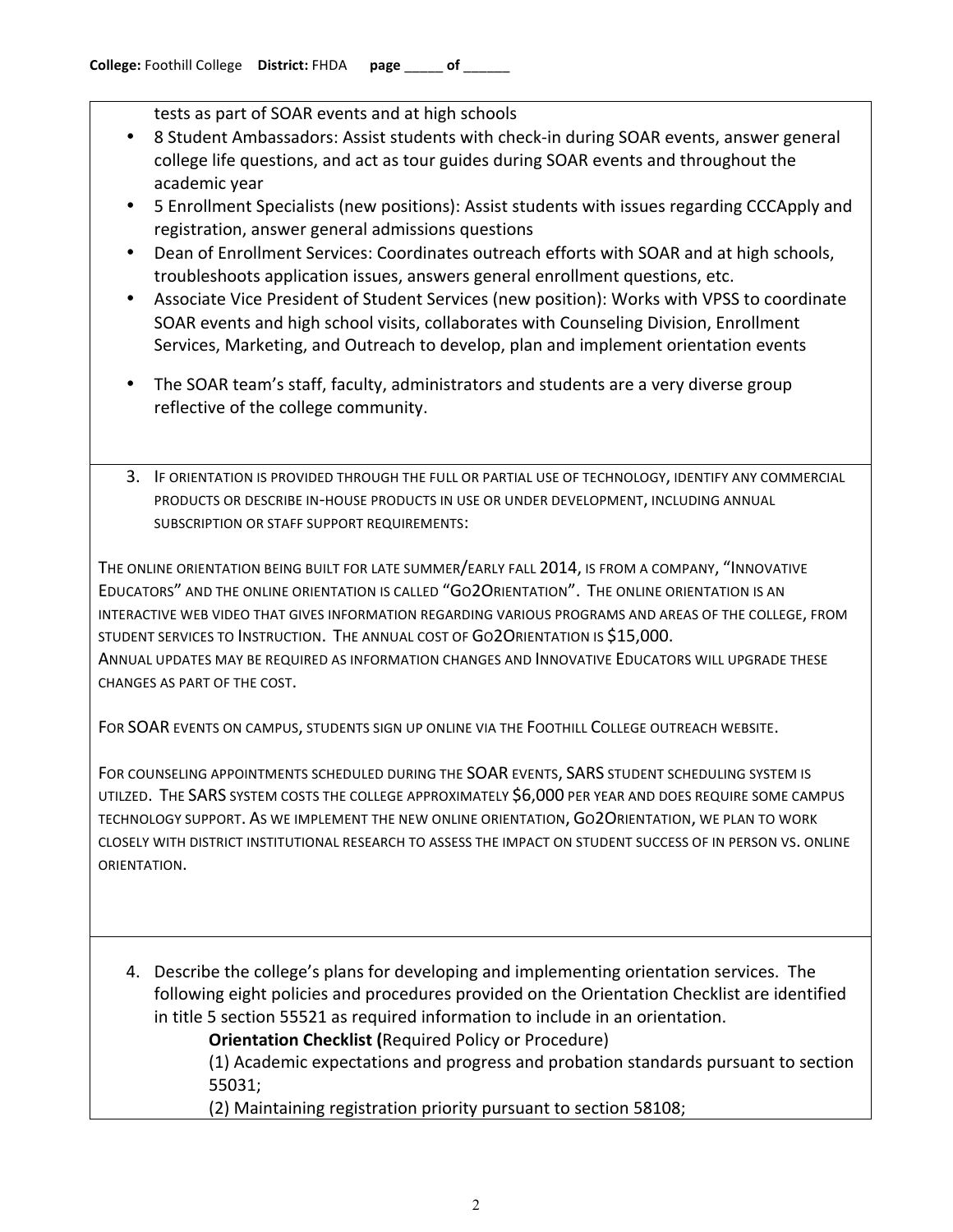tests as part of SOAR events and at high schools

- 8 Student Ambassadors: Assist students with check-in during SOAR events, answer general college life questions, and act as tour guides during SOAR events and throughout the academic year
- 5 Enrollment Specialists (new positions): Assist students with issues regarding CCCApply and registration, answer general admissions questions
- Dean of Enrollment Services: Coordinates outreach efforts with SOAR and at high schools, troubleshoots application issues, answers general enrollment questions, etc.
- Associate Vice President of Student Services (new position): Works with VPSS to coordinate SOAR events and high school visits, collaborates with Counseling Division, Enrollment Services, Marketing, and Outreach to develop, plan and implement orientation events
- The SOAR team's staff, faculty, administrators and students are a very diverse group reflective of the college community.
- 3. IF ORIENTATION IS PROVIDED THROUGH THE FULL OR PARTIAL USE OF TECHNOLOGY, IDENTIFY ANY COMMERCIAL PRODUCTS OR DESCRIBE IN-HOUSE PRODUCTS IN USE OR UNDER DEVELOPMENT, INCLUDING ANNUAL SUBSCRIPTION OR STAFF SUPPORT REQUIREMENTS:

THE ONLINE ORIENTATION BEING BUILT FOR LATE SUMMER/EARLY FALL 2014, IS FROM A COMPANY, "INNOVATIVE EDUCATORS" AND THE ONLINE ORIENTATION IS CALLED "GO2ORIENTATION". THE ONLINE ORIENTATION IS AN INTERACTIVE WEB VIDEO THAT GIVES INFORMATION REGARDING VARIOUS PROGRAMS AND AREAS OF THE COLLEGE, FROM STUDENT SERVICES TO INSTRUCTION. THE ANNUAL COST OF GO2ORIENTATION IS \$15,000. ANNUAL UPDATES MAY BE REQUIRED AS INFORMATION CHANGES AND INNOVATIVE EDUCATORS WILL UPGRADE THESE CHANGES AS PART OF THE COST.

FOR SOAR EVENTS ON CAMPUS, STUDENTS SIGN UP ONLINE VIA THE FOOTHILL COLLEGE OUTREACH WEBSITE.

FOR COUNSELING APPOINTMENTS SCHEDULED DURING THE SOAR EVENTS, SARS STUDENT SCHEDULING SYSTEM IS UTILZED. THE SARS SYSTEM COSTS THE COLLEGE APPROXIMATELY \$6,000 PER YEAR AND DOES REQUIRE SOME CAMPUS TECHNOLOGY SUPPORT. AS WE IMPLEMENT THE NEW ONLINE ORIENTATION, GO2ORIENTATION, WE PLAN TO WORK CLOSELY WITH DISTRICT INSTITUTIONAL RESEARCH TO ASSESS THE IMPACT ON STUDENT SUCCESS OF IN PERSON VS. ONLINE ORIENTATION.

4. Describe the college's plans for developing and implementing orientation services. The following eight policies and procedures provided on the Orientation Checklist are identified in title 5 section 55521 as required information to include in an orientation.

**Orientation Checklist (Required Policy or Procedure)** 

(1) Academic expectations and progress and probation standards pursuant to section 55031;

(2) Maintaining registration priority pursuant to section 58108;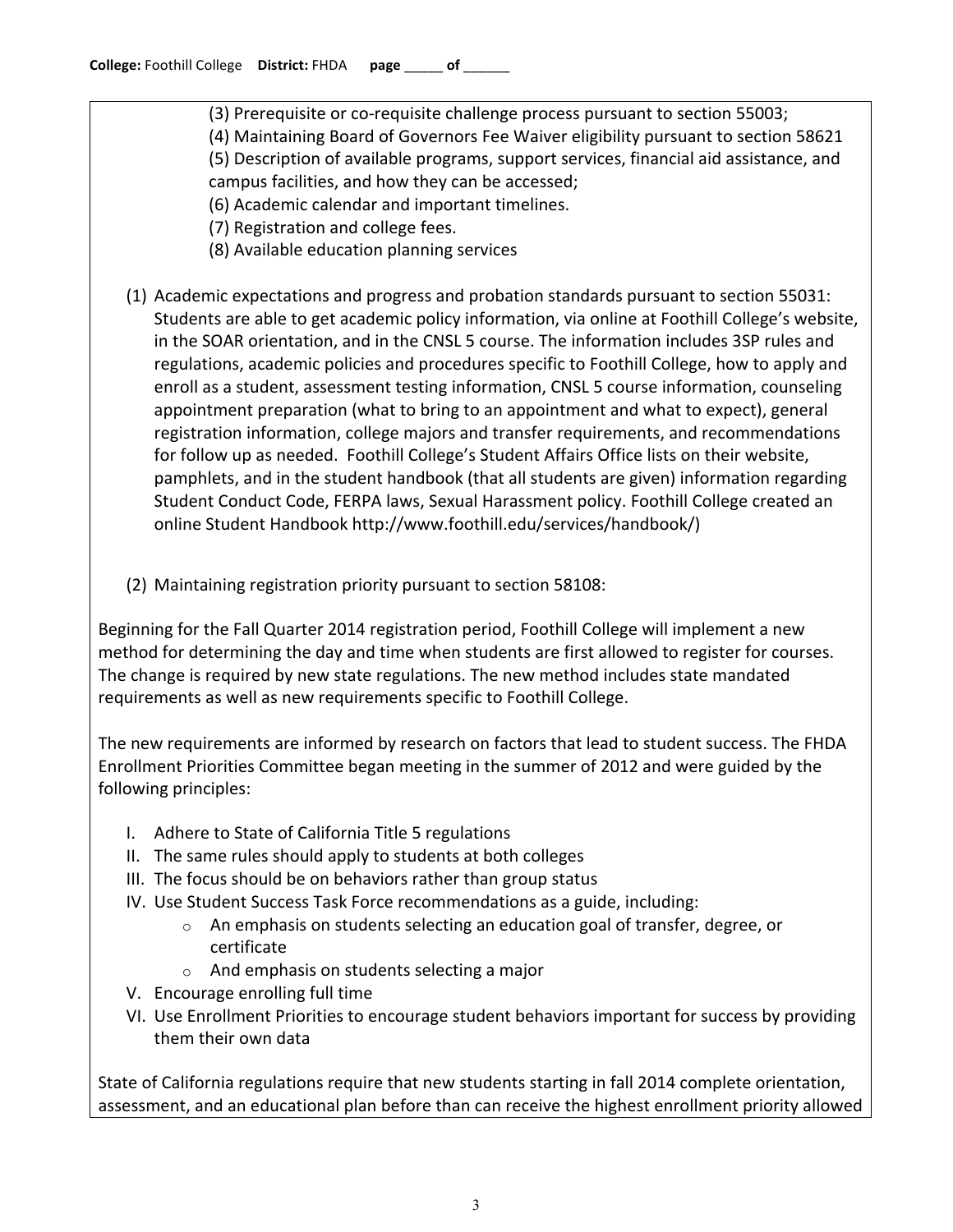- (3) Prerequisite or co-requisite challenge process pursuant to section 55003;
- (4) Maintaining Board of Governors Fee Waiver eligibility pursuant to section 58621
- (5) Description of available programs, support services, financial aid assistance, and
- campus facilities, and how they can be accessed;
- (6) Academic calendar and important timelines.
- (7) Registration and college fees.
- (8) Available education planning services
- (1) Academic expectations and progress and probation standards pursuant to section 55031: Students are able to get academic policy information, via online at Foothill College's website, in the SOAR orientation, and in the CNSL 5 course. The information includes 3SP rules and regulations, academic policies and procedures specific to Foothill College, how to apply and enroll as a student, assessment testing information, CNSL 5 course information, counseling appointment preparation (what to bring to an appointment and what to expect), general registration information, college majors and transfer requirements, and recommendations for follow up as needed. Foothill College's Student Affairs Office lists on their website, pamphlets, and in the student handbook (that all students are given) information regarding Student Conduct Code, FERPA laws, Sexual Harassment policy. Foothill College created an online Student Handbook http://www.foothill.edu/services/handbook/)
- (2) Maintaining registration priority pursuant to section 58108:

Beginning for the Fall Quarter 2014 registration period, Foothill College will implement a new method for determining the day and time when students are first allowed to register for courses. The change is required by new state regulations. The new method includes state mandated requirements as well as new requirements specific to Foothill College.

The new requirements are informed by research on factors that lead to student success. The FHDA Enrollment Priorities Committee began meeting in the summer of 2012 and were guided by the following principles:

- I. Adhere to State of California Title 5 regulations
- II. The same rules should apply to students at both colleges
- III. The focus should be on behaviors rather than group status
- IV. Use Student Success Task Force recommendations as a guide, including:
	- $\circ$  An emphasis on students selecting an education goal of transfer, degree, or certificate
	- $\circ$  And emphasis on students selecting a major
- V. Encourage enrolling full time
- VI. Use Enrollment Priorities to encourage student behaviors important for success by providing them their own data

State of California regulations require that new students starting in fall 2014 complete orientation, assessment, and an educational plan before than can receive the highest enrollment priority allowed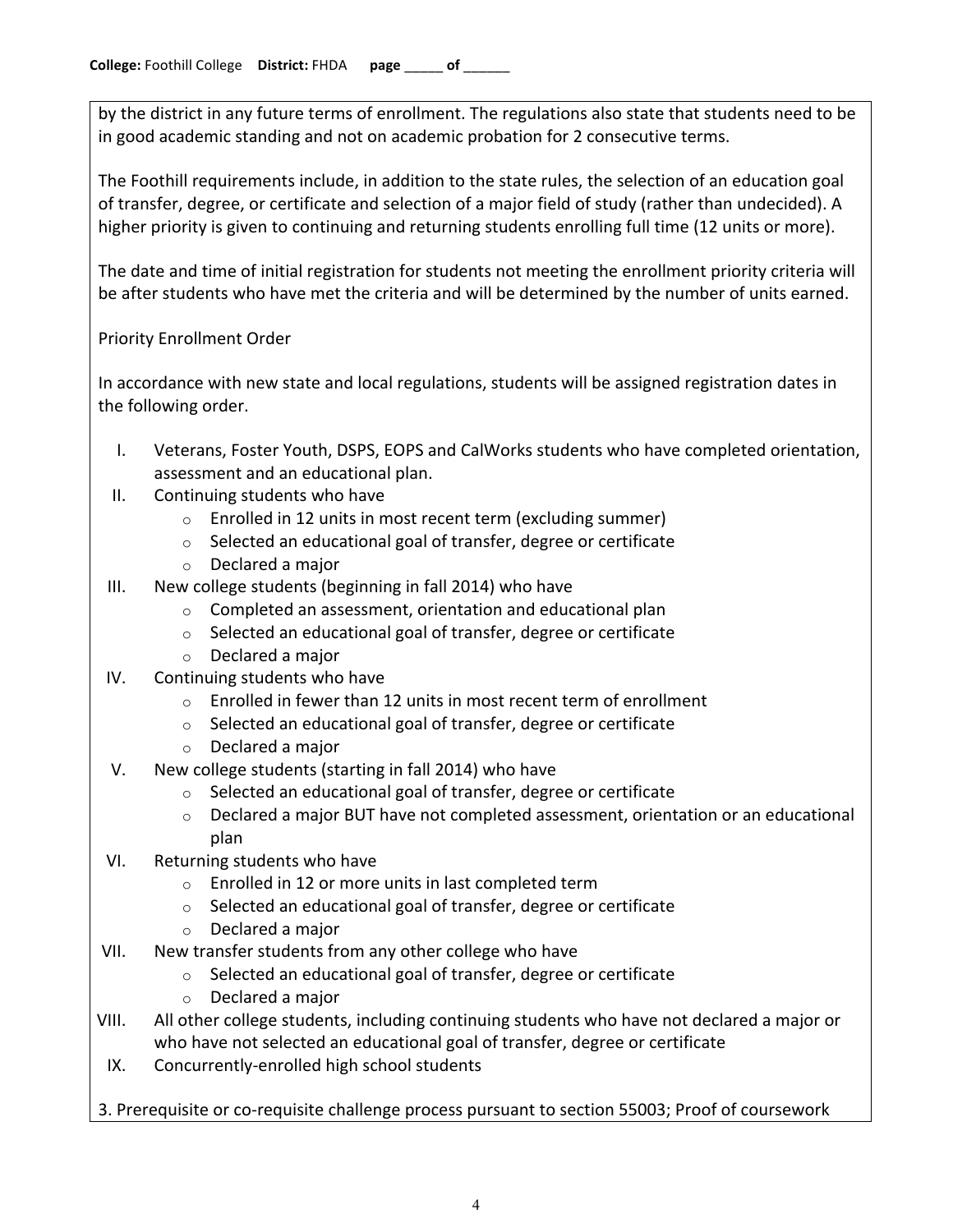by the district in any future terms of enrollment. The regulations also state that students need to be in good academic standing and not on academic probation for 2 consecutive terms.

The Foothill requirements include, in addition to the state rules, the selection of an education goal of transfer, degree, or certificate and selection of a major field of study (rather than undecided). A higher priority is given to continuing and returning students enrolling full time (12 units or more).

The date and time of initial registration for students not meeting the enrollment priority criteria will be after students who have met the criteria and will be determined by the number of units earned.

Priority Enrollment Order

In accordance with new state and local regulations, students will be assigned registration dates in the following order.

- I. Veterans, Foster Youth, DSPS, EOPS and CalWorks students who have completed orientation, assessment and an educational plan.
- II. Continuing students who have
	- $\circ$  Enrolled in 12 units in most recent term (excluding summer)
	- $\circ$  Selected an educational goal of transfer, degree or certificate
	- $\circ$  Declared a major
- III. New college students (beginning in fall 2014) who have
	- $\circ$  Completed an assessment, orientation and educational plan
	- $\circ$  Selected an educational goal of transfer, degree or certificate
	- $\circ$  Declared a major
- IV. Continuing students who have
	- $\circ$  Enrolled in fewer than 12 units in most recent term of enrollment
	- $\circ$  Selected an educational goal of transfer, degree or certificate
	- $\circ$  Declared a major
- V. New college students (starting in fall 2014) who have
	- $\circ$  Selected an educational goal of transfer, degree or certificate
	- $\circ$  Declared a major BUT have not completed assessment, orientation or an educational plan
- VI. Returning students who have
	- $\circ$  Enrolled in 12 or more units in last completed term
	- $\circ$  Selected an educational goal of transfer, degree or certificate
	- $\circ$  Declared a major
- VII. New transfer students from any other college who have
	- $\circ$  Selected an educational goal of transfer, degree or certificate
	- $\circ$  Declared a major
- VIII. All other college students, including continuing students who have not declared a major or who have not selected an educational goal of transfer, degree or certificate
- IX. Concurrently-enrolled high school students

3. Prerequisite or co-requisite challenge process pursuant to section 55003; Proof of coursework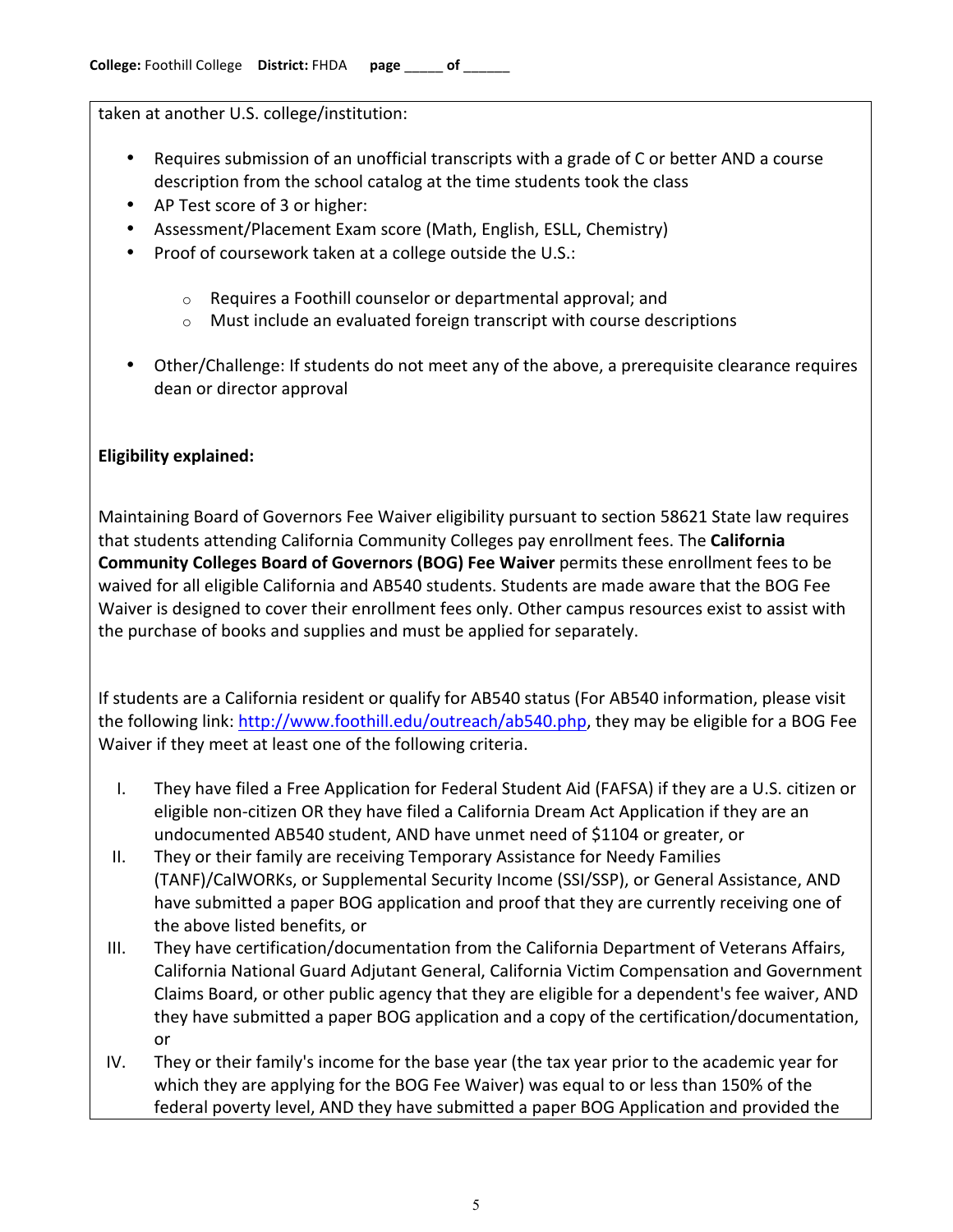taken at another U.S. college/institution:

- Requires submission of an unofficial transcripts with a grade of C or better AND a course description from the school catalog at the time students took the class
- AP Test score of 3 or higher:
- Assessment/Placement Exam score (Math, English, ESLL, Chemistry)
- Proof of coursework taken at a college outside the U.S.:
	- $\circ$  Requires a Foothill counselor or departmental approval; and
	- $\circ$  Must include an evaluated foreign transcript with course descriptions
- Other/Challenge: If students do not meet any of the above, a prerequisite clearance requires dean or director approval

# **Eligibility explained:**

Maintaining Board of Governors Fee Waiver eligibility pursuant to section 58621 State law requires that students attending California Community Colleges pay enrollment fees. The **California Community Colleges Board of Governors (BOG) Fee Waiver** permits these enrollment fees to be waived for all eligible California and AB540 students. Students are made aware that the BOG Fee Waiver is designed to cover their enrollment fees only. Other campus resources exist to assist with the purchase of books and supplies and must be applied for separately.

If students are a California resident or qualify for AB540 status (For AB540 information, please visit the following link: http://www.foothill.edu/outreach/ab540.php, they may be eligible for a BOG Fee Waiver if they meet at least one of the following criteria.

- I. They have filed a Free Application for Federal Student Aid (FAFSA) if they are a U.S. citizen or eligible non-citizen OR they have filed a California Dream Act Application if they are an undocumented AB540 student, AND have unmet need of \$1104 or greater, or
- II. They or their family are receiving Temporary Assistance for Needy Families (TANF)/CalWORKs, or Supplemental Security Income (SSI/SSP), or General Assistance, AND have submitted a paper BOG application and proof that they are currently receiving one of the above listed benefits, or
- III. They have certification/documentation from the California Department of Veterans Affairs, California National Guard Adjutant General, California Victim Compensation and Government Claims Board, or other public agency that they are eligible for a dependent's fee waiver, AND they have submitted a paper BOG application and a copy of the certification/documentation, or
- IV. They or their family's income for the base year (the tax year prior to the academic year for which they are applying for the BOG Fee Waiver) was equal to or less than 150% of the federal poverty level, AND they have submitted a paper BOG Application and provided the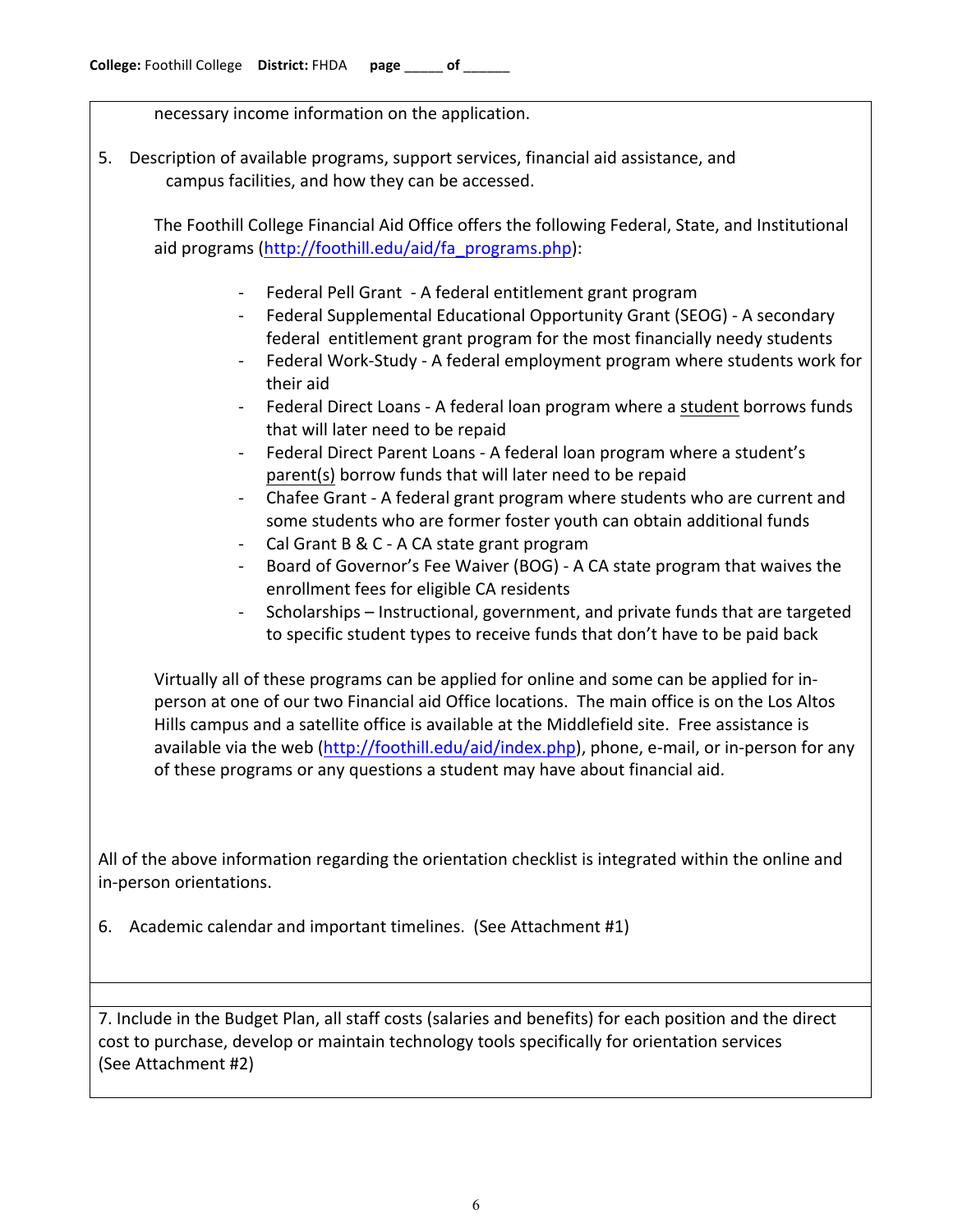necessary income information on the application.

5. Description of available programs, support services, financial aid assistance, and campus facilities, and how they can be accessed.

The Foothill College Financial Aid Office offers the following Federal, State, and Institutional aid programs (http://foothill.edu/aid/fa\_programs.php):

- Federal Pell Grant A federal entitlement grant program
- Federal Supplemental Educational Opportunity Grant (SEOG) A secondary federal entitlement grant program for the most financially needy students
- Federal Work-Study A federal employment program where students work for their aid
- Federal Direct Loans A federal loan program where a student borrows funds that will later need to be repaid
- Federal Direct Parent Loans A federal loan program where a student's parent(s) borrow funds that will later need to be repaid
- Chafee Grant A federal grant program where students who are current and some students who are former foster youth can obtain additional funds
- Cal Grant B & C A CA state grant program
- Board of Governor's Fee Waiver (BOG) A CA state program that waives the enrollment fees for eligible CA residents
- Scholarships Instructional, government, and private funds that are targeted to specific student types to receive funds that don't have to be paid back

Virtually all of these programs can be applied for online and some can be applied for inperson at one of our two Financial aid Office locations. The main office is on the Los Altos Hills campus and a satellite office is available at the Middlefield site. Free assistance is available via the web (http://foothill.edu/aid/index.php), phone, e-mail, or in-person for any of these programs or any questions a student may have about financial aid.

All of the above information regarding the orientation checklist is integrated within the online and in-person orientations.

6. Academic calendar and important timelines. (See Attachment #1)

7. Include in the Budget Plan, all staff costs (salaries and benefits) for each position and the direct cost to purchase, develop or maintain technology tools specifically for orientation services (See Attachment #2)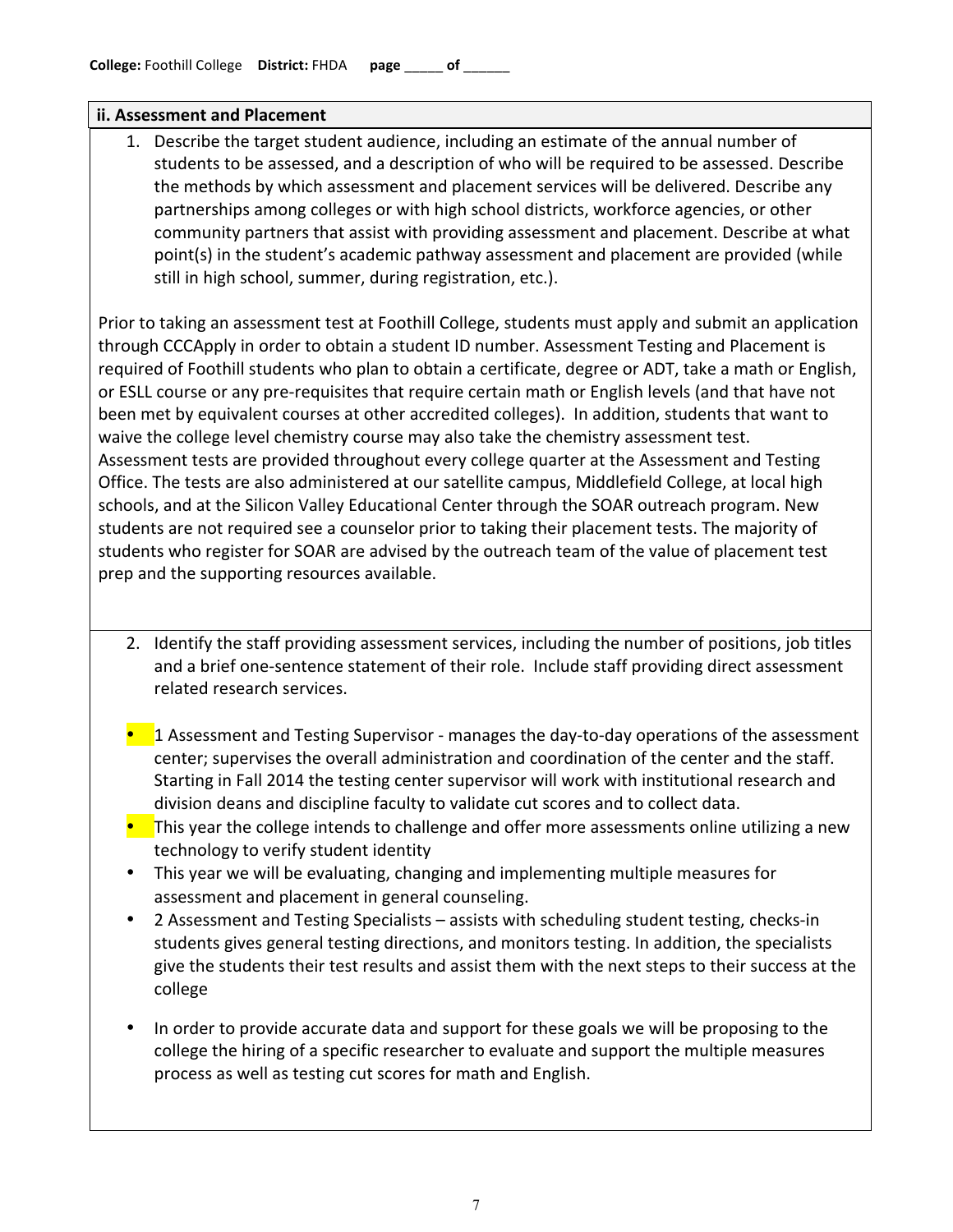#### **ii.!Assessment and!Placement**

1. Describe the target student audience, including an estimate of the annual number of students to be assessed, and a description of who will be required to be assessed. Describe the methods by which assessment and placement services will be delivered. Describe any partnerships among colleges or with high school districts, workforce agencies, or other community partners that assist with providing assessment and placement. Describe at what point(s) in the student's academic pathway assessment and placement are provided (while still in high school, summer, during registration, etc.).

Prior to taking an assessment test at Foothill College, students must apply and submit an application through CCCApply in order to obtain a student ID number. Assessment Testing and Placement is required of Foothill students who plan to obtain a certificate, degree or ADT, take a math or English, or ESLL course or any pre-requisites that require certain math or English levels (and that have not been met by equivalent courses at other accredited colleges). In addition, students that want to waive the college level chemistry course may also take the chemistry assessment test. Assessment tests are provided throughout every college quarter at the Assessment and Testing Office. The tests are also administered at our satellite campus, Middlefield College, at local high schools, and at the Silicon Valley Educational Center through the SOAR outreach program. New students are not required see a counselor prior to taking their placement tests. The majority of students who register for SOAR are advised by the outreach team of the value of placement test prep and the supporting resources available.

- 2. Identify the staff providing assessment services, including the number of positions, job titles and a brief one-sentence statement of their role. Include staff providing direct assessment related research services.
- $\blacksquare$  1 Assessment and Testing Supervisor manages the day-to-day operations of the assessment center; supervises the overall administration and coordination of the center and the staff. Starting in Fall 2014 the testing center supervisor will work with institutional research and division deans and discipline faculty to validate cut scores and to collect data.
- This year the college intends to challenge and offer more assessments online utilizing a new technology to verify student identity
- This year we will be evaluating, changing and implementing multiple measures for assessment and placement in general counseling.
- 2 Assessment and Testing Specialists assists with scheduling student testing, checks-in students gives general testing directions, and monitors testing. In addition, the specialists give the students their test results and assist them with the next steps to their success at the college
- In order to provide accurate data and support for these goals we will be proposing to the college the hiring of a specific researcher to evaluate and support the multiple measures process as well as testing cut scores for math and English.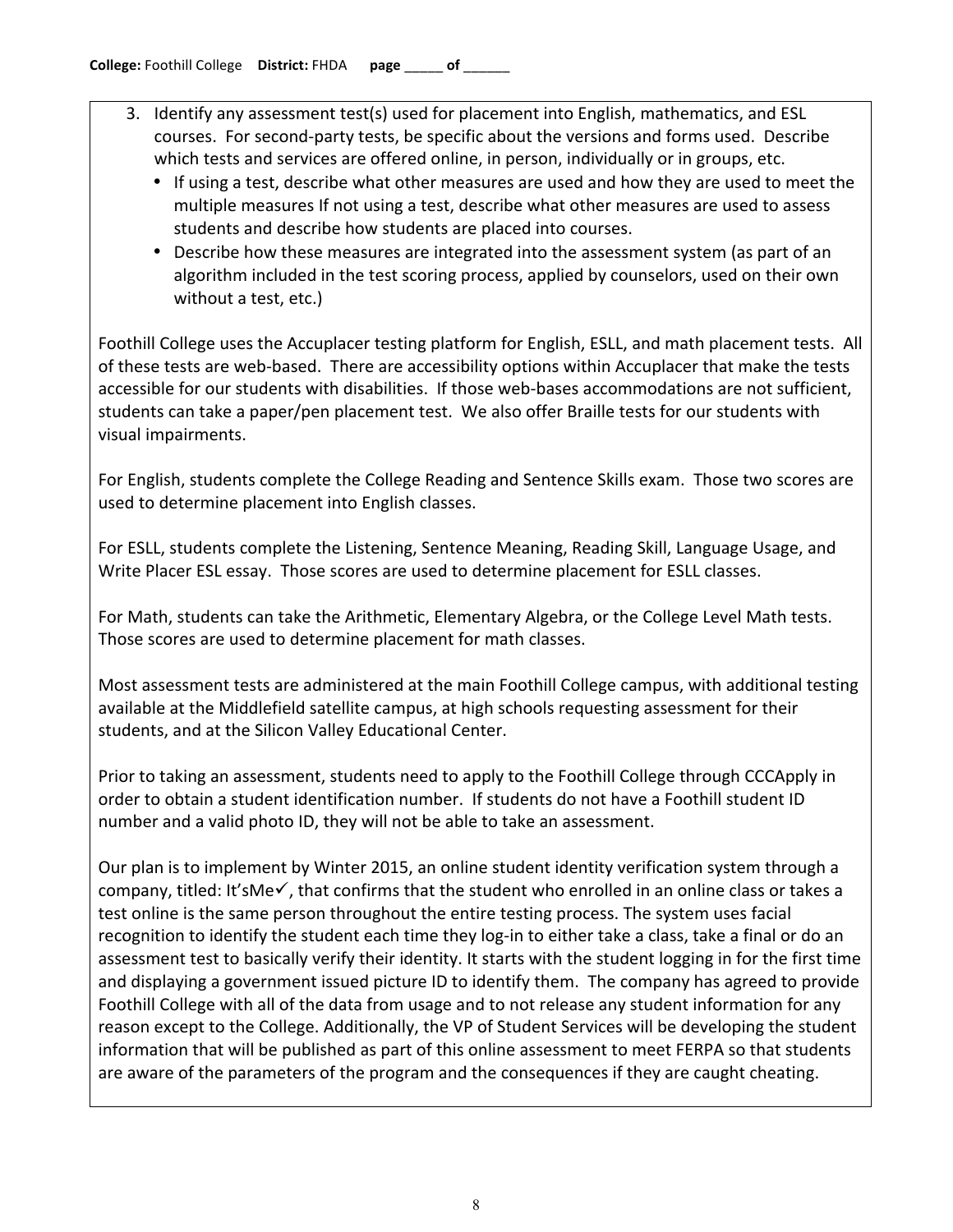- 3. Identify any assessment test(s) used for placement into English, mathematics, and ESL courses. For second-party tests, be specific about the versions and forms used. Describe which tests and services are offered online, in person, individually or in groups, etc.
	- If using a test, describe what other measures are used and how they are used to meet the multiple measures If not using a test, describe what other measures are used to assess students and describe how students are placed into courses.
	- Describe how these measures are integrated into the assessment system (as part of an algorithm included in the test scoring process, applied by counselors, used on their own without a test, etc.)

Foothill College uses the Accuplacer testing platform for English, ESLL, and math placement tests. All of these tests are web-based. There are accessibility options within Accuplacer that make the tests accessible for our students with disabilities. If those web-bases accommodations are not sufficient, students can take a paper/pen placement test. We also offer Braille tests for our students with visual impairments.

For English, students complete the College Reading and Sentence Skills exam. Those two scores are used to determine placement into English classes.

For ESLL, students complete the Listening, Sentence Meaning, Reading Skill, Language Usage, and Write Placer ESL essay. Those scores are used to determine placement for ESLL classes.

For Math, students can take the Arithmetic, Elementary Algebra, or the College Level Math tests. Those scores are used to determine placement for math classes.

Most assessment tests are administered at the main Foothill College campus, with additional testing available at the Middlefield satellite campus, at high schools requesting assessment for their students, and at the Silicon Valley Educational Center.

Prior to taking an assessment, students need to apply to the Foothill College through CCCApply in order to obtain a student identification number. If students do not have a Foothill student ID number and a valid photo ID, they will not be able to take an assessment.

Our plan is to implement by Winter 2015, an online student identity verification system through a company, titled: It'sMe $\checkmark$ , that confirms that the student who enrolled in an online class or takes a test online is the same person throughout the entire testing process. The system uses facial recognition to identify the student each time they log-in to either take a class, take a final or do an assessment test to basically verify their identity. It starts with the student logging in for the first time and displaying a government issued picture ID to identify them. The company has agreed to provide Foothill College with all of the data from usage and to not release any student information for any reason except to the College. Additionally, the VP of Student Services will be developing the student information that will be published as part of this online assessment to meet FERPA so that students are aware of the parameters of the program and the consequences if they are caught cheating.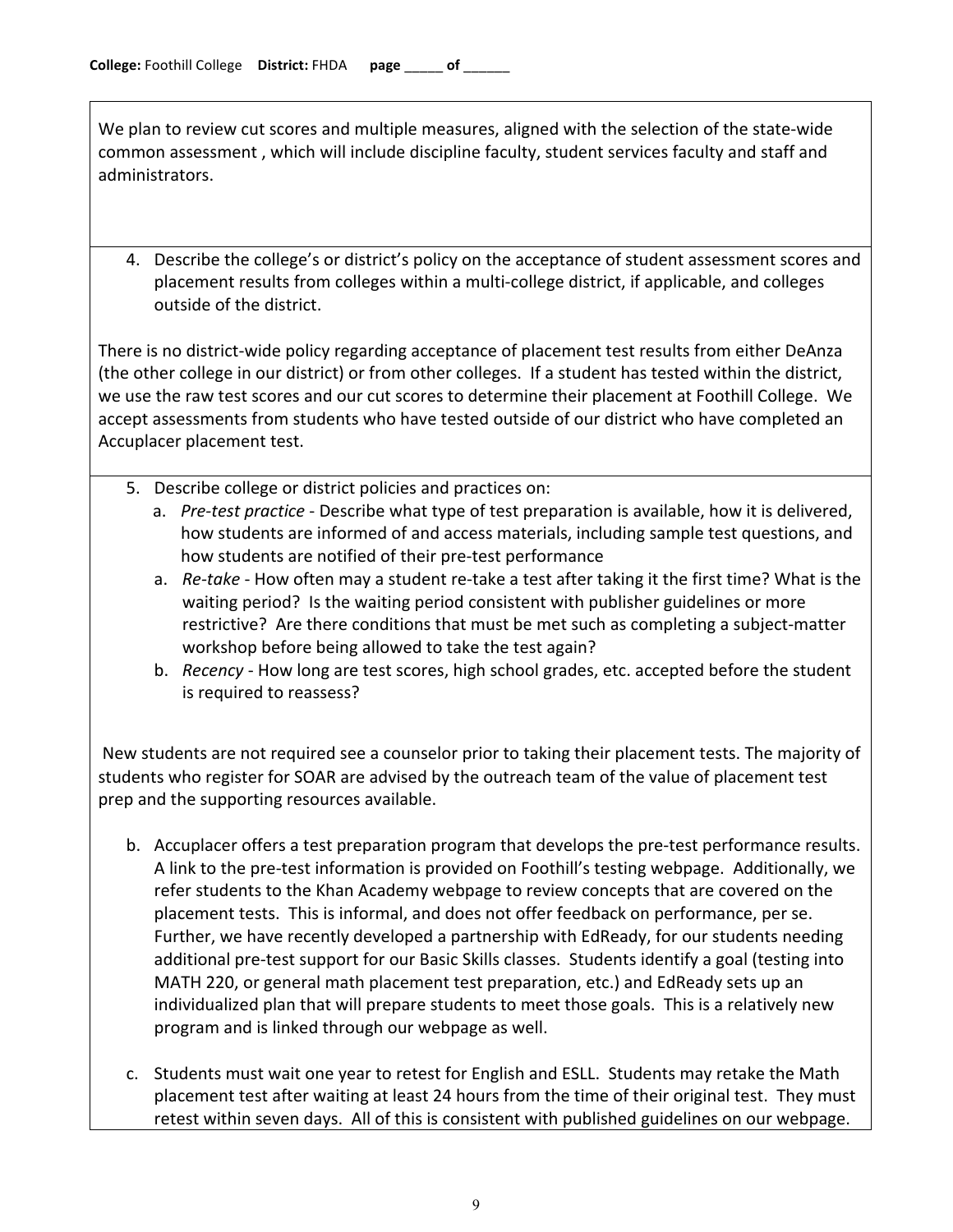We plan to review cut scores and multiple measures, aligned with the selection of the state-wide common assessment, which will include discipline faculty, student services faculty and staff and administrators.

4. Describe the college's or district's policy on the acceptance of student assessment scores and placement results from colleges within a multi-college district, if applicable, and colleges outside of the district.

There is no district-wide policy regarding acceptance of placement test results from either DeAnza (the other college in our district) or from other colleges. If a student has tested within the district, we use the raw test scores and our cut scores to determine their placement at Foothill College. We accept assessments from students who have tested outside of our district who have completed an Accuplacer placement test.

- 5. Describe college or district policies and practices on:
	- a. *Pre-test practice* Describe what type of test preparation is available, how it is delivered, how students are informed of and access materials, including sample test questions, and how students are notified of their pre-test performance
	- a. *Re-take* How often may a student re-take a test after taking it the first time? What is the waiting period? Is the waiting period consistent with publisher guidelines or more restrictive? Are there conditions that must be met such as completing a subject-matter workshop before being allowed to take the test again?
	- b. *Recency* How long are test scores, high school grades, etc. accepted before the student is required to reassess?

New students are not required see a counselor prior to taking their placement tests. The majority of students who register for SOAR are advised by the outreach team of the value of placement test prep and the supporting resources available.

- b. Accuplacer offers a test preparation program that develops the pre-test performance results. A link to the pre-test information is provided on Foothill's testing webpage. Additionally, we refer students to the Khan Academy webpage to review concepts that are covered on the placement tests. This is informal, and does not offer feedback on performance, per se. Further, we have recently developed a partnership with EdReady, for our students needing additional pre-test support for our Basic Skills classes. Students identify a goal (testing into MATH 220, or general math placement test preparation, etc.) and EdReady sets up an individualized plan that will prepare students to meet those goals. This is a relatively new program and is linked through our webpage as well.
- c. Students must wait one year to retest for English and ESLL. Students may retake the Math placement test after waiting at least 24 hours from the time of their original test. They must retest within seven days. All of this is consistent with published guidelines on our webpage.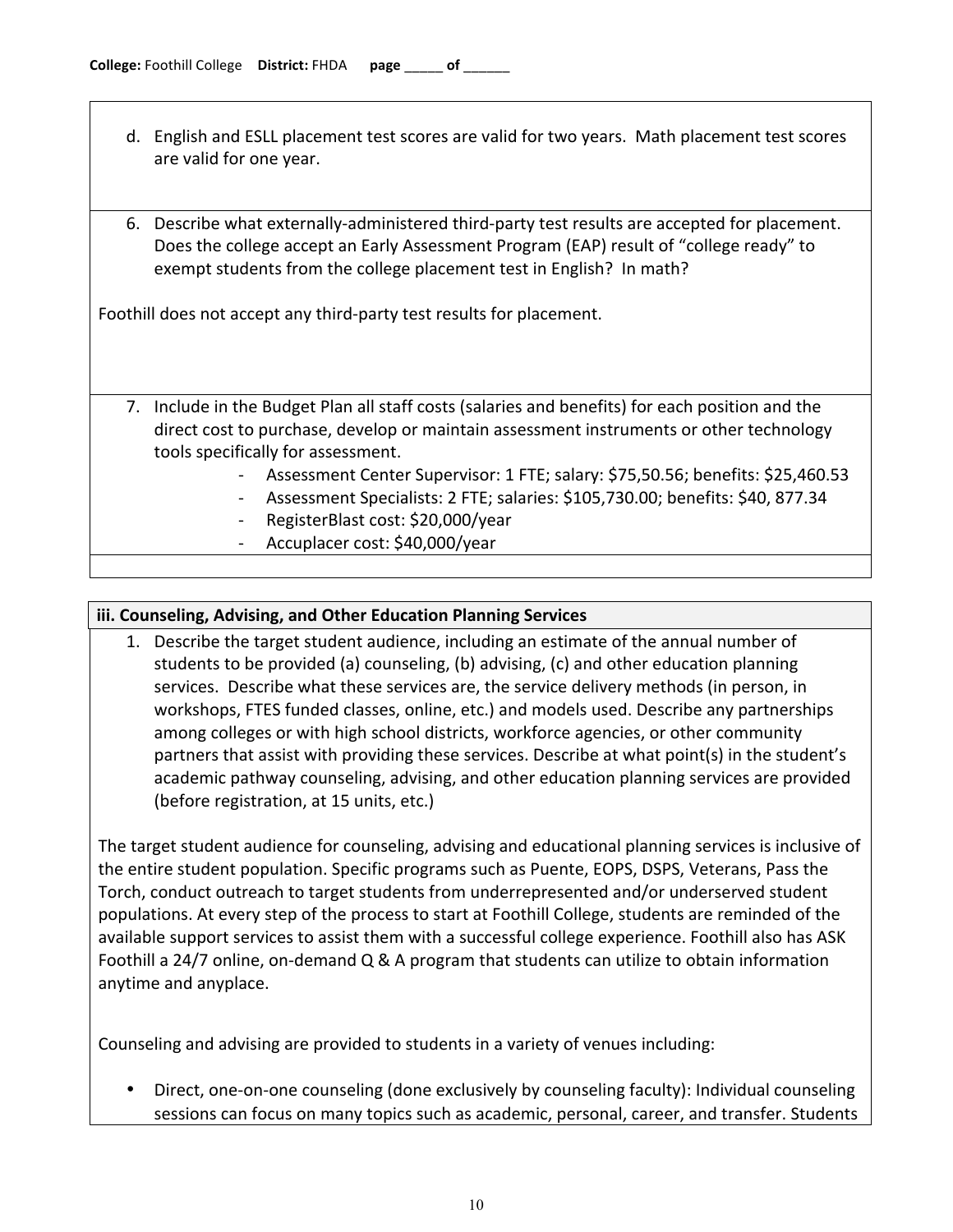- d. English and ESLL placement test scores are valid for two years. Math placement test scores are valid for one year.
- 6. Describe what externally-administered third-party test results are accepted for placement. Does the college accept an Early Assessment Program (EAP) result of "college ready" to exempt students from the college placement test in English? In math?

Foothill does not accept any third-party test results for placement.

- 7. Include in the Budget Plan all staff costs (salaries and benefits) for each position and the direct cost to purchase, develop or maintain assessment instruments or other technology tools specifically for assessment.
	- Assessment Center Supervisor: 1 FTE; salary: \$75,50.56; benefits: \$25,460.53
	- Assessment Specialists: 2 FTE; salaries: \$105,730.00; benefits: \$40, 877.34
	- RegisterBlast cost: \$20,000/year
	- Accuplacer cost: \$40,000/year

### **iii. Counseling, Advising, and Other Education Planning Services**

1. Describe the target student audience, including an estimate of the annual number of students to be provided (a) counseling, (b) advising, (c) and other education planning services. Describe what these services are, the service delivery methods (in person, in workshops, FTES funded classes, online, etc.) and models used. Describe any partnerships among colleges or with high school districts, workforce agencies, or other community partners that assist with providing these services. Describe at what point(s) in the student's academic pathway counseling, advising, and other education planning services are provided (before registration, at 15 units, etc.)

The target student audience for counseling, advising and educational planning services is inclusive of the entire student population. Specific programs such as Puente, EOPS, DSPS, Veterans, Pass the Torch, conduct outreach to target students from underrepresented and/or underserved student populations. At every step of the process to start at Foothill College, students are reminded of the available support services to assist them with a successful college experience. Foothill also has ASK Foothill a 24/7 online, on-demand  $Q & A$  program that students can utilize to obtain information anytime and anyplace.

Counseling and advising are provided to students in a variety of venues including:

Direct, one-on-one counseling (done exclusively by counseling faculty): Individual counseling sessions can focus on many topics such as academic, personal, career, and transfer. Students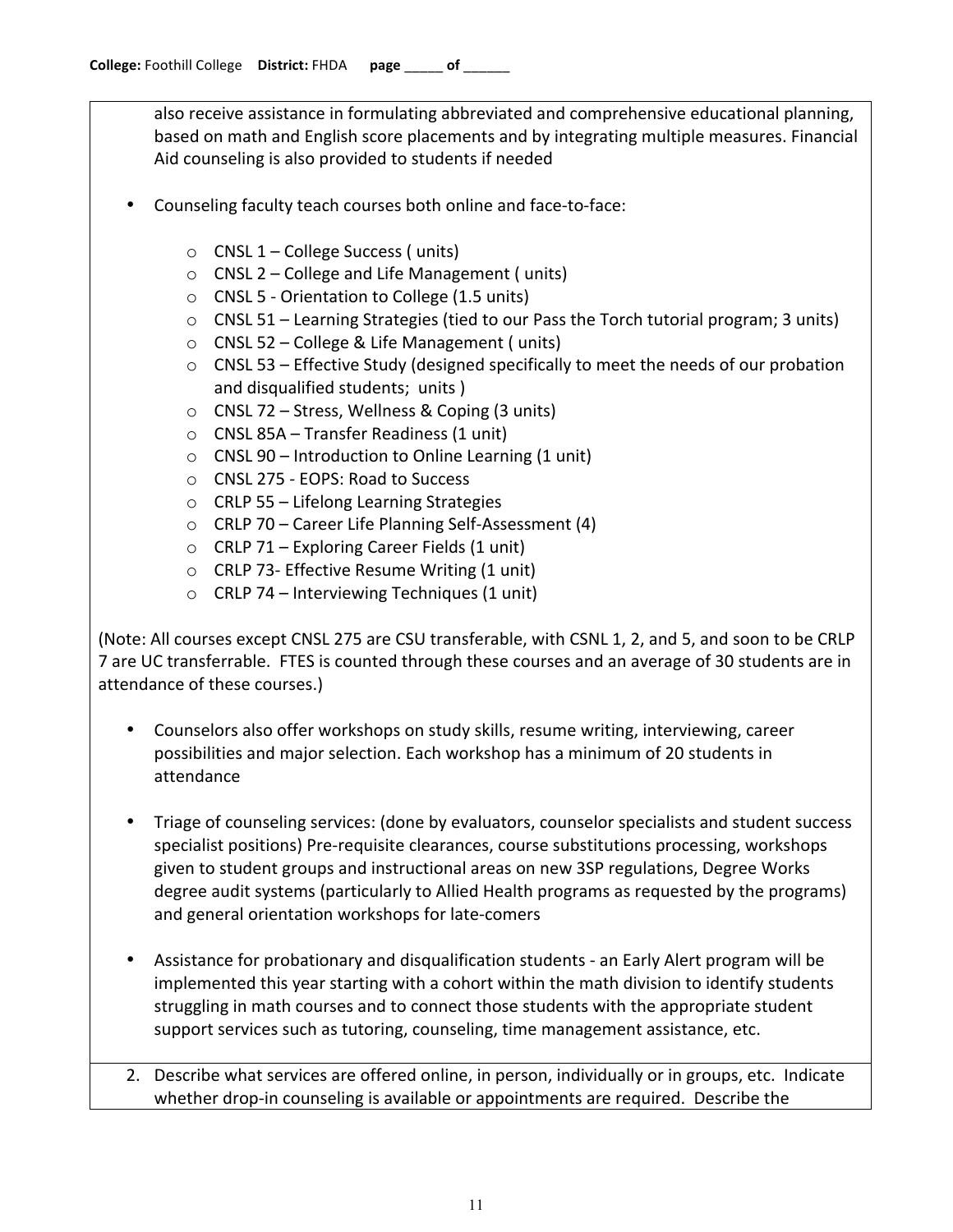also receive assistance in formulating abbreviated and comprehensive educational planning, based on math and English score placements and by integrating multiple measures. Financial Aid counseling is also provided to students if needed

- Counseling faculty teach courses both online and face-to-face:
	- $\circ$  CNSL 1 College Success ( units)
	- $\circ$  CNSL 2 College and Life Management (units)
	- $\circ$  CNSL 5 Orientation to College (1.5 units)
	- $\circ$  CNSL 51 Learning Strategies (tied to our Pass the Torch tutorial program; 3 units)
	- $\circ$  CNSL 52 College & Life Management (units)
	- $\circ$  CNSL 53 Effective Study (designed specifically to meet the needs of our probation and disqualified students; units )
	- $\circ$  CNSL 72 Stress, Wellness & Coping (3 units)
	- $\circ$  CNSL 85A Transfer Readiness (1 unit)
	- $\circ$  CNSL 90 Introduction to Online Learning (1 unit)
	- o CNSL 275 EOPS: Road to Success
	- $\circ$  CRLP 55 Lifelong Learning Strategies
	- $\circ$  CRLP 70 Career Life Planning Self-Assessment (4)
	- $\circ$  CRLP 71 Exploring Career Fields (1 unit)
	- $\circ$  CRLP 73- Effective Resume Writing (1 unit)
	- $\circ$  CRLP 74 Interviewing Techniques (1 unit)

(Note: All courses except CNSL 275 are CSU transferable, with CSNL 1, 2, and 5, and soon to be CRLP 7 are UC transferrable. FTES is counted through these courses and an average of 30 students are in attendance of these courses.)

- Counselors also offer workshops on study skills, resume writing, interviewing, career possibilities and major selection. Each workshop has a minimum of 20 students in attendance
- Triage of counseling services: (done by evaluators, counselor specialists and student success specialist positions) Pre-requisite clearances, course substitutions processing, workshops given to student groups and instructional areas on new 3SP regulations, Degree Works degree audit systems (particularly to Allied Health programs as requested by the programs) and general orientation workshops for late-comers
- Assistance for probationary and disqualification students an Early Alert program will be implemented this year starting with a cohort within the math division to identify students struggling in math courses and to connect those students with the appropriate student support services such as tutoring, counseling, time management assistance, etc.
- 2. Describe what services are offered online, in person, individually or in groups, etc. Indicate whether drop-in counseling is available or appointments are required. Describe the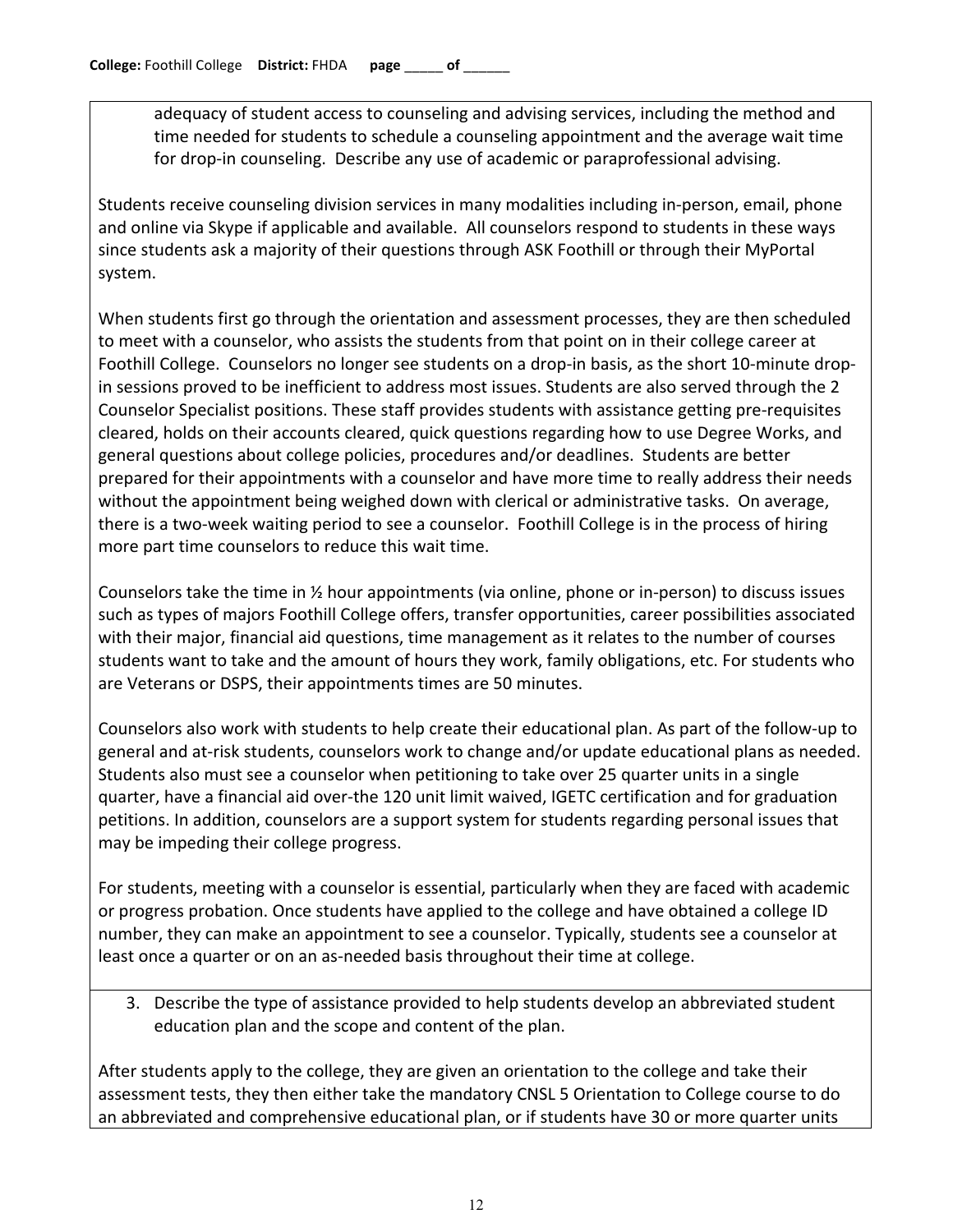adequacy of student access to counseling and advising services, including the method and time needed for students to schedule a counseling appointment and the average wait time for drop-in counseling. Describe any use of academic or paraprofessional advising.

Students receive counseling division services in many modalities including in-person, email, phone and online via Skype if applicable and available. All counselors respond to students in these ways since students ask a majority of their questions through ASK Foothill or through their MyPortal system.

When students first go through the orientation and assessment processes, they are then scheduled to meet with a counselor, who assists the students from that point on in their college career at Foothill College. Counselors no longer see students on a drop-in basis, as the short 10-minute dropin sessions proved to be inefficient to address most issues. Students are also served through the 2 Counselor Specialist positions. These staff provides students with assistance getting pre-requisites cleared, holds on their accounts cleared, quick questions regarding how to use Degree Works, and general questions about college policies, procedures and/or deadlines. Students are better prepared for their appointments with a counselor and have more time to really address their needs without the appointment being weighed down with clerical or administrative tasks. On average, there is a two-week waiting period to see a counselor. Foothill College is in the process of hiring more part time counselors to reduce this wait time.

Counselors take the time in  $\frac{1}{2}$  hour appointments (via online, phone or in-person) to discuss issues such as types of majors Foothill College offers, transfer opportunities, career possibilities associated with their major, financial aid questions, time management as it relates to the number of courses students want to take and the amount of hours they work, family obligations, etc. For students who are Veterans or DSPS, their appointments times are 50 minutes.

Counselors also work with students to help create their educational plan. As part of the follow-up to general and at-risk students, counselors work to change and/or update educational plans as needed. Students also must see a counselor when petitioning to take over 25 quarter units in a single quarter, have a financial aid over-the 120 unit limit waived, IGETC certification and for graduation petitions. In addition, counselors are a support system for students regarding personal issues that may be impeding their college progress.

For students, meeting with a counselor is essential, particularly when they are faced with academic or progress probation. Once students have applied to the college and have obtained a college ID number, they can make an appointment to see a counselor. Typically, students see a counselor at least once a quarter or on an as-needed basis throughout their time at college.

3. Describe the type of assistance provided to help students develop an abbreviated student education plan and the scope and content of the plan.

After students apply to the college, they are given an orientation to the college and take their assessment tests, they then either take the mandatory CNSL 5 Orientation to College course to do an abbreviated and comprehensive educational plan, or if students have 30 or more quarter units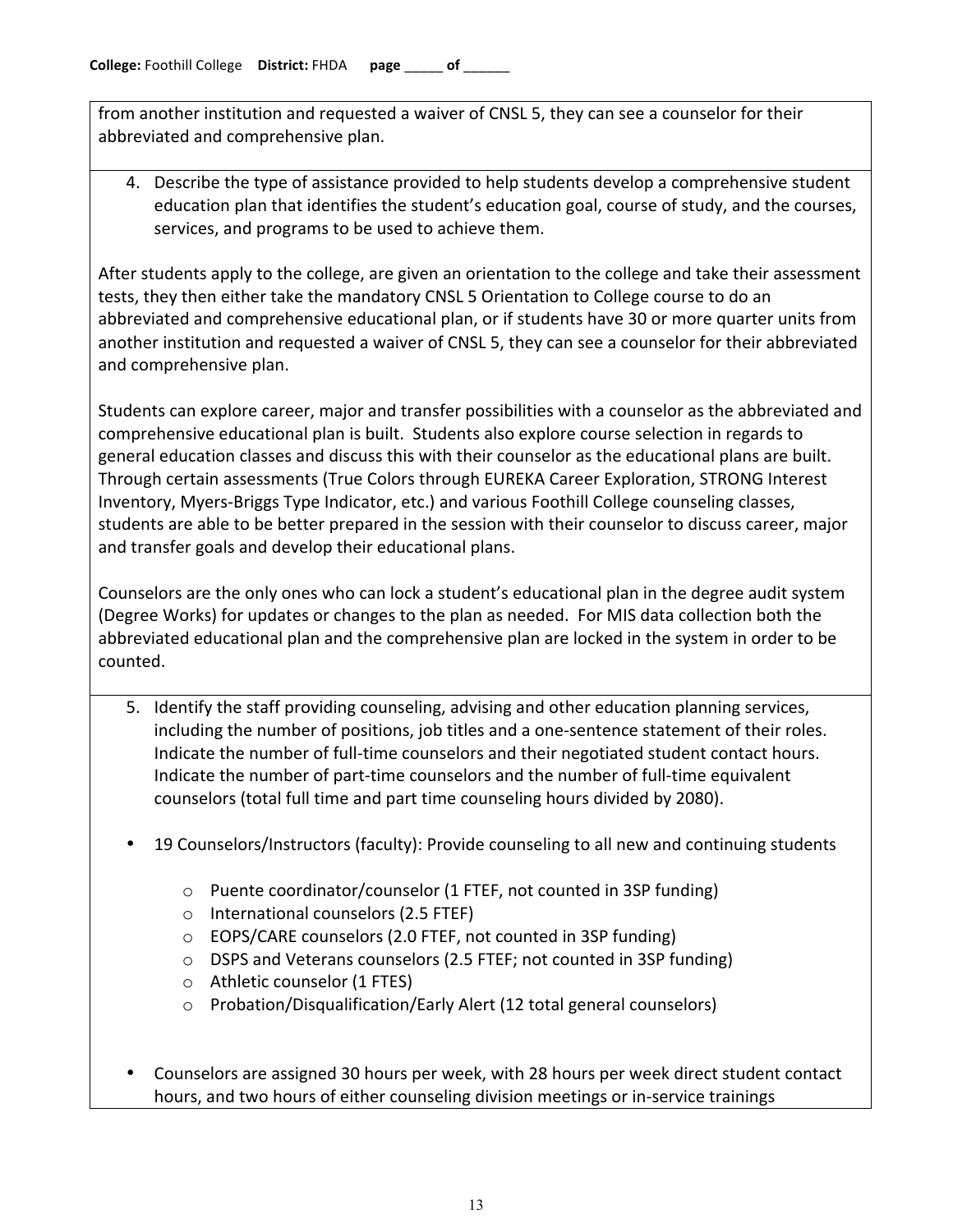from another institution and requested a waiver of CNSL 5, they can see a counselor for their abbreviated and comprehensive plan.

4. Describe the type of assistance provided to help students develop a comprehensive student education plan that identifies the student's education goal, course of study, and the courses, services, and programs to be used to achieve them.

After students apply to the college, are given an orientation to the college and take their assessment tests, they then either take the mandatory CNSL 5 Orientation to College course to do an abbreviated and comprehensive educational plan, or if students have 30 or more quarter units from another institution and requested a waiver of CNSL 5, they can see a counselor for their abbreviated and comprehensive plan.

Students can explore career, major and transfer possibilities with a counselor as the abbreviated and comprehensive educational plan is built. Students also explore course selection in regards to general education classes and discuss this with their counselor as the educational plans are built. Through certain assessments (True Colors through EUREKA Career Exploration, STRONG Interest Inventory, Myers-Briggs Type Indicator, etc.) and various Foothill College counseling classes, students are able to be better prepared in the session with their counselor to discuss career, major and transfer goals and develop their educational plans.

Counselors are the only ones who can lock a student's educational plan in the degree audit system (Degree Works) for updates or changes to the plan as needed. For MIS data collection both the abbreviated educational plan and the comprehensive plan are locked in the system in order to be counted.

- 5. Identify the staff providing counseling, advising and other education planning services, including the number of positions, job titles and a one-sentence statement of their roles. Indicate the number of full-time counselors and their negotiated student contact hours. Indicate the number of part-time counselors and the number of full-time equivalent counselors (total full time and part time counseling hours divided by 2080).
- 19 Counselors/Instructors (faculty): Provide counseling to all new and continuing students
	- $\circ$  Puente coordinator/counselor (1 FTEF, not counted in 3SP funding)
	- $\circ$  International counselors (2.5 FTEF)
	- $\circ$  EOPS/CARE counselors (2.0 FTEF, not counted in 3SP funding)
	- $\circ$  DSPS and Veterans counselors (2.5 FTEF; not counted in 3SP funding)
	- $\circ$  Athletic counselor (1 FTES)
	- $\circ$  Probation/Disqualification/Early Alert (12 total general counselors)
- Counselors are assigned 30 hours per week, with 28 hours per week direct student contact hours, and two hours of either counseling division meetings or in-service trainings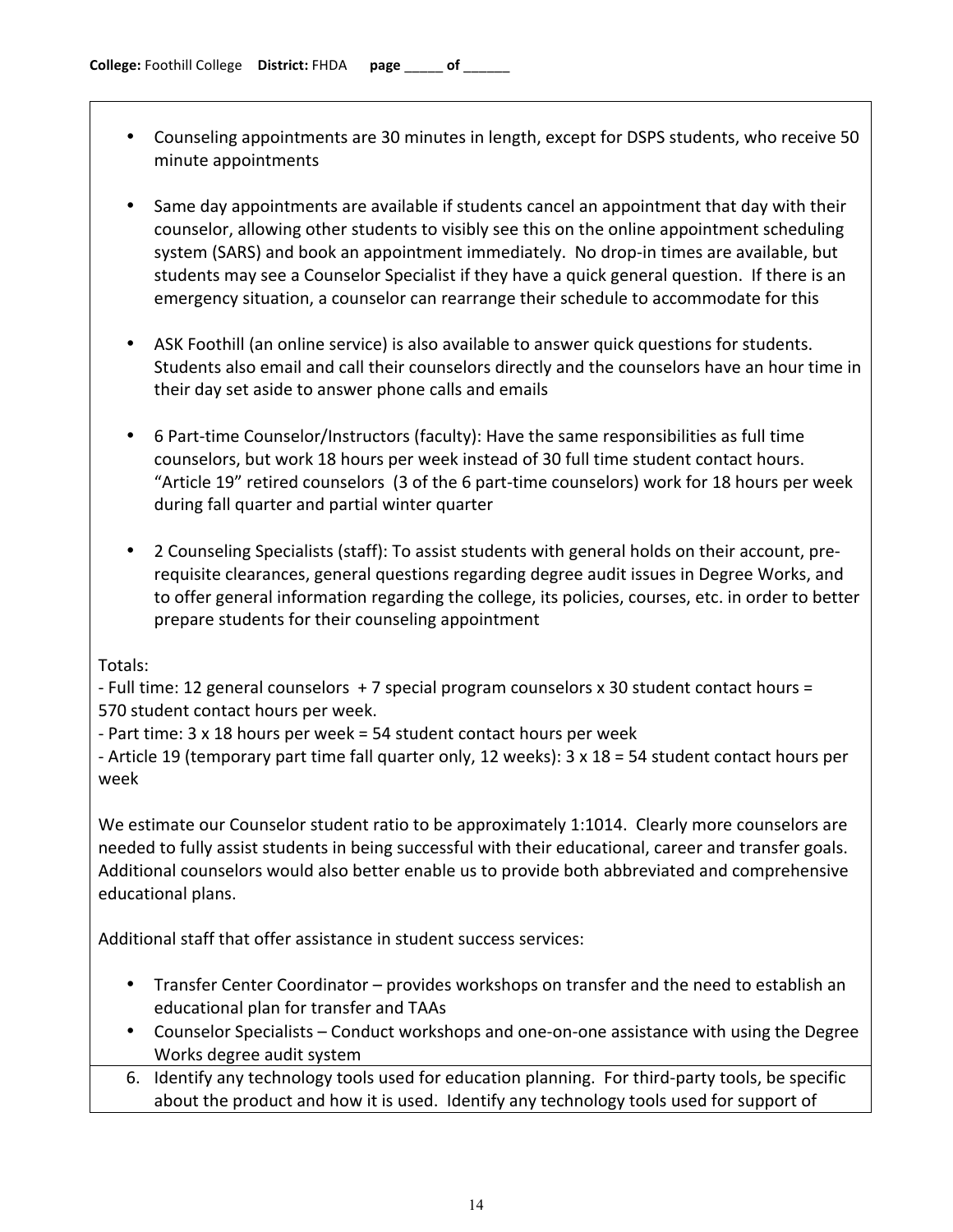- Counseling appointments are 30 minutes in length, except for DSPS students, who receive 50 minute appointments
- Same day appointments are available if students cancel an appointment that day with their counselor, allowing other students to visibly see this on the online appointment scheduling system (SARS) and book an appointment immediately. No drop-in times are available, but students may see a Counselor Specialist if they have a quick general question. If there is an emergency situation, a counselor can rearrange their schedule to accommodate for this
- ASK Foothill (an online service) is also available to answer quick questions for students. Students also email and call their counselors directly and the counselors have an hour time in their day set aside to answer phone calls and emails
- 6 Part-time Counselor/Instructors (faculty): Have the same responsibilities as full time counselors, but work 18 hours per week instead of 30 full time student contact hours. "Article 19" retired counselors (3 of the 6 part-time counselors) work for 18 hours per week during fall quarter and partial winter quarter
- 2 Counseling Specialists (staff): To assist students with general holds on their account, prerequisite clearances, general questions regarding degree audit issues in Degree Works, and to offer general information regarding the college, its policies, courses, etc. in order to better prepare students for their counseling appointment

Totals:

- Full time: 12 general counselors +7 special program counselors x 30 student contact hours = 570 student contact hours per week.

- Part time: 3 x 18 hours per week = 54 student contact hours per week

- Article 19 (temporary part time fall quarter only, 12 weeks): 3 x 18 = 54 student contact hours per week

We estimate our Counselor student ratio to be approximately 1:1014. Clearly more counselors are needed to fully assist students in being successful with their educational, career and transfer goals. Additional counselors would also better enable us to provide both abbreviated and comprehensive educational plans.

Additional staff that offer assistance in student success services:

- Transfer Center Coordinator provides workshops on transfer and the need to establish an educational plan for transfer and TAAs
- Counselor Specialists Conduct workshops and one-on-one assistance with using the Degree Works degree audit system
- 6. Identify any technology tools used for education planning. For third-party tools, be specific about the product and how it is used. Identify any technology tools used for support of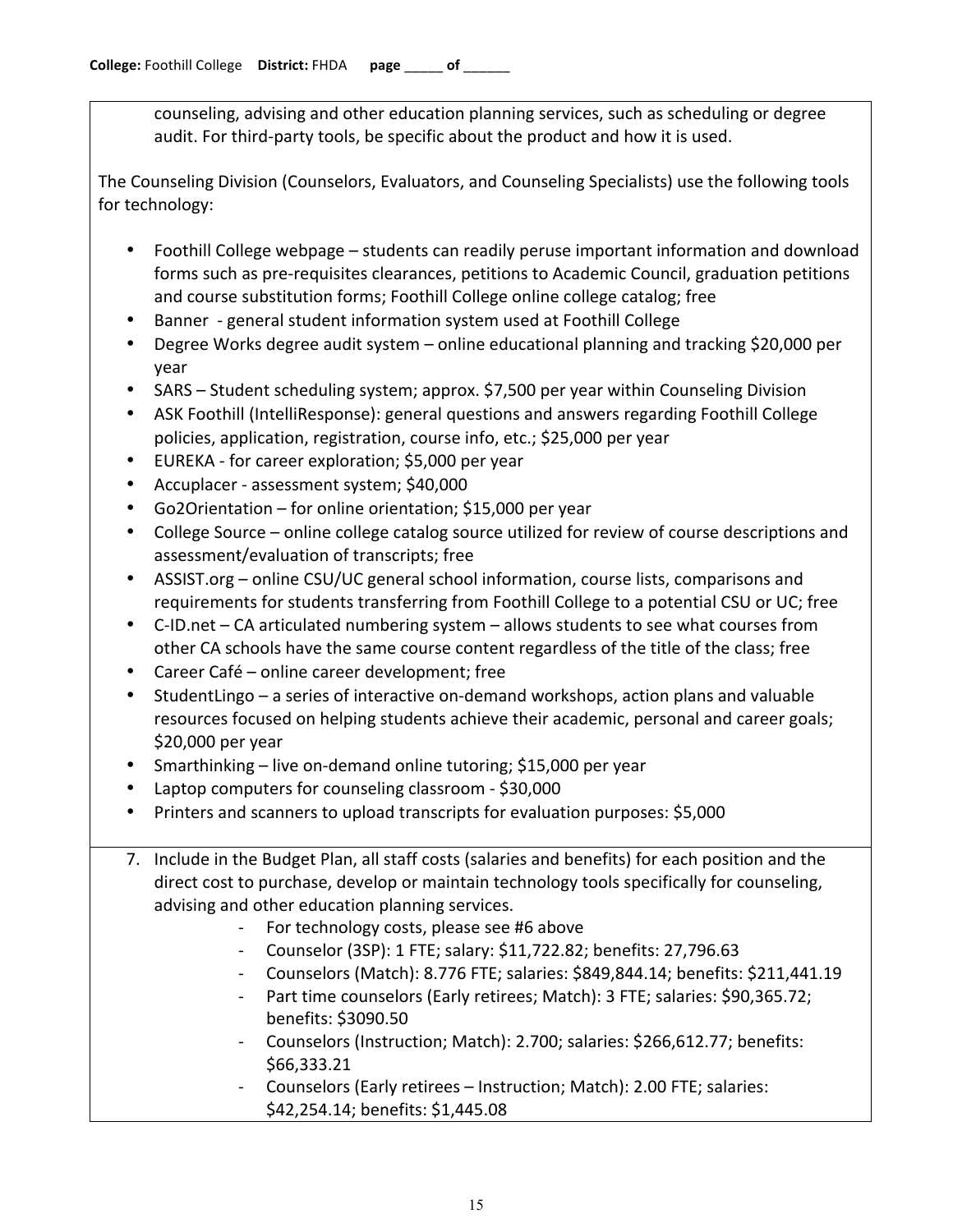counseling, advising and other education planning services, such as scheduling or degree audit. For third-party tools, be specific about the product and how it is used.

The Counseling Division (Counselors, Evaluators, and Counseling Specialists) use the following tools for technology:

- Foothill College webpage students can readily peruse important information and download forms such as pre-requisites clearances, petitions to Academic Council, graduation petitions and course substitution forms; Foothill College online college catalog; free
- Banner general student information system used at Foothill College
- Degree Works degree audit system online educational planning and tracking \$20,000 per year
- SARS Student scheduling system; approx. \$7,500 per year within Counseling Division
- ASK Foothill (IntelliResponse): general questions and answers regarding Foothill College policies, application, registration, course info, etc.; \$25,000 per year
- EUREKA for career exploration; \$5,000 per year
- Accuplacer assessment system; \$40,000
- Go2Orientation for online orientation; \$15,000 per year
- College Source online college catalog source utilized for review of course descriptions and assessment/evaluation of transcripts; free
- ASSIST.org online CSU/UC general school information, course lists, comparisons and requirements for students transferring from Foothill College to a potential CSU or UC; free
- C-ID.net CA articulated numbering system allows students to see what courses from other CA schools have the same course content regardless of the title of the class; free
- Career Café online career development; free
- StudentLingo a series of interactive on-demand workshops, action plans and valuable resources focused on helping students achieve their academic, personal and career goals;  $$20,000$  per year
- Smarthinking live on-demand online tutoring; \$15,000 per year
- Laptop computers for counseling classroom \$30,000
- Printers and scanners to upload transcripts for evaluation purposes: \$5,000
- 7. Include in the Budget Plan, all staff costs (salaries and benefits) for each position and the direct cost to purchase, develop or maintain technology tools specifically for counseling, advising and other education planning services.
	- For technology costs, please see #6 above
	- Counselor (3SP): 1 FTE; salary: \$11,722.82; benefits: 27,796.63
	- Counselors (Match): 8.776 FTE; salaries: \$849,844.14; benefits: \$211,441.19
	- Part time counselors (Early retirees; Match): 3 FTE; salaries: \$90,365.72; benefits: \$3090.50
	- Counselors (Instruction; Match): 2.700; salaries: \$266,612.77; benefits: \$66,333.21
	- Counselors (Early retirees Instruction; Match): 2.00 FTE; salaries: \$42,254.14; benefits: \$1,445.08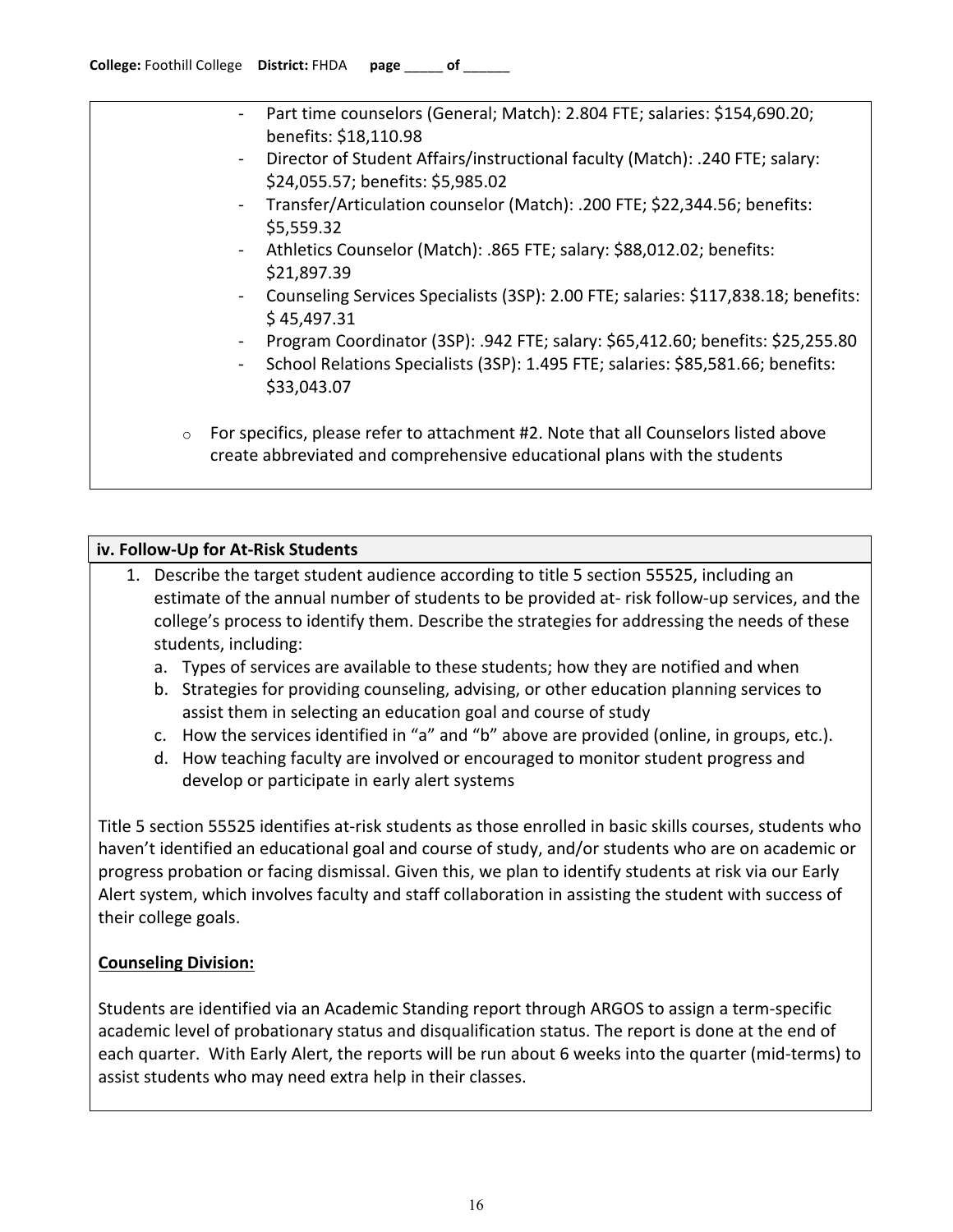| $\blacksquare$ | Part time counselors (General; Match): 2.804 FTE; salaries: \$154,690.20;<br>benefits: \$18,110.98                |
|----------------|-------------------------------------------------------------------------------------------------------------------|
| $\blacksquare$ | Director of Student Affairs/instructional faculty (Match): .240 FTE; salary:<br>\$24,055.57; benefits: \$5,985.02 |
| $\sim$ .       | Transfer/Articulation counselor (Match): .200 FTE; \$22,344.56; benefits:<br>\$5,559.32                           |
| $\blacksquare$ | Athletics Counselor (Match): .865 FTE; salary: \$88,012.02; benefits:<br>\$21,897.39                              |
| $\blacksquare$ | Counseling Services Specialists (3SP): 2.00 FTE; salaries: \$117,838.18; benefits:<br>\$45,497.31                 |
| $\blacksquare$ | Program Coordinator (3SP): .942 FTE; salary: \$65,412.60; benefits: \$25,255.80                                   |

- School Relations Specialists (3SP): 1.495 FTE; salaries: \$85,581.66; benefits: \$33,043.07
- $\circ$  For specifics, please refer to attachment #2. Note that all Counselors listed above create abbreviated and comprehensive educational plans with the students

# **iv. Follow-Up for At-Risk Students**

- 1. Describe the target student audience according to title 5 section 55525, including an estimate of the annual number of students to be provided at-risk follow-up services, and the college's process to identify them. Describe the strategies for addressing the needs of these students, including:
	- a. Types of services are available to these students; how they are notified and when
	- b. Strategies for providing counseling, advising, or other education planning services to assist them in selecting an education goal and course of study
	- c. How the services identified in "a" and "b" above are provided (online, in groups, etc.).
	- d. How teaching faculty are involved or encouraged to monitor student progress and develop or participate in early alert systems

Title 5 section 55525 identifies at-risk students as those enrolled in basic skills courses, students who haven't identified an educational goal and course of study, and/or students who are on academic or progress probation or facing dismissal. Given this, we plan to identify students at risk via our Early Alert system, which involves faculty and staff collaboration in assisting the student with success of their college goals.

# **Counseling Division:**

Students are identified via an Academic Standing report through ARGOS to assign a term-specific academic level of probationary status and disqualification status. The report is done at the end of each quarter. With Early Alert, the reports will be run about 6 weeks into the quarter (mid-terms) to assist students who may need extra help in their classes.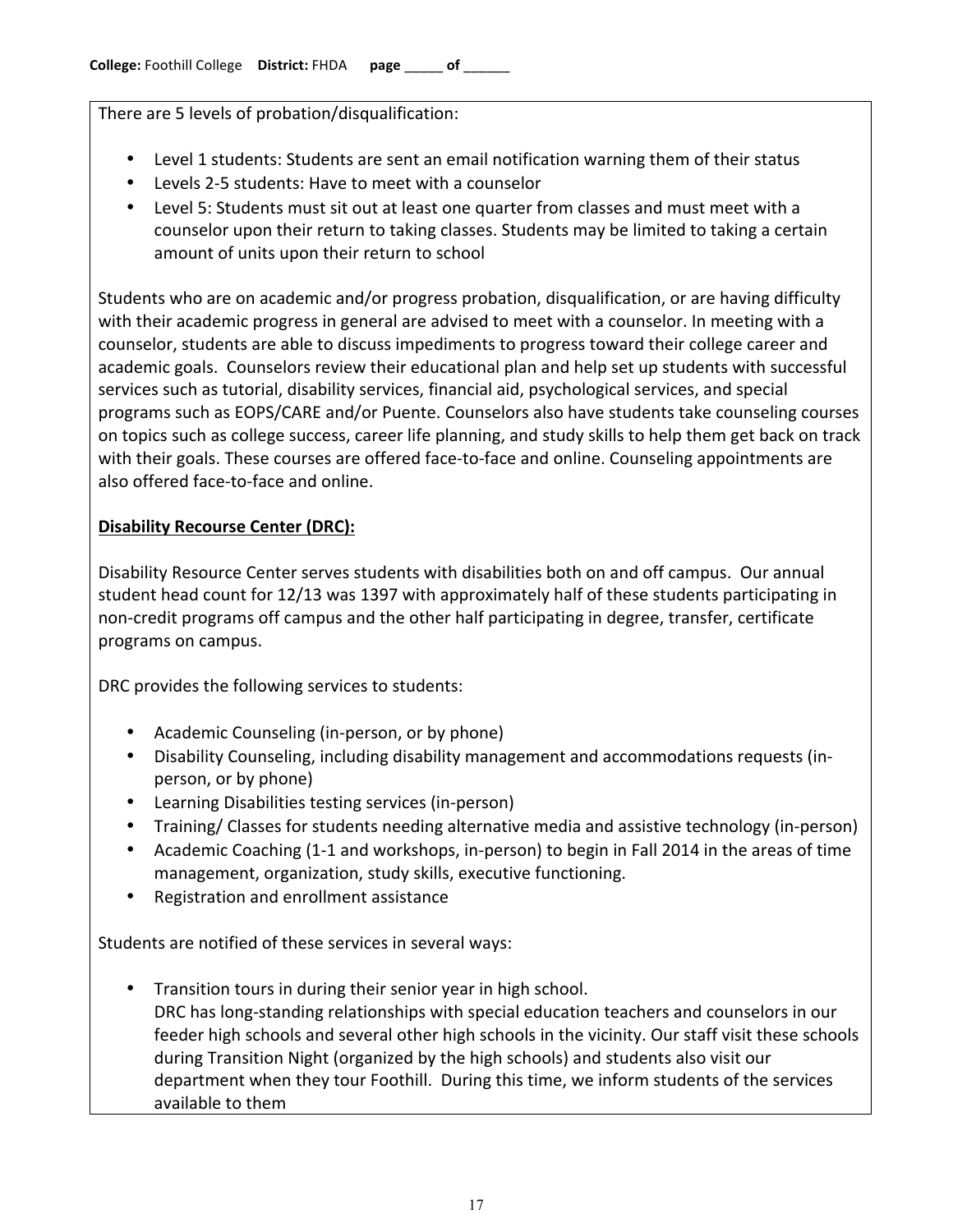There are 5 levels of probation/disqualification:

- Level 1 students: Students are sent an email notification warning them of their status
- Levels 2-5 students: Have to meet with a counselor
- Level 5: Students must sit out at least one quarter from classes and must meet with a counselor upon their return to taking classes. Students may be limited to taking a certain amount of units upon their return to school

Students who are on academic and/or progress probation, disqualification, or are having difficulty with their academic progress in general are advised to meet with a counselor. In meeting with a counselor, students are able to discuss impediments to progress toward their college career and academic goals. Counselors review their educational plan and help set up students with successful services such as tutorial, disability services, financial aid, psychological services, and special programs such as EOPS/CARE and/or Puente. Counselors also have students take counseling courses on topics such as college success, career life planning, and study skills to help them get back on track with their goals. These courses are offered face-to-face and online. Counseling appointments are also offered face-to-face and online.

# **Disability Recourse Center (DRC):**

Disability Resource Center serves students with disabilities both on and off campus. Our annual student head count for 12/13 was 1397 with approximately half of these students participating in non-credit programs off campus and the other half participating in degree, transfer, certificate programs on campus.

DRC provides the following services to students:

- Academic Counseling (in-person, or by phone)
- Disability Counseling, including disability management and accommodations requests (inperson, or by phone)
- Learning Disabilities testing services (in-person)
- Training/ Classes for students needing alternative media and assistive technology (in-person)
- Academic Coaching (1-1 and workshops, in-person) to begin in Fall 2014 in the areas of time management, organization, study skills, executive functioning.
- Registration and enrollment assistance

Students are notified of these services in several ways:

Transition tours in during their senior year in high school. DRC has long-standing relationships with special education teachers and counselors in our feeder high schools and several other high schools in the vicinity. Our staff visit these schools during Transition Night (organized by the high schools) and students also visit our department when they tour Foothill. During this time, we inform students of the services available to them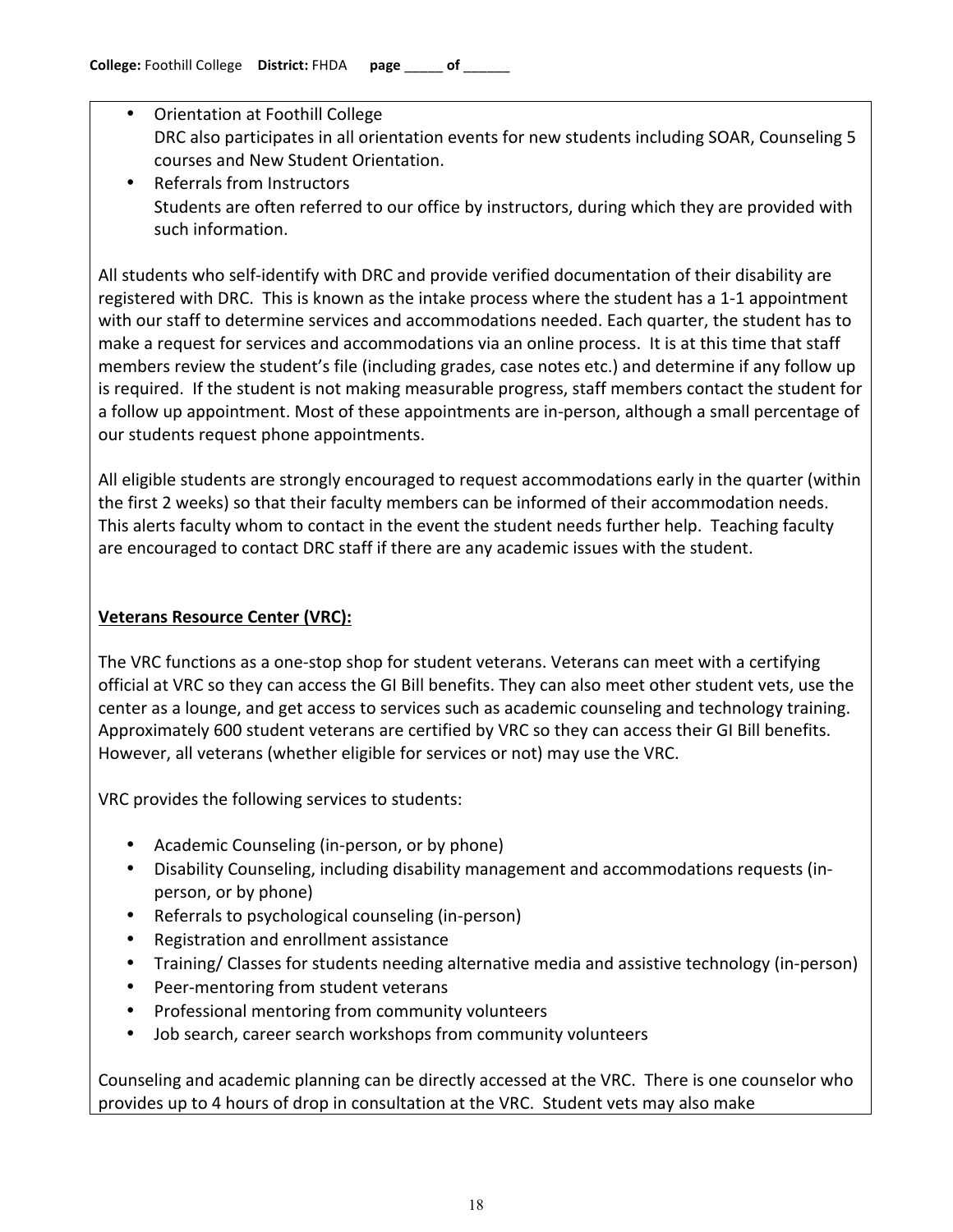- Orientation at Foothill College DRC also participates in all orientation events for new students including SOAR, Counseling 5 courses and New Student Orientation.
- Referrals from Instructors Students are often referred to our office by instructors, during which they are provided with such information.

All students who self-identify with DRC and provide verified documentation of their disability are registered with DRC. This is known as the intake process where the student has a 1-1 appointment with our staff to determine services and accommodations needed. Each quarter, the student has to make a request for services and accommodations via an online process. It is at this time that staff members review the student's file (including grades, case notes etc.) and determine if any follow up is required. If the student is not making measurable progress, staff members contact the student for a follow up appointment. Most of these appointments are in-person, although a small percentage of our students request phone appointments.

All eligible students are strongly encouraged to request accommodations early in the quarter (within the first 2 weeks) so that their faculty members can be informed of their accommodation needs. This alerts faculty whom to contact in the event the student needs further help. Teaching faculty are encouraged to contact DRC staff if there are any academic issues with the student.

# **Veterans Resource Center (VRC):**

The VRC functions as a one-stop shop for student veterans. Veterans can meet with a certifying official at VRC so they can access the GI Bill benefits. They can also meet other student vets, use the center as a lounge, and get access to services such as academic counseling and technology training. Approximately 600 student veterans are certified by VRC so they can access their GI Bill benefits. However, all veterans (whether eligible for services or not) may use the VRC.

VRC provides the following services to students:

- Academic Counseling (in-person, or by phone)
- Disability Counseling, including disability management and accommodations requests (inperson, or by phone)
- Referrals to psychological counseling (in-person)
- Registration and enrollment assistance
- Training/ Classes for students needing alternative media and assistive technology (in-person)
- Peer-mentoring from student veterans
- Professional mentoring from community volunteers
- Job search, career search workshops from community volunteers

Counseling and academic planning can be directly accessed at the VRC. There is one counselor who provides up to 4 hours of drop in consultation at the VRC. Student vets may also make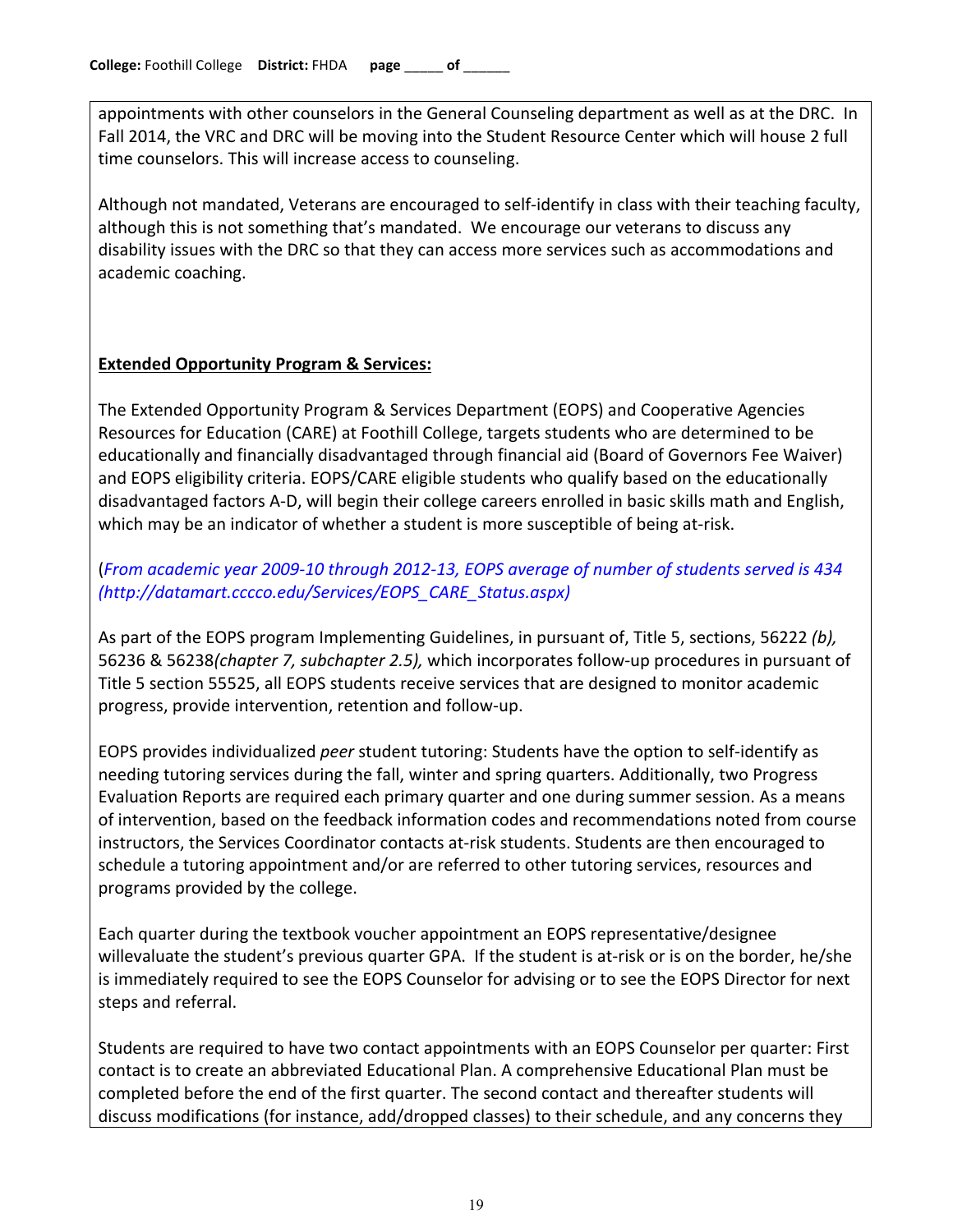appointments with other counselors in the General Counseling department as well as at the DRC. In Fall 2014, the VRC and DRC will be moving into the Student Resource Center which will house 2 full time counselors. This will increase access to counseling.

Although not mandated, Veterans are encouraged to self-identify in class with their teaching faculty, although this is not something that's mandated. We encourage our veterans to discuss any disability issues with the DRC so that they can access more services such as accommodations and academic coaching.

# **Extended Opportunity Program & Services:**

The Extended Opportunity Program & Services Department (EOPS) and Cooperative Agencies Resources for Education (CARE) at Foothill College, targets students who are determined to be educationally and financially disadvantaged through financial aid (Board of Governors Fee Waiver) and EOPS eligibility criteria. EOPS/CARE eligible students who qualify based on the educationally disadvantaged factors A-D, will begin their college careers enrolled in basic skills math and English, which may be an indicator of whether a student is more susceptible of being at-risk.

# (From academic year 2009-10 through 2012-13, EOPS average of number of students served is 434 *(http://datamart.cccco.edu/Services/EOPS\_CARE\_Status.aspx)!*

As part of the EOPS program Implementing Guidelines, in pursuant of, Title 5, sections, 56222 *(b)*, 56236 & 56238(chapter 7, subchapter 2.5), which incorporates follow-up procedures in pursuant of Title 5 section 55525, all EOPS students receive services that are designed to monitor academic progress, provide intervention, retention and follow-up.

EOPS provides individualized *peer* student tutoring: Students have the option to self-identify as needing tutoring services during the fall, winter and spring quarters. Additionally, two Progress Evaluation Reports are required each primary quarter and one during summer session. As a means of intervention, based on the feedback information codes and recommendations noted from course instructors, the Services Coordinator contacts at-risk students. Students are then encouraged to schedule a tutoring appointment and/or are referred to other tutoring services, resources and programs provided by the college.

Each quarter during the textbook voucher appointment an EOPS representative/designee willevaluate the student's previous quarter GPA. If the student is at-risk or is on the border, he/she is immediately required to see the EOPS Counselor for advising or to see the EOPS Director for next steps and referral.

Students are required to have two contact appointments with an EOPS Counselor per quarter: First contact is to create an abbreviated Educational Plan. A comprehensive Educational Plan must be completed before the end of the first quarter. The second contact and thereafter students will discuss modifications (for instance, add/dropped classes) to their schedule, and any concerns they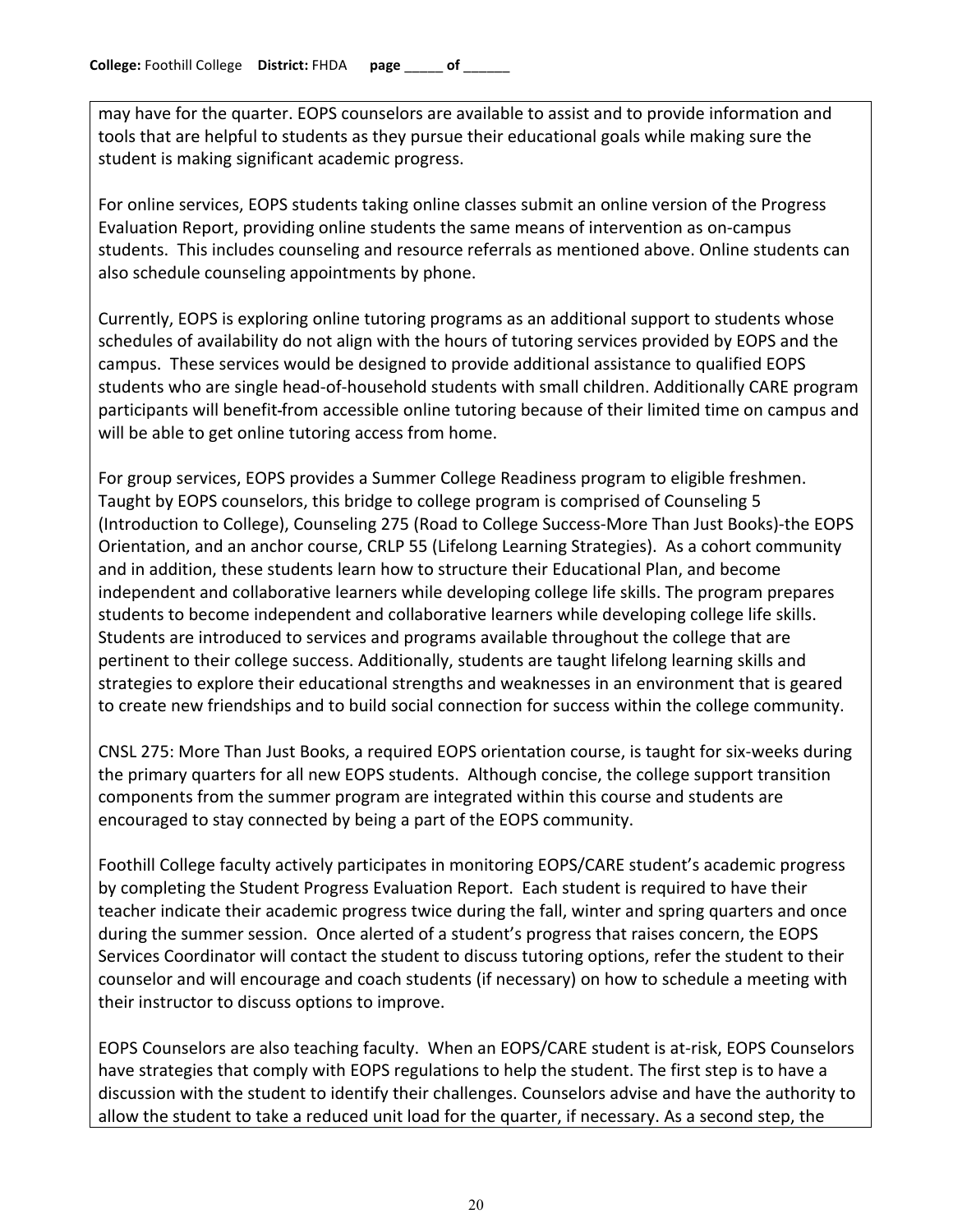may have for the quarter. EOPS counselors are available to assist and to provide information and tools that are helpful to students as they pursue their educational goals while making sure the student is making significant academic progress.

For online services, EOPS students taking online classes submit an online version of the Progress Evaluation Report, providing online students the same means of intervention as on-campus students. This includes counseling and resource referrals as mentioned above. Online students can also schedule counseling appointments by phone.

Currently, EOPS is exploring online tutoring programs as an additional support to students whose schedules of availability do not align with the hours of tutoring services provided by EOPS and the campus. These services would be designed to provide additional assistance to qualified EOPS students who are single head-of-household students with small children. Additionally CARE program participants will benefit-from accessible online tutoring because of their limited time on campus and will be able to get online tutoring access from home.

For group services, EOPS provides a Summer College Readiness program to eligible freshmen. Taught by EOPS counselors, this bridge to college program is comprised of Counseling 5 (Introduction to College), Counseling 275 (Road to College Success-More Than Just Books)-the EOPS Orientation, and an anchor course, CRLP 55 (Lifelong Learning Strategies). As a cohort community and in addition, these students learn how to structure their Educational Plan, and become independent and collaborative learners while developing college life skills. The program prepares students to become independent and collaborative learners while developing college life skills. Students are introduced to services and programs available throughout the college that are pertinent to their college success. Additionally, students are taught lifelong learning skills and strategies to explore their educational strengths and weaknesses in an environment that is geared to create new friendships and to build social connection for success within the college community.

CNSL 275: More Than Just Books, a required EOPS orientation course, is taught for six-weeks during the primary quarters for all new EOPS students. Although concise, the college support transition components from the summer program are integrated within this course and students are encouraged to stay connected by being a part of the EOPS community.

Foothill College faculty actively participates in monitoring EOPS/CARE student's academic progress by completing the Student Progress Evaluation Report. Each student is required to have their teacher indicate their academic progress twice during the fall, winter and spring quarters and once during the summer session. Once alerted of a student's progress that raises concern, the EOPS Services Coordinator will contact the student to discuss tutoring options, refer the student to their counselor and will encourage and coach students (if necessary) on how to schedule a meeting with their instructor to discuss options to improve.

EOPS Counselors are also teaching faculty. When an EOPS/CARE student is at-risk, EOPS Counselors have strategies that comply with EOPS regulations to help the student. The first step is to have a discussion with the student to identify their challenges. Counselors advise and have the authority to allow the student to take a reduced unit load for the quarter, if necessary. As a second step, the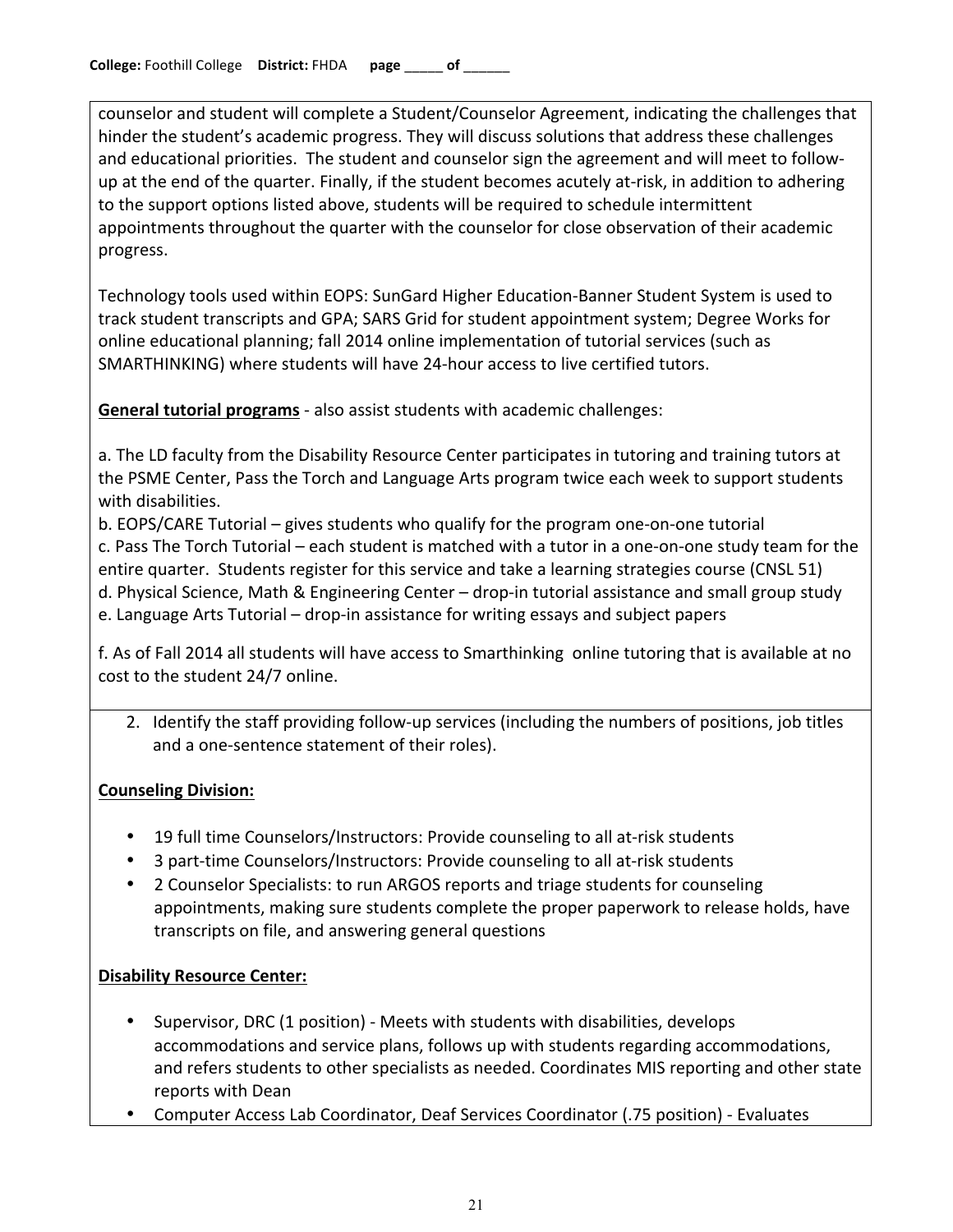counselor and student will complete a Student/Counselor Agreement, indicating the challenges that hinder the student's academic progress. They will discuss solutions that address these challenges and educational priorities. The student and counselor sign the agreement and will meet to followup at the end of the quarter. Finally, if the student becomes acutely at-risk, in addition to adhering to the support options listed above, students will be required to schedule intermittent appointments throughout the quarter with the counselor for close observation of their academic progress.

Technology tools used within EOPS: SunGard Higher Education-Banner Student System is used to track student transcripts and GPA; SARS Grid for student appointment system; Degree Works for online educational planning; fall 2014 online implementation of tutorial services (such as SMARTHINKING) where students will have 24-hour access to live certified tutors.

**General tutorial programs** - also assist students with academic challenges:

a. The LD faculty from the Disability Resource Center participates in tutoring and training tutors at the PSME Center, Pass the Torch and Language Arts program twice each week to support students with disabilities.

b. EOPS/CARE Tutorial – gives students who qualify for the program one-on-one tutorial c. Pass The Torch Tutorial – each student is matched with a tutor in a one-on-one study team for the entire quarter. Students register for this service and take a learning strategies course (CNSL 51) d. Physical Science, Math & Engineering Center – drop-in tutorial assistance and small group study e. Language Arts Tutorial – drop-in assistance for writing essays and subject papers

f. As of Fall 2014 all students will have access to Smarthinking online tutoring that is available at no cost to the student 24/7 online.

2. Identify the staff providing follow-up services (including the numbers of positions, job titles and a one-sentence statement of their roles).

# **Counseling Division:**

- 19 full time Counselors/Instructors: Provide counseling to all at-risk students
- 3 part-time Counselors/Instructors: Provide counseling to all at-risk students
- 2 Counselor Specialists: to run ARGOS reports and triage students for counseling appointments, making sure students complete the proper paperwork to release holds, have transcripts on file, and answering general questions

### **Disability Resource Center:**

- Supervisor, DRC (1 position) Meets with students with disabilities, develops accommodations and service plans, follows up with students regarding accommodations, and refers students to other specialists as needed. Coordinates MIS reporting and other state reports with Dean
- Computer Access Lab Coordinator, Deaf Services Coordinator (.75 position) Evaluates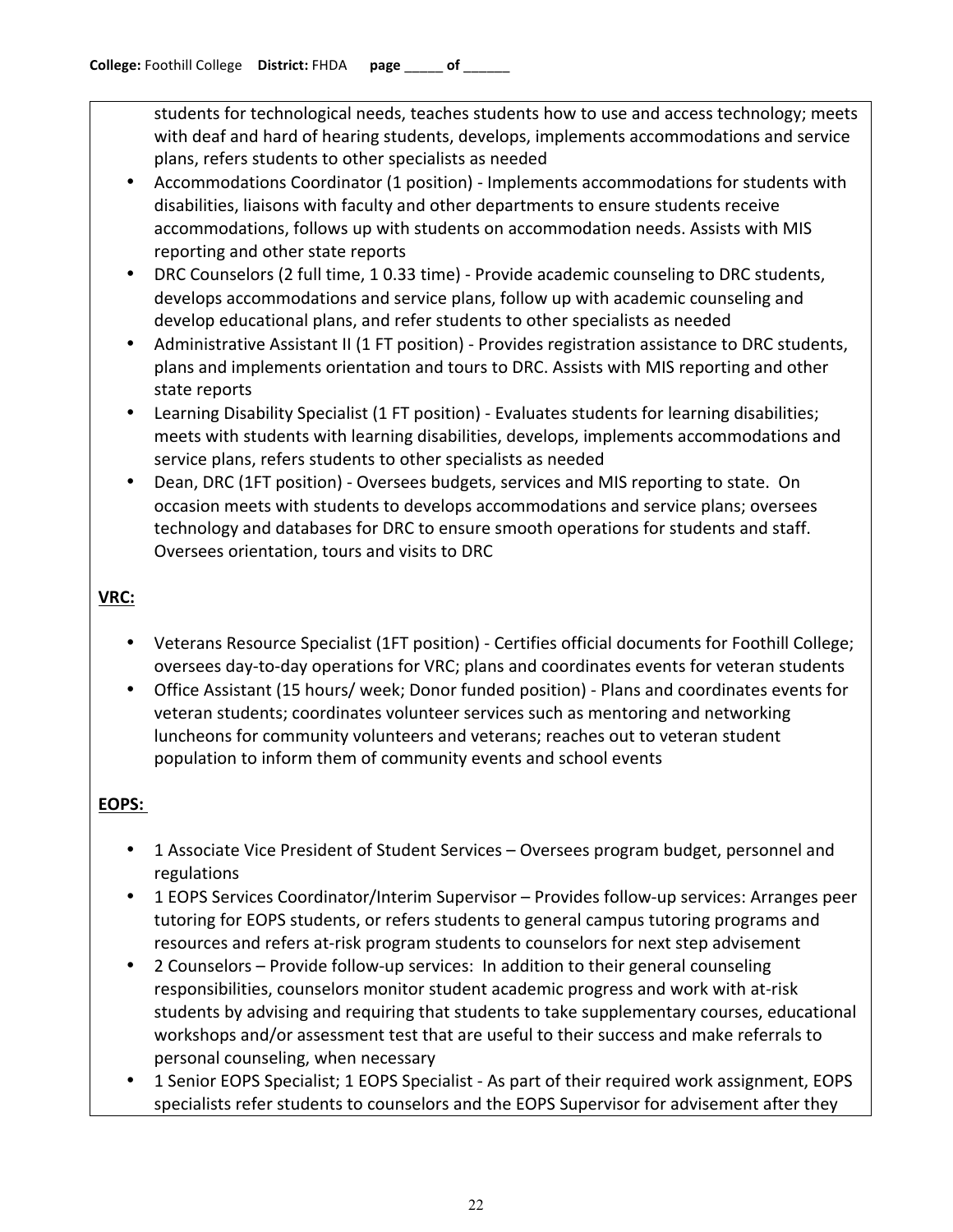students for technological needs, teaches students how to use and access technology; meets with deaf and hard of hearing students, develops, implements accommodations and service plans, refers students to other specialists as needed

- Accommodations Coordinator (1 position) Implements accommodations for students with disabilities, liaisons with faculty and other departments to ensure students receive accommodations, follows up with students on accommodation needs. Assists with MIS reporting and other state reports
- DRC Counselors (2 full time, 1 0.33 time) Provide academic counseling to DRC students, develops accommodations and service plans, follow up with academic counseling and develop educational plans, and refer students to other specialists as needed
- Administrative Assistant II (1 FT position) Provides registration assistance to DRC students, plans and implements orientation and tours to DRC. Assists with MIS reporting and other state reports
- **Learning Disability Specialist (1 FT position) Evaluates students for learning disabilities;** meets with students with learning disabilities, develops, implements accommodations and service plans, refers students to other specialists as needed
- Dean, DRC (1FT position) Oversees budgets, services and MIS reporting to state. On occasion meets with students to develops accommodations and service plans; oversees technology and databases for DRC to ensure smooth operations for students and staff. Oversees orientation, tours and visits to DRC

# **VRC:**

- Veterans Resource Specialist (1FT position) Certifies official documents for Foothill College; oversees day-to-day operations for VRC; plans and coordinates events for veteran students
- Office Assistant (15 hours/ week; Donor funded position) Plans and coordinates events for veteran students; coordinates volunteer services such as mentoring and networking luncheons for community volunteers and veterans; reaches out to veteran student population to inform them of community events and school events

# **EOPS:!**

- 1 Associate Vice President of Student Services Oversees program budget, personnel and regulations
- 1 EOPS Services Coordinator/Interim Supervisor Provides follow-up services: Arranges peer tutoring for EOPS students, or refers students to general campus tutoring programs and resources and refers at-risk program students to counselors for next step advisement
- 2 Counselors Provide follow-up services: In addition to their general counseling responsibilities, counselors monitor student academic progress and work with at-risk students by advising and requiring that students to take supplementary courses, educational workshops and/or assessment test that are useful to their success and make referrals to personal counseling, when necessary
- 1 Senior EOPS Specialist; 1 EOPS Specialist As part of their required work assignment, EOPS specialists refer students to counselors and the EOPS Supervisor for advisement after they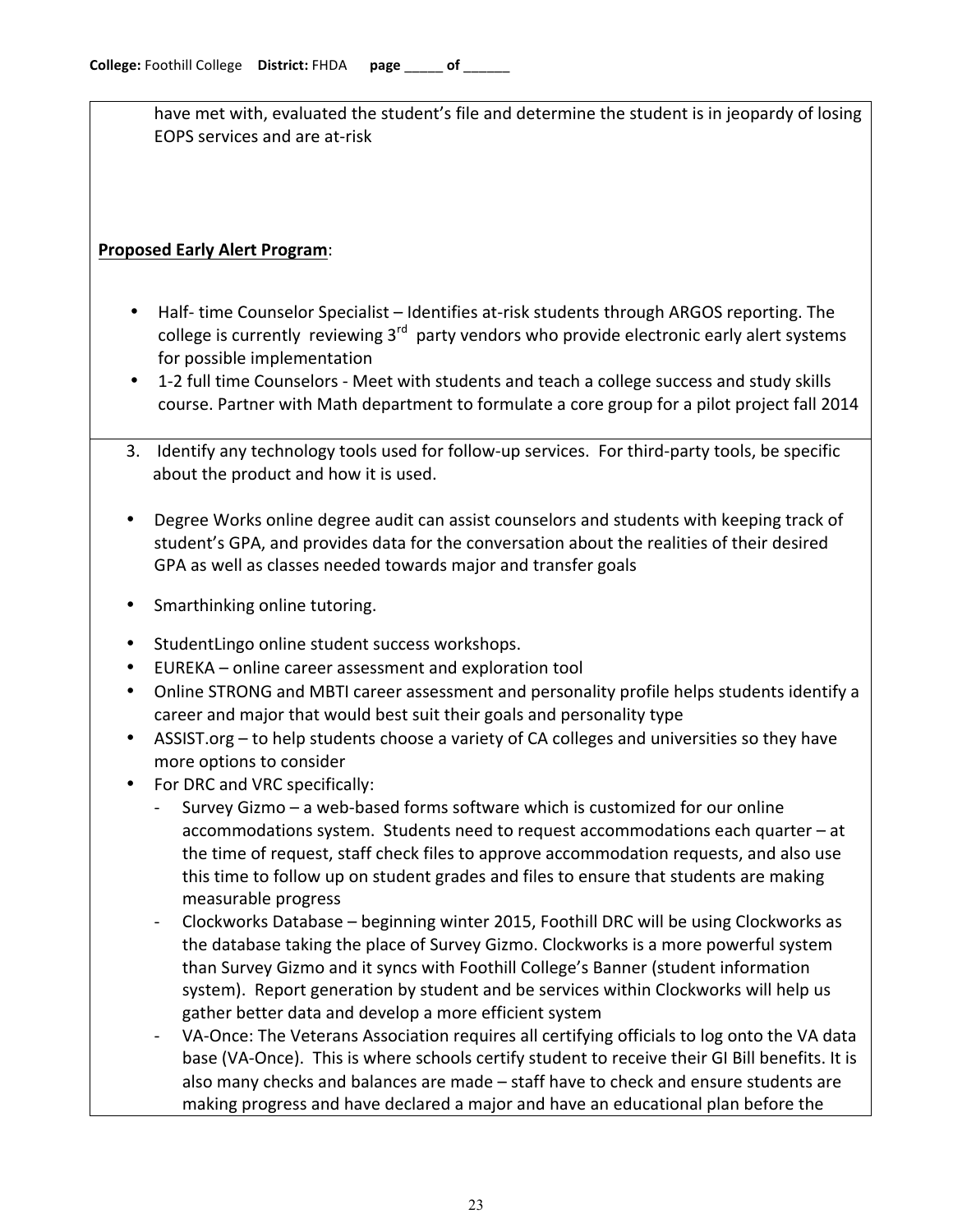have met with, evaluated the student's file and determine the student is in jeopardy of losing EOPS services and are at-risk

## **Proposed Early Alert Program:**

- Half-time Counselor Specialist Identifies at-risk students through ARGOS reporting. The college is currently reviewing  $3<sup>rd</sup>$  party vendors who provide electronic early alert systems for possible implementation
- 1-2 full time Counselors Meet with students and teach a college success and study skills course. Partner with Math department to formulate a core group for a pilot project fall 2014
- 3. Identify any technology tools used for follow-up services. For third-party tools, be specific about the product and how it is used.
- Degree Works online degree audit can assist counselors and students with keeping track of student's GPA, and provides data for the conversation about the realities of their desired GPA as well as classes needed towards major and transfer goals
- Smarthinking online tutoring.
- Student Lingo online student success workshops.
- EUREKA online career assessment and exploration tool
- Online STRONG and MBTI career assessment and personality profile helps students identify a career and major that would best suit their goals and personality type
- ASSIST.org to help students choose a variety of CA colleges and universities so they have more options to consider
- For DRC and VRC specifically:
	- Survey Gizmo a web-based forms software which is customized for our online accommodations system. Students need to request accommodations each quarter  $-$  at the time of request, staff check files to approve accommodation requests, and also use this time to follow up on student grades and files to ensure that students are making measurable progress
	- Clockworks Database beginning winter 2015, Foothill DRC will be using Clockworks as the database taking the place of Survey Gizmo. Clockworks is a more powerful system than Survey Gizmo and it syncs with Foothill College's Banner (student information system). Report generation by student and be services within Clockworks will help us gather better data and develop a more efficient system
	- VA-Once: The Veterans Association requires all certifying officials to log onto the VA data base (VA-Once). This is where schools certify student to receive their GI Bill benefits. It is also many checks and balances are made – staff have to check and ensure students are making progress and have declared a major and have an educational plan before the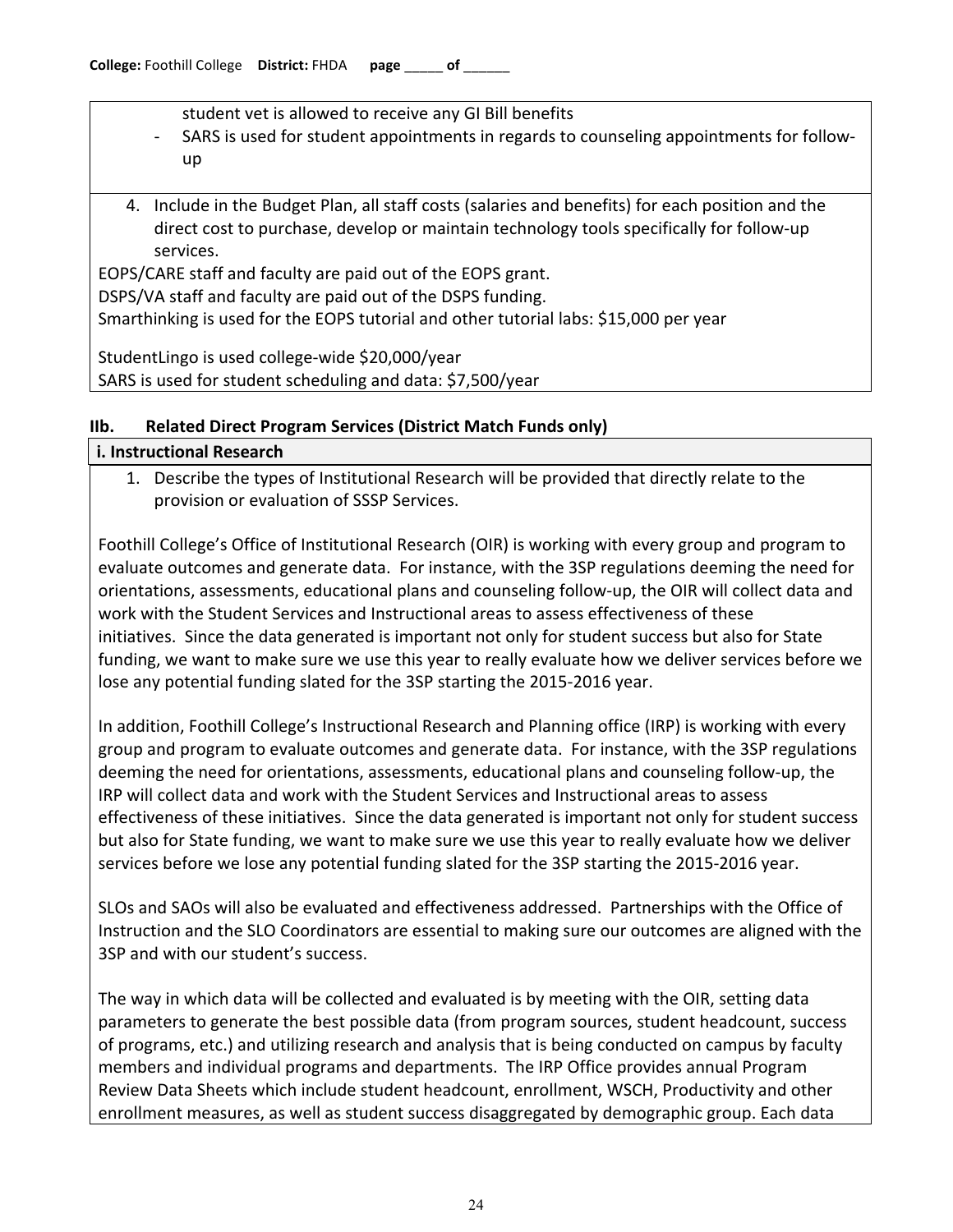student vet is allowed to receive any GI Bill benefits

- SARS is used for student appointments in regards to counseling appointments for followup
- 4. Include in the Budget Plan, all staff costs (salaries and benefits) for each position and the direct cost to purchase, develop or maintain technology tools specifically for follow-up services.

EOPS/CARE staff and faculty are paid out of the EOPS grant. DSPS/VA staff and faculty are paid out of the DSPS funding. Smarthinking is used for the EOPS tutorial and other tutorial labs: \$15,000 per year

StudentLingo is used college-wide \$20,000/year SARS is used for student scheduling and data: \$7,500/year

#### **IIb. Related Direct Program Services (District Match Funds only) i. Instructional Research**

# 1. Describe the types of Institutional Research will be provided that directly relate to the provision or evaluation of SSSP Services.

Foothill College's Office of Institutional Research (OIR) is working with every group and program to evaluate outcomes and generate data. For instance, with the 3SP regulations deeming the need for orientations, assessments, educational plans and counseling follow-up, the OIR will collect data and work with the Student Services and Instructional areas to assess effectiveness of these initiatives. Since the data generated is important not only for student success but also for State funding, we want to make sure we use this year to really evaluate how we deliver services before we lose any potential funding slated for the 3SP starting the 2015-2016 year.

In addition, Foothill College's Instructional Research and Planning office (IRP) is working with every group and program to evaluate outcomes and generate data. For instance, with the 3SP regulations deeming the need for orientations, assessments, educational plans and counseling follow-up, the IRP will collect data and work with the Student Services and Instructional areas to assess effectiveness of these initiatives. Since the data generated is important not only for student success but also for State funding, we want to make sure we use this year to really evaluate how we deliver services before we lose any potential funding slated for the 3SP starting the 2015-2016 year.

SLOs and SAOs will also be evaluated and effectiveness addressed. Partnerships with the Office of Instruction and the SLO Coordinators are essential to making sure our outcomes are aligned with the 3SP and with our student's success.

The way in which data will be collected and evaluated is by meeting with the OIR, setting data parameters to generate the best possible data (from program sources, student headcount, success of programs, etc.) and utilizing research and analysis that is being conducted on campus by faculty members and individual programs and departments. The IRP Office provides annual Program Review Data Sheets which include student headcount, enrollment, WSCH, Productivity and other enrollment measures, as well as student success disaggregated by demographic group. Each data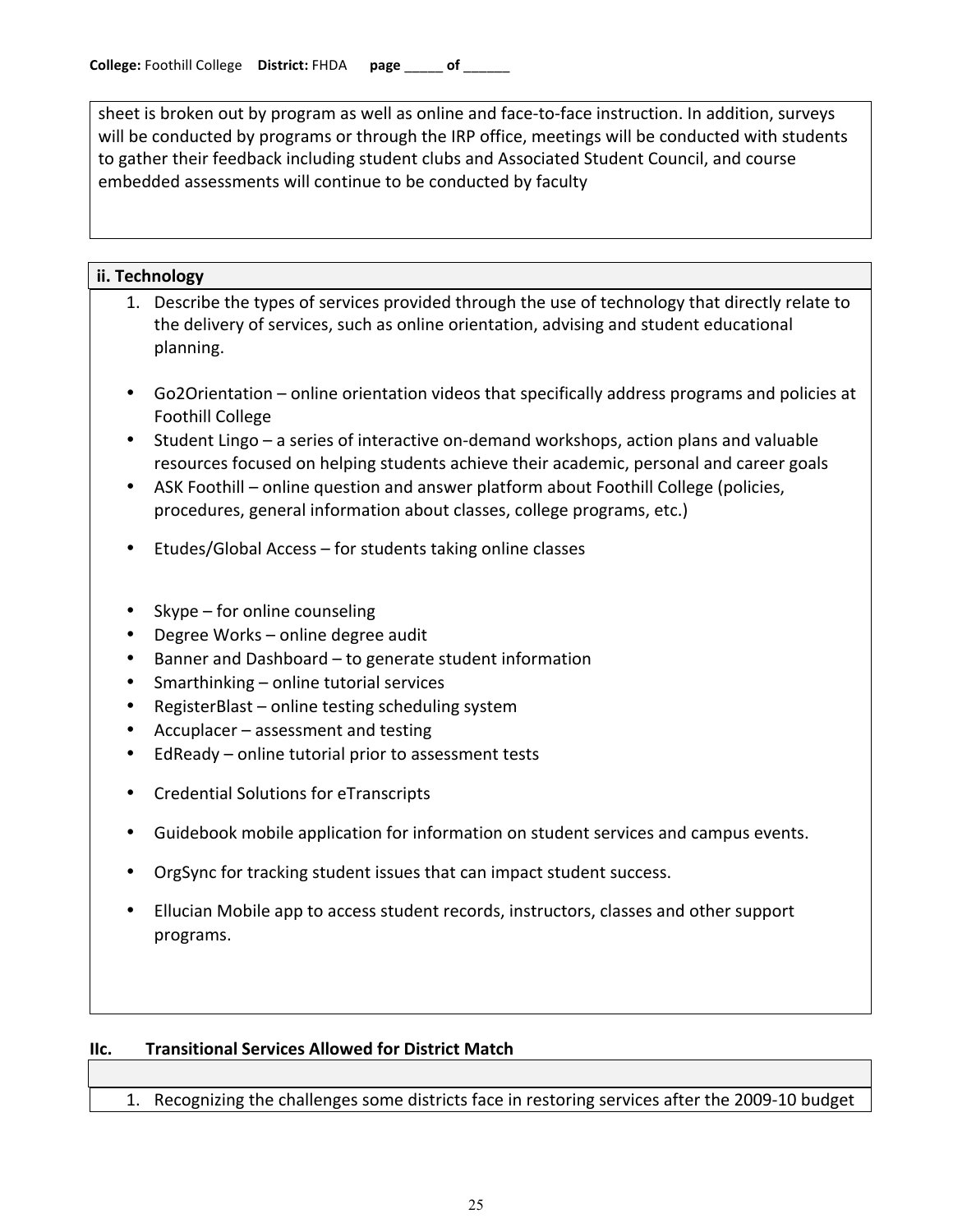sheet is broken out by program as well as online and face-to-face instruction. In addition, surveys will be conducted by programs or through the IRP office, meetings will be conducted with students to gather their feedback including student clubs and Associated Student Council, and course embedded assessments will continue to be conducted by faculty

#### **ii. Technology**

- 1. Describe the types of services provided through the use of technology that directly relate to the delivery of services, such as online orientation, advising and student educational planning.!
- Go2Orientation online orientation videos that specifically address programs and policies at Foothill College
- Student Lingo a series of interactive on-demand workshops, action plans and valuable resources focused on helping students achieve their academic, personal and career goals
- ASK Foothill online question and answer platform about Foothill College (policies, procedures, general information about classes, college programs, etc.)
- Etudes/Global Access for students taking online classes
- Skype for online counseling
- Degree Works online degree audit
- Banner and Dashboard to generate student information
- Smarthinking online tutorial services
- RegisterBlast online testing scheduling system
- Accuplacer assessment and testing
- EdReady online tutorial prior to assessment tests
- Credential Solutions for eTranscripts
- Guidebook mobile application for information on student services and campus events.
- OrgSync for tracking student issues that can impact student success.
- Ellucian Mobile app to access student records, instructors, classes and other support programs.

#### **IIc.** Transitional Services Allowed for District Match

1. Recognizing the challenges some districts face in restoring services after the 2009-10 budget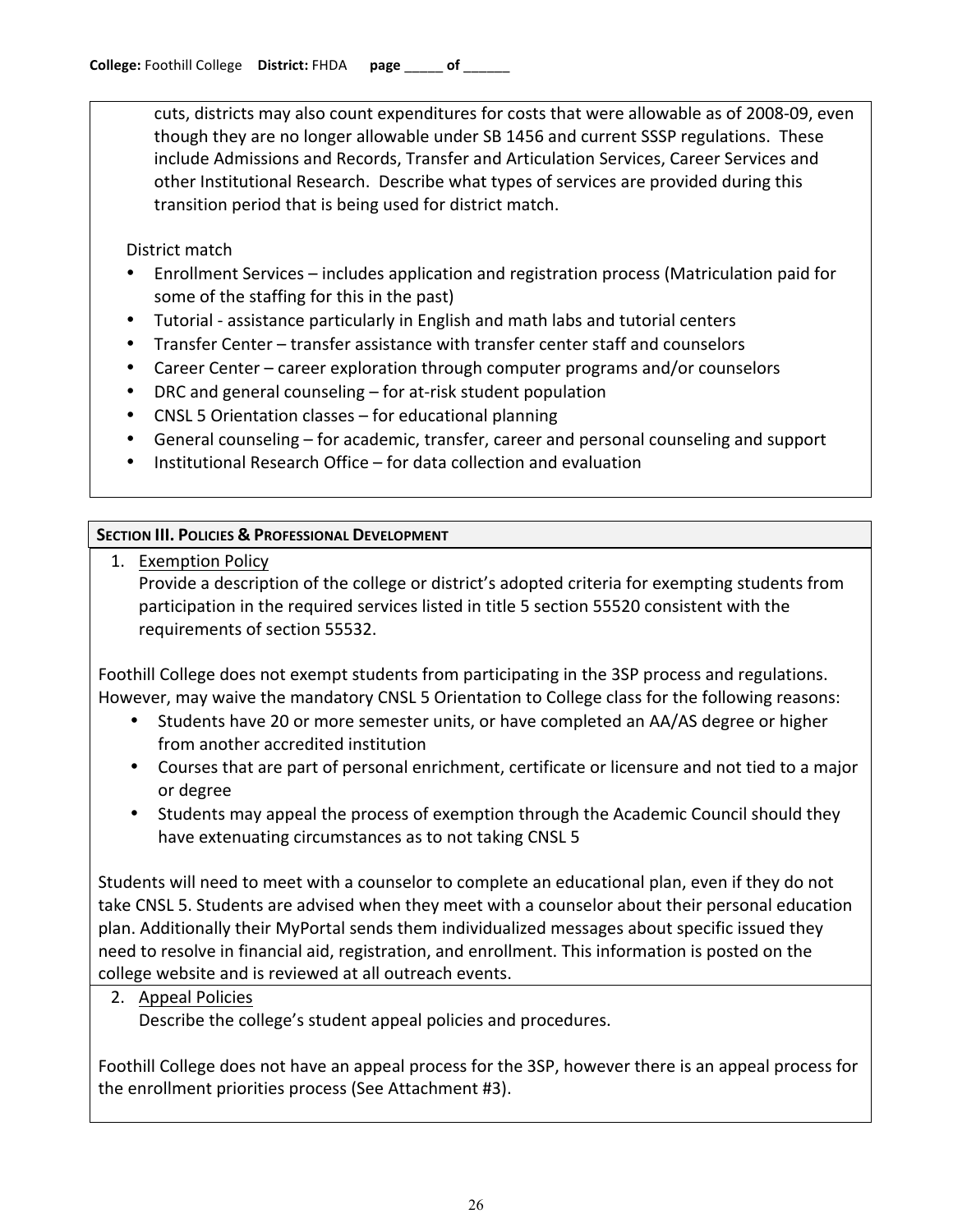cuts, districts may also count expenditures for costs that were allowable as of 2008-09, even though they are no longer allowable under SB 1456 and current SSSP regulations. These include Admissions and Records, Transfer and Articulation Services, Career Services and other Institutional Research. Describe what types of services are provided during this transition period that is being used for district match.

# District match

- Enrollment Services includes application and registration process (Matriculation paid for some of the staffing for this in the past)
- Tutorial assistance particularly in English and math labs and tutorial centers
- Transfer Center transfer assistance with transfer center staff and counselors
- Career Center career exploration through computer programs and/or counselors
- DRC and general counseling  $-$  for at-risk student population
- CNSL 5 Orientation classes for educational planning
- General counseling for academic, transfer, career and personal counseling and support
- Institutional Research Office for data collection and evaluation

# **SECTION III. POLICIES & PROFESSIONAL DEVELOPMENT**

1. Exemption Policy Provide a description of the college or district's adopted criteria for exempting students from participation in the required services listed in title 5 section 55520 consistent with the requirements of section 55532.

Foothill College does not exempt students from participating in the 3SP process and regulations. However, may waive the mandatory CNSL 5 Orientation to College class for the following reasons:

- Students have 20 or more semester units, or have completed an AA/AS degree or higher from another accredited institution
- Courses that are part of personal enrichment, certificate or licensure and not tied to a major or!degree
- Students may appeal the process of exemption through the Academic Council should they have extenuating circumstances as to not taking CNSL 5

Students will need to meet with a counselor to complete an educational plan, even if they do not take CNSL 5. Students are advised when they meet with a counselor about their personal education plan. Additionally their MyPortal sends them individualized messages about specific issued they need to resolve in financial aid, registration, and enrollment. This information is posted on the college website and is reviewed at all outreach events.

2. Appeal Policies Describe the college's student appeal policies and procedures.

Foothill College does not have an appeal process for the 3SP, however there is an appeal process for the enrollment priorities process (See Attachment #3).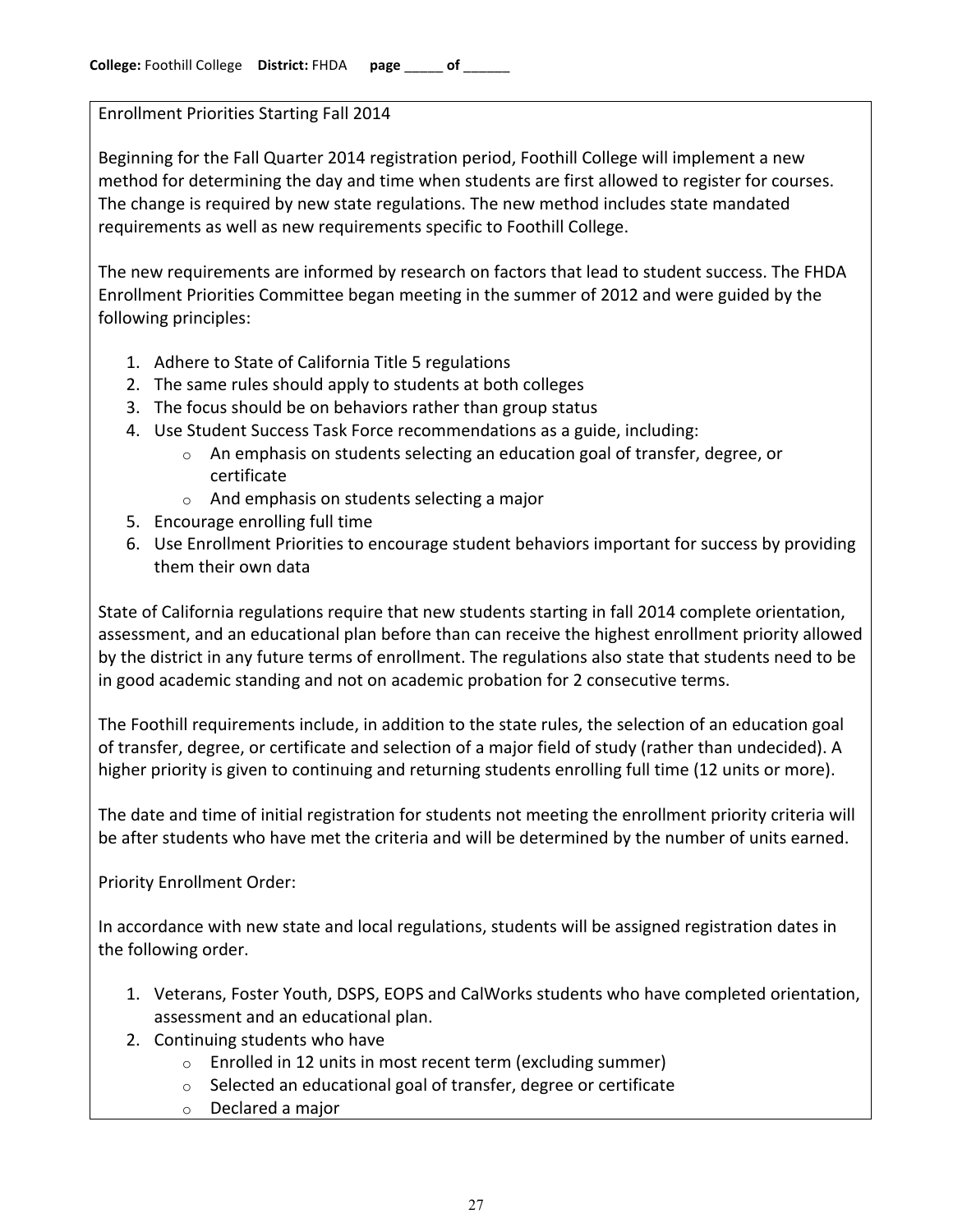Enrollment Priorities Starting Fall 2014

Beginning for the Fall Quarter 2014 registration period, Foothill College will implement a new method for determining the day and time when students are first allowed to register for courses. The change is required by new state regulations. The new method includes state mandated requirements as well as new requirements specific to Foothill College.

The new requirements are informed by research on factors that lead to student success. The FHDA Enrollment Priorities Committee began meeting in the summer of 2012 and were guided by the following principles:

- 1. Adhere to State of California Title 5 regulations
- 2. The same rules should apply to students at both colleges
- 3. The focus should be on behaviors rather than group status
- 4. Use Student Success Task Force recommendations as a guide, including:
	- $\circ$  An emphasis on students selecting an education goal of transfer, degree, or certificate
	- $\circ$  And emphasis on students selecting a major
- 5. Encourage enrolling full time
- 6. Use Enrollment Priorities to encourage student behaviors important for success by providing them their own data

State of California regulations require that new students starting in fall 2014 complete orientation, assessment, and an educational plan before than can receive the highest enrollment priority allowed by the district in any future terms of enrollment. The regulations also state that students need to be in good academic standing and not on academic probation for 2 consecutive terms.

The Foothill requirements include, in addition to the state rules, the selection of an education goal of transfer, degree, or certificate and selection of a major field of study (rather than undecided). A higher priority is given to continuing and returning students enrolling full time (12 units or more).

The date and time of initial registration for students not meeting the enrollment priority criteria will be after students who have met the criteria and will be determined by the number of units earned.

Priority Enrollment Order:

In accordance with new state and local regulations, students will be assigned registration dates in the following order.

- 1. Veterans, Foster Youth, DSPS, EOPS and CalWorks students who have completed orientation, assessment and an educational plan.
- 2. Continuing students who have
	- $\circ$  Enrolled in 12 units in most recent term (excluding summer)
	- $\circ$  Selected an educational goal of transfer, degree or certificate
	- $\circ$  Declared a major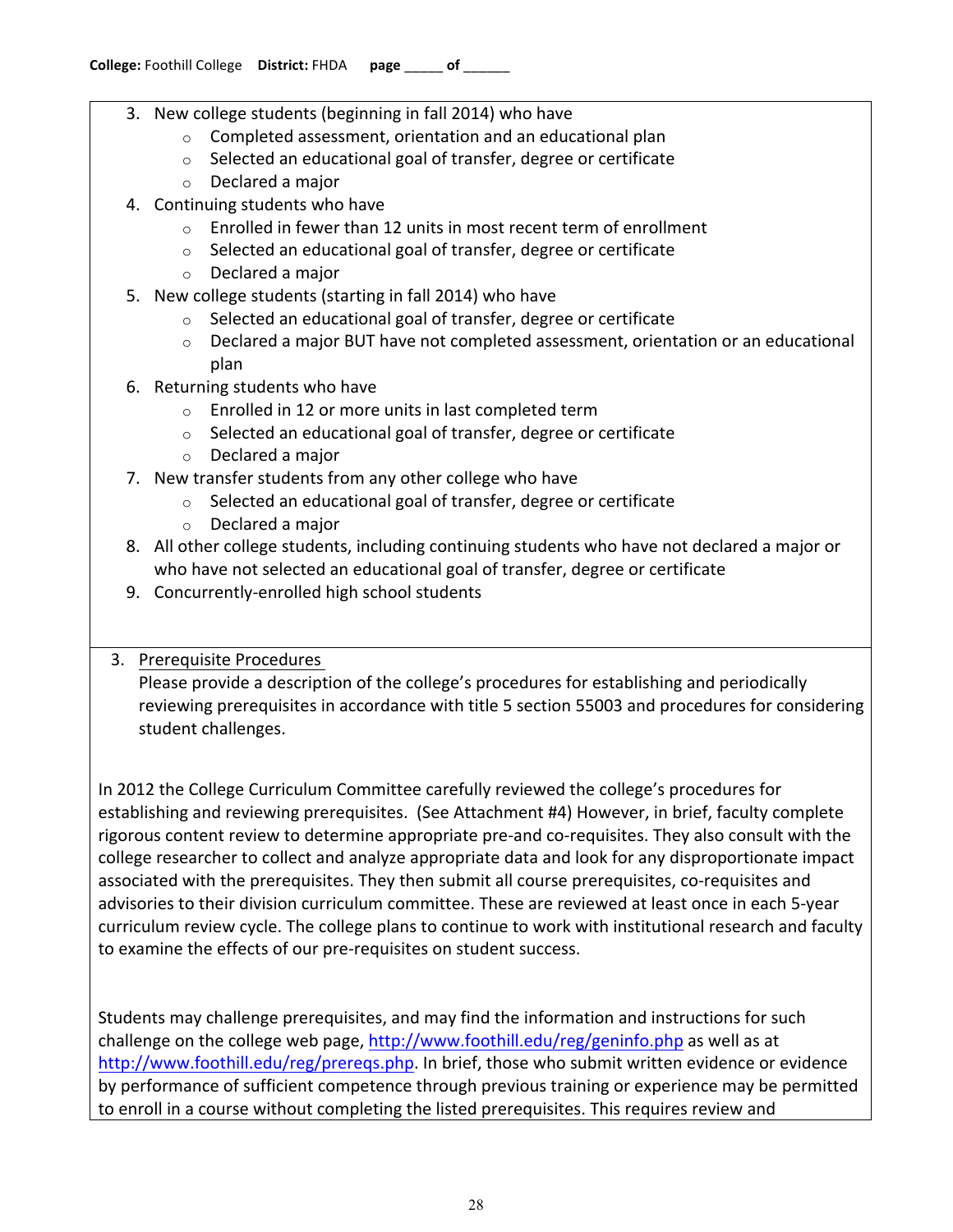- 3. New college students (beginning in fall 2014) who have
	- $\circ$  Completed assessment, orientation and an educational plan
	- $\circ$  Selected an educational goal of transfer, degree or certificate
	- $\circ$  Declared a major
- 4. Continuing students who have
	- $\circ$  Enrolled in fewer than 12 units in most recent term of enrollment
	- $\circ$  Selected an educational goal of transfer, degree or certificate
	- $\circ$  Declared a major
- 5. New college students (starting in fall 2014) who have
	- $\circ$  Selected an educational goal of transfer, degree or certificate
	- $\circ$  Declared a major BUT have not completed assessment, orientation or an educational plan
- 6. Returning students who have
	- $\circ$  Enrolled in 12 or more units in last completed term
	- $\circ$  Selected an educational goal of transfer, degree or certificate
	- $\circ$  Declared a major
- 7. New transfer students from any other college who have
	- $\circ$  Selected an educational goal of transfer, degree or certificate
	- $\circ$  Declared a major
- 8. All other college students, including continuing students who have not declared a major or who have not selected an educational goal of transfer, degree or certificate
- 9. Concurrently-enrolled high school students

### 3. Prerequisite Procedures

Please provide a description of the college's procedures for establishing and periodically reviewing prerequisites in accordance with title 5 section 55003 and procedures for considering student challenges.

In 2012 the College Curriculum Committee carefully reviewed the college's procedures for establishing and reviewing prerequisites. (See Attachment #4) However, in brief, faculty complete rigorous content review to determine appropriate pre-and co-requisites. They also consult with the college researcher to collect and analyze appropriate data and look for any disproportionate impact associated with the prerequisites. They then submit all course prerequisites, co-requisites and advisories to their division curriculum committee. These are reviewed at least once in each 5-year curriculum review cycle. The college plans to continue to work with institutional research and faculty to examine the effects of our pre-requisites on student success.

Students may challenge prerequisites, and may find the information and instructions for such challenge on the college web page, http://www.foothill.edu/reg/geninfo.php as well as at http://www.foothill.edu/reg/prereqs.php. In brief, those who submit written evidence or evidence by performance of sufficient competence through previous training or experience may be permitted to enroll in a course without completing the listed prerequisites. This requires review and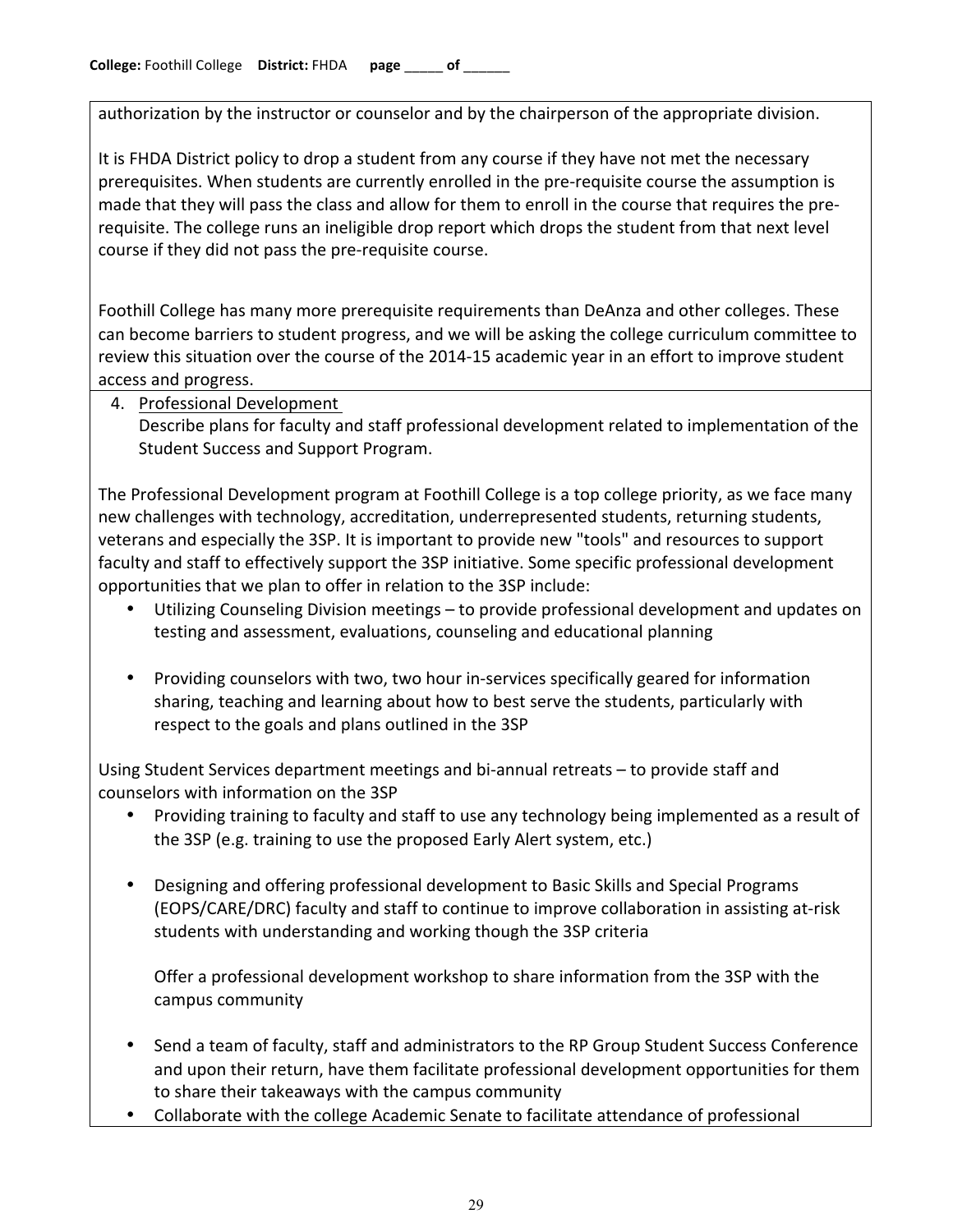authorization by the instructor or counselor and by the chairperson of the appropriate division.

It is FHDA District policy to drop a student from any course if they have not met the necessary prerequisites. When students are currently enrolled in the pre-requisite course the assumption is made that they will pass the class and allow for them to enroll in the course that requires the prerequisite. The college runs an ineligible drop report which drops the student from that next level course if they did not pass the pre-requisite course.

Foothill College has many more prerequisite requirements than DeAnza and other colleges. These can become barriers to student progress, and we will be asking the college curriculum committee to review this situation over the course of the 2014-15 academic year in an effort to improve student access and progress.

4. Professional Development

Describe plans for faculty and staff professional development related to implementation of the Student Success and Support Program.

The Professional Development program at Foothill College is a top college priority, as we face many new challenges with technology, accreditation, underrepresented students, returning students, veterans and especially the 3SP. It is important to provide new "tools" and resources to support faculty and staff to effectively support the 3SP initiative. Some specific professional development opportunities that we plan to offer in relation to the 3SP include:

- Utilizing Counseling Division meetings to provide professional development and updates on testing and assessment, evaluations, counseling and educational planning
- Providing counselors with two, two hour in-services specifically geared for information sharing, teaching and learning about how to best serve the students, particularly with respect to the goals and plans outlined in the 3SP

Using Student Services department meetings and bi-annual retreats – to provide staff and counselors with information on the 3SP

- Providing training to faculty and staff to use any technology being implemented as a result of the 3SP (e.g. training to use the proposed Early Alert system, etc.)
- Designing and offering professional development to Basic Skills and Special Programs (EOPS/CARE/DRC) faculty and staff to continue to improve collaboration in assisting at-risk students with understanding and working though the 3SP criteria

Offer a professional development workshop to share information from the 3SP with the campus community

- Send a team of faculty, staff and administrators to the RP Group Student Success Conference and upon their return, have them facilitate professional development opportunities for them to share their takeaways with the campus community
- Collaborate with the college Academic Senate to facilitate attendance of professional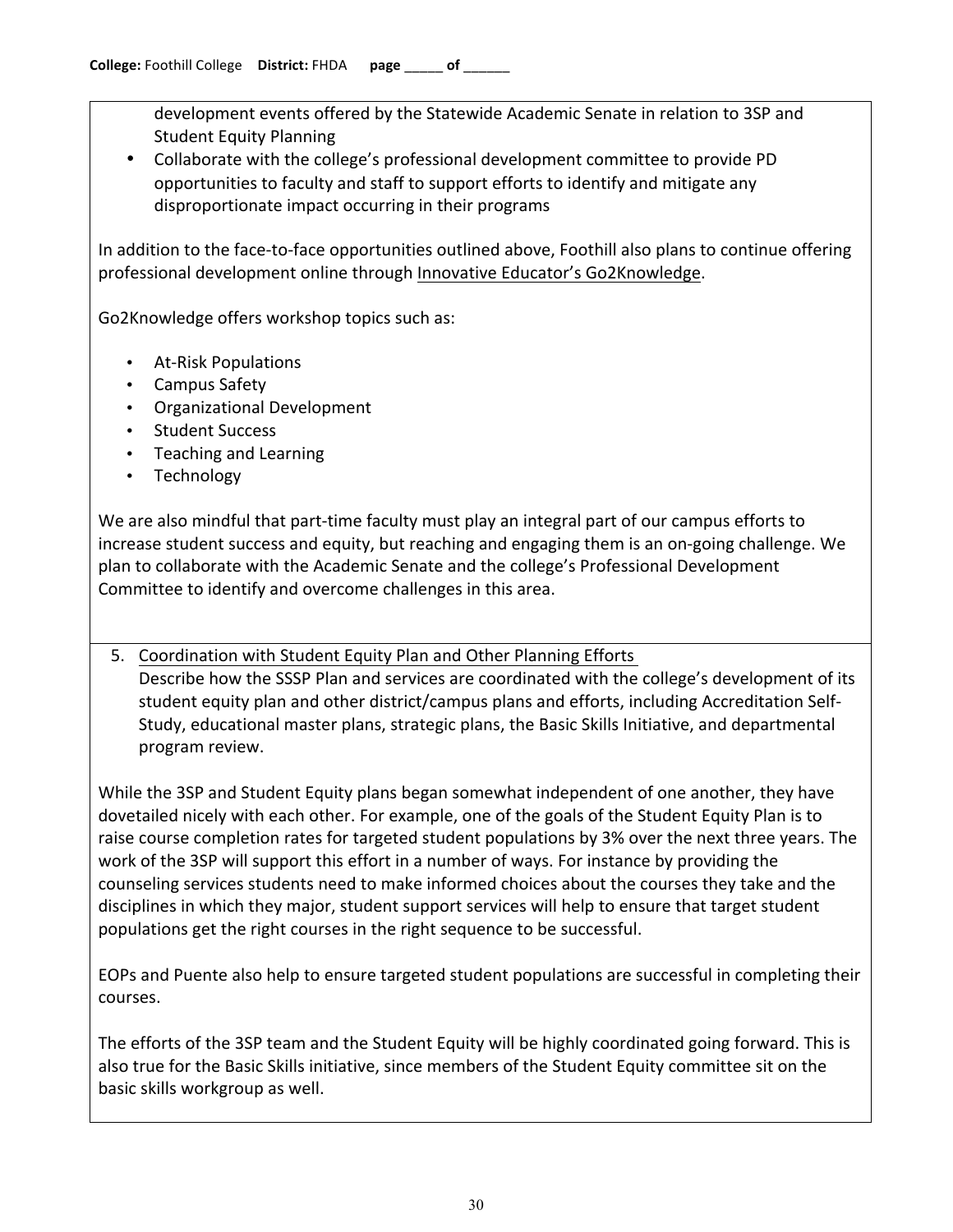development events offered by the Statewide Academic Senate in relation to 3SP and Student Equity Planning

• Collaborate with the college's professional development committee to provide PD opportunities to faculty and staff to support efforts to identify and mitigate any disproportionate impact occurring in their programs

In addition to the face-to-face opportunities outlined above, Foothill also plans to continue offering professional development online through Innovative Educator's Go2Knowledge.

Go2Knowledge offers workshop topics such as:

- At-Risk Populations
- Campus Safety
- Organizational Development
- Student Success
- Teaching and Learning
- Technology

We are also mindful that part-time faculty must play an integral part of our campus efforts to increase student success and equity, but reaching and engaging them is an on-going challenge. We plan to collaborate with the Academic Senate and the college's Professional Development Committee to identify and overcome challenges in this area.

5. Coordination with Student Equity Plan and Other Planning Efforts Describe how the SSSP Plan and services are coordinated with the college's development of its student equity plan and other district/campus plans and efforts, including Accreditation Self-Study, educational master plans, strategic plans, the Basic Skills Initiative, and departmental program review.

While the 3SP and Student Equity plans began somewhat independent of one another, they have dovetailed nicely with each other. For example, one of the goals of the Student Equity Plan is to raise course completion rates for targeted student populations by 3% over the next three years. The work of the 3SP will support this effort in a number of ways. For instance by providing the counseling services students need to make informed choices about the courses they take and the disciplines in which they major, student support services will help to ensure that target student populations get the right courses in the right sequence to be successful.

EOPs and Puente also help to ensure targeted student populations are successful in completing their courses.

The efforts of the 3SP team and the Student Equity will be highly coordinated going forward. This is also true for the Basic Skills initiative, since members of the Student Equity committee sit on the basic skills workgroup as well.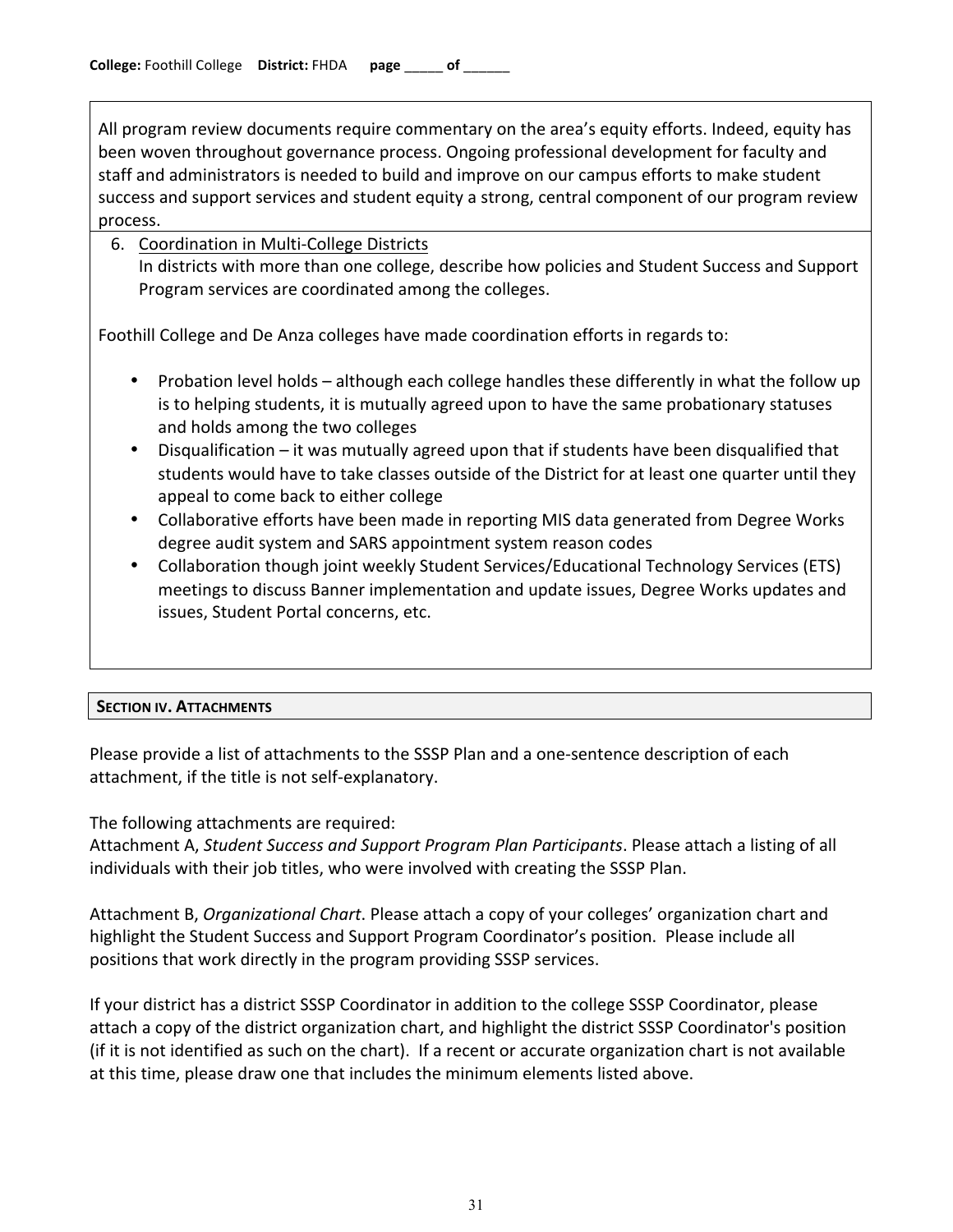All program review documents require commentary on the area's equity efforts. Indeed, equity has been woven throughout governance process. Ongoing professional development for faculty and staff and administrators is needed to build and improve on our campus efforts to make student success and support services and student equity a strong, central component of our program review process.

#### 6. Coordination in Multi-College Districts In districts with more than one college, describe how policies and Student Success and Support Program services are coordinated among the colleges.

Foothill College and De Anza colleges have made coordination efforts in regards to:

- Probation level holds although each college handles these differently in what the follow up is to helping students, it is mutually agreed upon to have the same probationary statuses and holds among the two colleges
- Disqualification it was mutually agreed upon that if students have been disqualified that students would have to take classes outside of the District for at least one quarter until they appeal to come back to either college
- Collaborative efforts have been made in reporting MIS data generated from Degree Works degree audit system and SARS appointment system reason codes
- Collaboration though joint weekly Student Services/Educational Technology Services (ETS) meetings to discuss Banner implementation and update issues, Degree Works updates and issues, Student Portal concerns, etc.

### **SECTION!IV. ATTACHMENTS**

Please provide a list of attachments to the SSSP Plan and a one-sentence description of each attachment, if the title is not self-explanatory.

The following attachments are required:

Attachment A, Student Success and Support Program Plan Participants. Please attach a listing of all individuals with their job titles, who were involved with creating the SSSP Plan.

Attachment B, *Organizational Chart*. Please attach a copy of your colleges' organization chart and highlight the Student Success and Support Program Coordinator's position. Please include all positions that work directly in the program providing SSSP services.

If your district has a district SSSP Coordinator in addition to the college SSSP Coordinator, please attach a copy of the district organization chart, and highlight the district SSSP Coordinator's position (if it is not identified as such on the chart). If a recent or accurate organization chart is not available at this time, please draw one that includes the minimum elements listed above.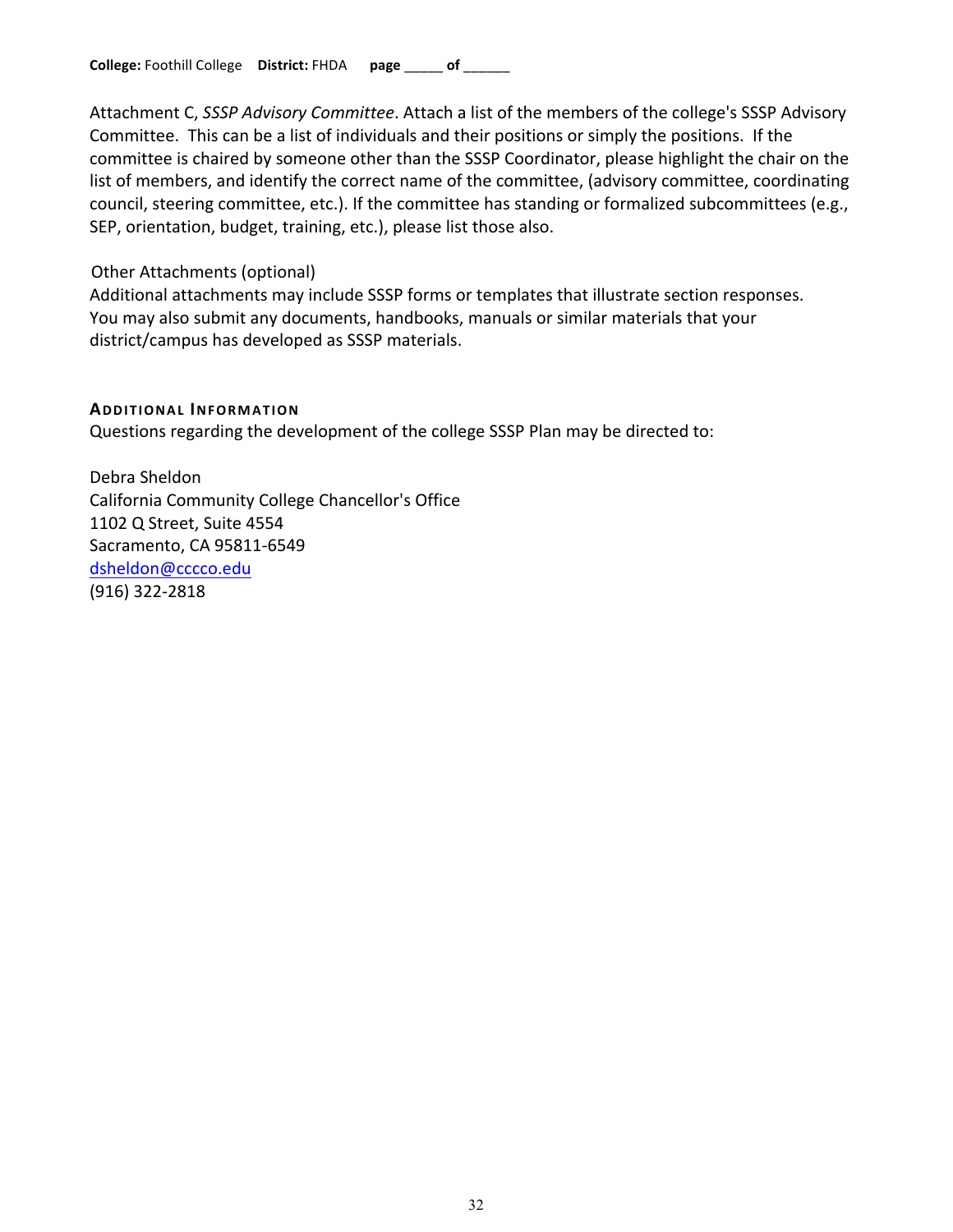Attachment C, *SSSP Advisory Committee*. Attach a list of the members of the college's SSSP Advisory Committee. This can be a list of individuals and their positions or simply the positions. If the committee is chaired by someone other than the SSSP Coordinator, please highlight the chair on the list of members, and identify the correct name of the committee, (advisory committee, coordinating council, steering committee, etc.). If the committee has standing or formalized subcommittees (e.g., SEP, orientation, budget, training, etc.), please list those also.

#### Other Attachments (optional)

Additional attachments may include SSSP forms or templates that illustrate section responses. You may also submit any documents, handbooks, manuals or similar materials that your district/campus has developed as SSSP materials.

### **ADDITIONAL INFORMATION**

Questions regarding the development of the college SSSP Plan may be directed to:

Debra Sheldon California Community College Chancellor's Office 1102 Q Street, Suite 4554 Sacramento, CA 95811-6549 dsheldon@cccco.edu (916) 322-2818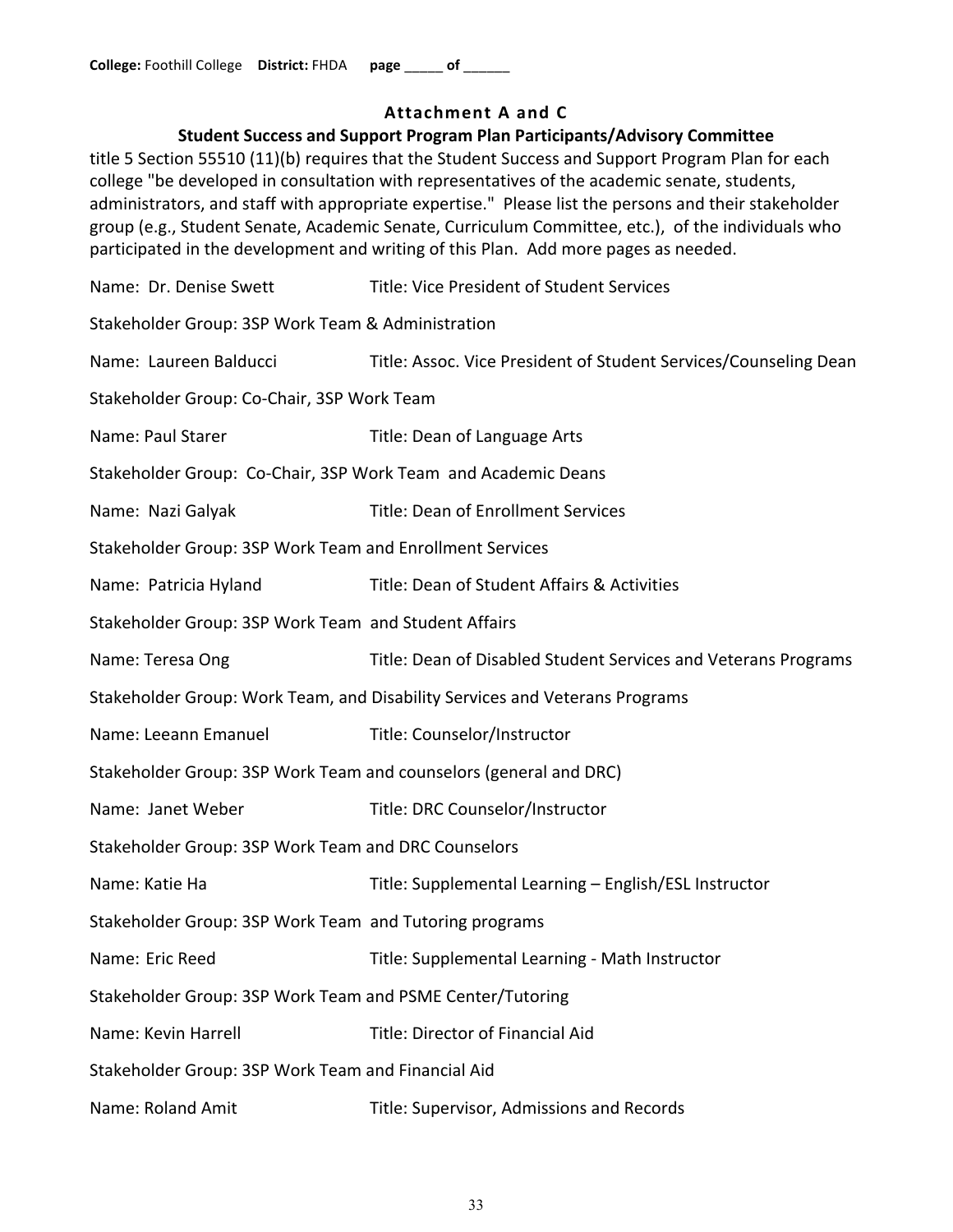## **Attachment!A and!C**

### **Student Success and Support Program Plan Participants/Advisory Committee**

title 5 Section 55510 (11)(b) requires that the Student Success and Support Program Plan for each college "be developed in consultation with representatives of the academic senate, students, administrators, and staff with appropriate expertise." Please list the persons and their stakeholder group (e.g., Student Senate, Academic Senate, Curriculum Committee, etc.), of the individuals who participated in the development and writing of this Plan. Add more pages as needed.

Name: Dr. Denise Swett Title: Vice President of Student Services Stakeholder Group: 3SP Work Team & Administration Name: Laureen Balducci Title: Assoc. Vice President of Student Services/Counseling Dean Stakeholder Group: Co-Chair, 3SP Work Team Name: Paul Starer Title: Dean of Language Arts Stakeholder Group: Co-Chair, 3SP Work Team and Academic Deans Name: Nazi Galyak Title: Dean of Enrollment Services Stakeholder Group: 3SP Work Team and Enrollment Services Name: Patricia Hyland Title: Dean of Student Affairs & Activities Stakeholder Group: 3SP Work Team and Student Affairs Name: Teresa Ong Title: Dean of Disabled Student Services and Veterans Programs Stakeholder Group: Work Team, and Disability Services and Veterans Programs Name: Leeann Emanuel Title: Counselor/Instructor Stakeholder Group: 3SP Work Team and counselors (general and DRC) Name: Janet Weber Title: DRC Counselor/Instructor Stakeholder Group: 3SP Work Team and DRC Counselors Name: Katie Ha Title: Supplemental Learning – English/ESL Instructor Stakeholder Group: 3SP Work Team and Tutoring programs Name: Eric Reed Title: Supplemental Learning - Math Instructor Stakeholder Group: 3SP Work Team and PSME Center/Tutoring Name: Kevin Harrell **Name:** Title: Director of Financial Aid Stakeholder Group: 3SP Work Team and Financial Aid Name: Roland Amit Title: Supervisor, Admissions and Records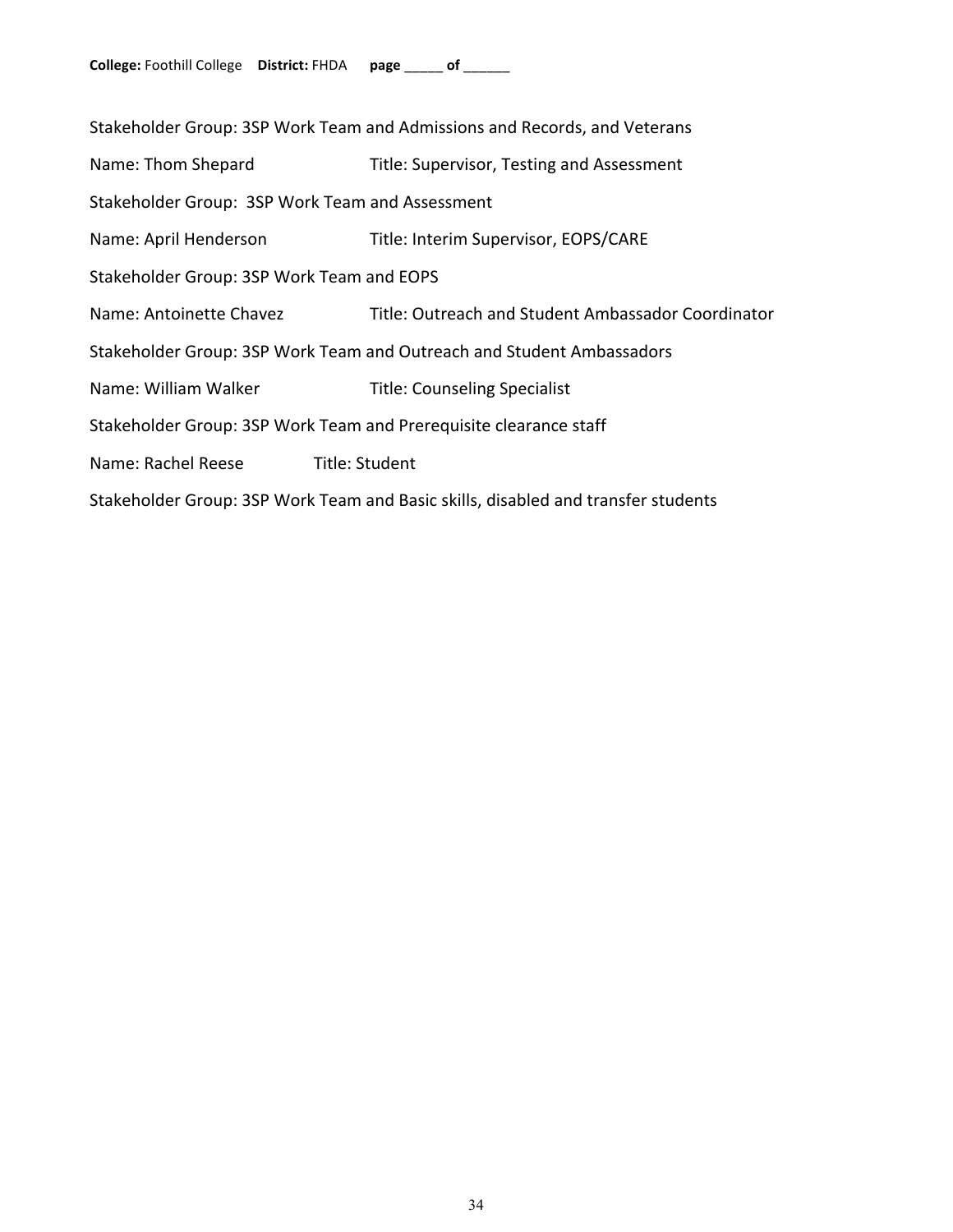| Stakeholder Group: 3SP Work Team and Admissions and Records, and Veterans         |                                                    |  |
|-----------------------------------------------------------------------------------|----------------------------------------------------|--|
| Name: Thom Shepard                                                                | Title: Supervisor, Testing and Assessment          |  |
| Stakeholder Group: 3SP Work Team and Assessment                                   |                                                    |  |
| Name: April Henderson                                                             | Title: Interim Supervisor, EOPS/CARE               |  |
| Stakeholder Group: 3SP Work Team and EOPS                                         |                                                    |  |
| Name: Antoinette Chavez                                                           | Title: Outreach and Student Ambassador Coordinator |  |
| Stakeholder Group: 3SP Work Team and Outreach and Student Ambassadors             |                                                    |  |
| Name: William Walker                                                              | <b>Title: Counseling Specialist</b>                |  |
| Stakeholder Group: 3SP Work Team and Prerequisite clearance staff                 |                                                    |  |
| Name: Rachel Reese                                                                | Title: Student                                     |  |
| Stakeholder Group: 3SP Work Team and Basic skills, disabled and transfer students |                                                    |  |